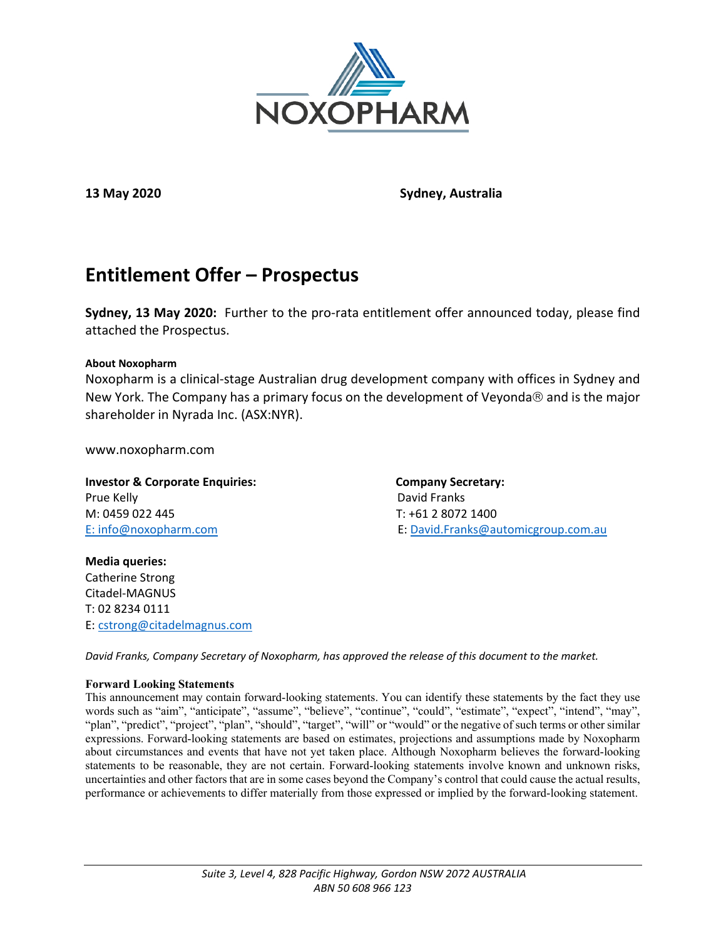

**13 May 2020 Sydney, Australia**

# **Entitlement Offer – Prospectus**

**Sydney, 13 May 2020:** Further to the pro-rata entitlement offer announced today, please find attached the Prospectus.

# **About Noxopharm**

Noxopharm is a clinical-stage Australian drug development company with offices in Sydney and New York. The Company has a primary focus on the development of Veyonda $\otimes$  and is the major shareholder in Nyrada Inc. (ASX:NYR).

www.noxopharm.com

**Investor & Corporate Enquiries:** Company Secretary: Prue Kelly David Franks M: 0459 022 445 T: +61 2 8072 1400

E: [info@noxopharm.com](mailto:info@noxopharm.com) E: [David.Franks@automicgroup.com.au](mailto:David.Franks@automicgroup.com.au)

**Media queries:** Catherine Strong Citadel-MAGNUS T: 02 8234 0111 E: [cstrong@citadelmagnus.com](mailto:cstrong@citadelmagnus.com)

*David Franks, Company Secretary of Noxopharm, has approved the release of this document to the market.*

# **Forward Looking Statements**

This announcement may contain forward-looking statements. You can identify these statements by the fact they use words such as "aim", "anticipate", "assume", "believe", "continue", "could", "estimate", "expect", "intend", "may", "plan", "predict", "project", "plan", "should", "target", "will" or "would" or the negative of such terms or other similar expressions. Forward-looking statements are based on estimates, projections and assumptions made by Noxopharm about circumstances and events that have not yet taken place. Although Noxopharm believes the forward-looking statements to be reasonable, they are not certain. Forward-looking statements involve known and unknown risks, uncertainties and other factors that are in some cases beyond the Company's control that could cause the actual results, performance or achievements to differ materially from those expressed or implied by the forward-looking statement.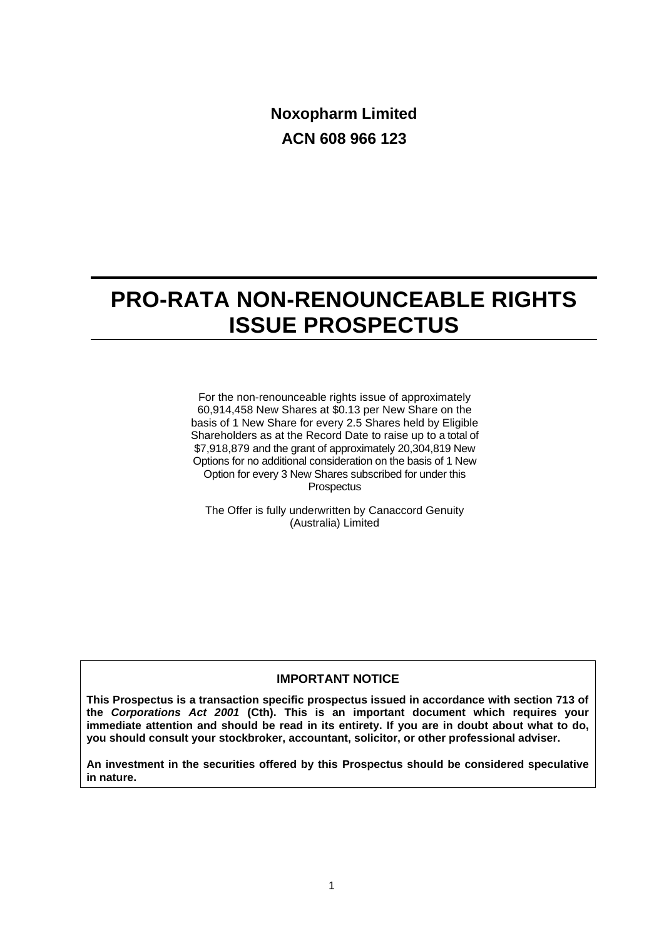**Noxopharm Limited ACN 608 966 123**

# **PRO-RATA NON-RENOUNCEABLE RIGHTS ISSUE PROSPECTUS**

For the non-renounceable rights issue of approximately 60,914,458 New Shares at \$0.13 per New Share on the basis of 1 New Share for every 2.5 Shares held by Eligible Shareholders as at the Record Date to raise up to a total of \$7,918,879 and the grant of approximately 20,304,819 New Options for no additional consideration on the basis of 1 New Option for every 3 New Shares subscribed for under this **Prospectus** 

The Offer is fully underwritten by Canaccord Genuity (Australia) Limited

# **IMPORTANT NOTICE**

**This Prospectus is a transaction specific prospectus issued in accordance with section 713 of the** *Corporations Act 2001* **(Cth). This is an important document which requires your immediate attention and should be read in its entirety. If you are in doubt about what to do, you should consult your stockbroker, accountant, solicitor, or other professional adviser.**

**An investment in the securities offered by this Prospectus should be considered speculative in nature.**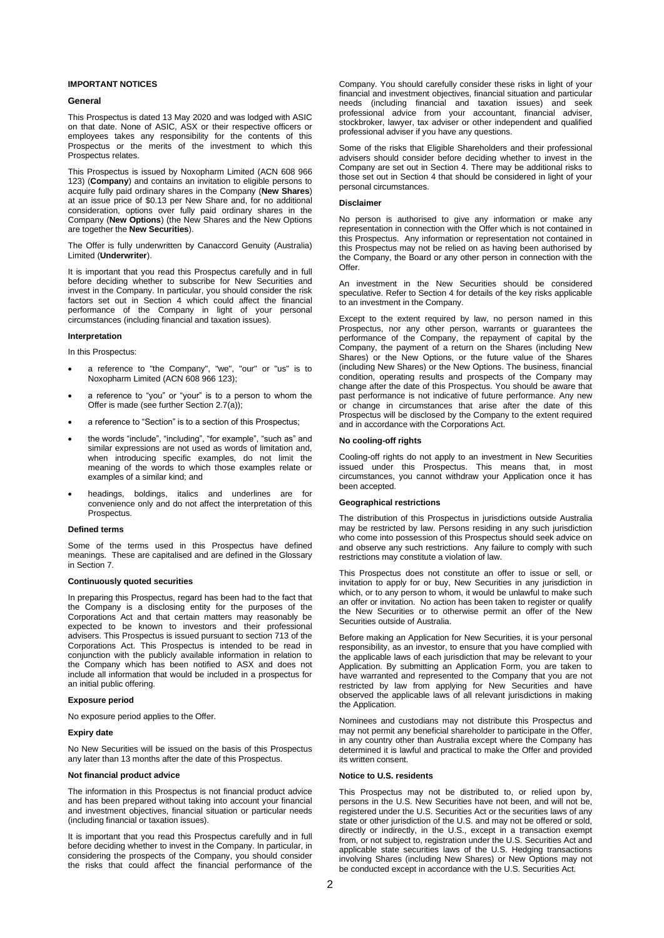### **IMPORTANT NOTICES**

### **General**

This Prospectus is dated 13 May 2020 and was lodged with ASIC on that date. None of ASIC, ASX or their respective officers or employees takes any responsibility for the contents of this Prospectus or the merits of the investment to which this Prospectus relates.

This Prospectus is issued by Noxopharm Limited (ACN 608 966 123) (**Company**) and contains an invitation to eligible persons to acquire fully paid ordinary shares in the Company (**New Shares**) at an issue price of \$0.13 per New Share and, for no additional consideration, options over fully paid ordinary shares in the Company (**New Options**) (the New Shares and the New Options are together the **New Securities**).

The Offer is fully underwritten by Canaccord Genuity (Australia) Limited (**Underwriter**).

It is important that you read this Prospectus carefully and in full before deciding whether to subscribe for New Securities and invest in the Company. In particular, you should consider the risk factors set out in Section [4](#page-27-0) which could affect the financial performance of the Company in light of your personal circumstances (including financial and taxation issues).

### **Interpretation**

In this Prospectus:

- a reference to "the Company", "we", "our" or "us" is to Noxopharm Limited (ACN 608 966 123);
- a reference to "you" or "your" is to a person to whom the Offer is made (see further Sectio[n 2.7\(a\)\)](#page-17-0);
- a reference to "Section" is to a section of this Prospectus;
- the words "include", "including", "for example", "such as" and similar expressions are not used as words of limitation and, when introducing specific examples, do not limit the meaning of the words to which those examples relate or examples of a similar kind; and
- headings, boldings, italics and underlines are for convenience only and do not affect the interpretation of this Prospectus.

#### **Defined terms**

Some of the terms used in this Prospectus have defined meanings. These are capitalised and are defined in the Glossary in Section [7.](#page-43-0)

#### **Continuously quoted securities**

In preparing this Prospectus, regard has been had to the fact that the Company is a disclosing entity for the purposes of the Corporations Act and that certain matters may reasonably be expected to be known to investors and their professional advisers. This Prospectus is issued pursuant to section 713 of the Corporations Act. This Prospectus is intended to be read in conjunction with the publicly available information in relation to the Company which has been notified to ASX and does not include all information that would be included in a prospectus for an initial public offering.

### **Exposure period**

No exposure period applies to the Offer.

### **Expiry date**

No New Securities will be issued on the basis of this Prospectus any later than 13 months after the date of this Prospectus.

### **Not financial product advice**

The information in this Prospectus is not financial product advice and has been prepared without taking into account your financial and investment objectives, financial situation or particular needs (including financial or taxation issues).

It is important that you read this Prospectus carefully and in full before deciding whether to invest in the Company. In particular, in considering the prospects of the Company, you should consider the risks that could affect the financial performance of the Company. You should carefully consider these risks in light of your financial and investment objectives, financial situation and particular needs (including financial and taxation issues) and seek professional advice from your accountant, financial adviser, stockbroker, lawyer, tax adviser or other independent and qualified professional adviser if you have any questions.

Some of the risks that Eligible Shareholders and their professional advisers should consider before deciding whether to invest in the Company are set out in Section [4.](#page-27-0) There may be additional risks to those set out in Section [4](#page-27-0) that should be considered in light of your personal circumstances.

### **Disclaimer**

No person is authorised to give any information or make any representation in connection with the Offer which is not contained in this Prospectus. Any information or representation not contained in this Prospectus may not be relied on as having been authorised by the Company, the Board or any other person in connection with the Offer.

An investment in the New Securities should be considered speculative. Refer to Section [4](#page-27-0) for details of the key risks applicable to an investment in the Company.

Except to the extent required by law, no person named in this Prospectus, nor any other person, warrants or guarantees the performance of the Company, the repayment of capital by the Company, the payment of a return on the Shares (including New Shares) or the New Options, or the future value of the Shares (including New Shares) or the New Options. The business, financial condition, operating results and prospects of the Company may change after the date of this Prospectus. You should be aware that past performance is not indicative of future performance. Any new or change in circumstances that arise after the date of this Prospectus will be disclosed by the Company to the extent required and in accordance with the Corporations Act.

#### **No cooling-off rights**

Cooling-off rights do not apply to an investment in New Securities issued under this Prospectus. This means that, in most circumstances, you cannot withdraw your Application once it has been accepted.

#### **Geographical restrictions**

The distribution of this Prospectus in jurisdictions outside Australia may be restricted by law. Persons residing in any such jurisdiction who come into possession of this Prospectus should seek advice on and observe any such restrictions. Any failure to comply with such restrictions may constitute a violation of law.

This Prospectus does not constitute an offer to issue or sell, or invitation to apply for or buy, New Securities in any jurisdiction in which, or to any person to whom, it would be unlawful to make such an offer or invitation. No action has been taken to register or qualify the New Securities or to otherwise permit an offer of the New Securities outside of Australia.

Before making an Application for New Securities, it is your personal responsibility, as an investor, to ensure that you have complied with the applicable laws of each jurisdiction that may be relevant to your Application. By submitting an Application Form, you are taken to have warranted and represented to the Company that you are not restricted by law from applying for New Securities and have observed the applicable laws of all relevant jurisdictions in making the Application.

Nominees and custodians may not distribute this Prospectus and may not permit any beneficial shareholder to participate in the Offer, in any country other than Australia except where the Company has determined it is lawful and practical to make the Offer and provided its written consent.

#### **Notice to U.S. residents**

This Prospectus may not be distributed to, or relied upon by, persons in the U.S. New Securities have not been, and will not be. registered under the U.S. Securities Act or the securities laws of any state or other jurisdiction of the U.S. and may not be offered or sold, directly or indirectly, in the U.S., except in a transaction exempt from, or not subject to, registration under the U.S. Securities Act and applicable state securities laws of the U.S. Hedging transactions involving Shares (including New Shares) or New Options may not be conducted except in accordance with the U.S. Securities Act.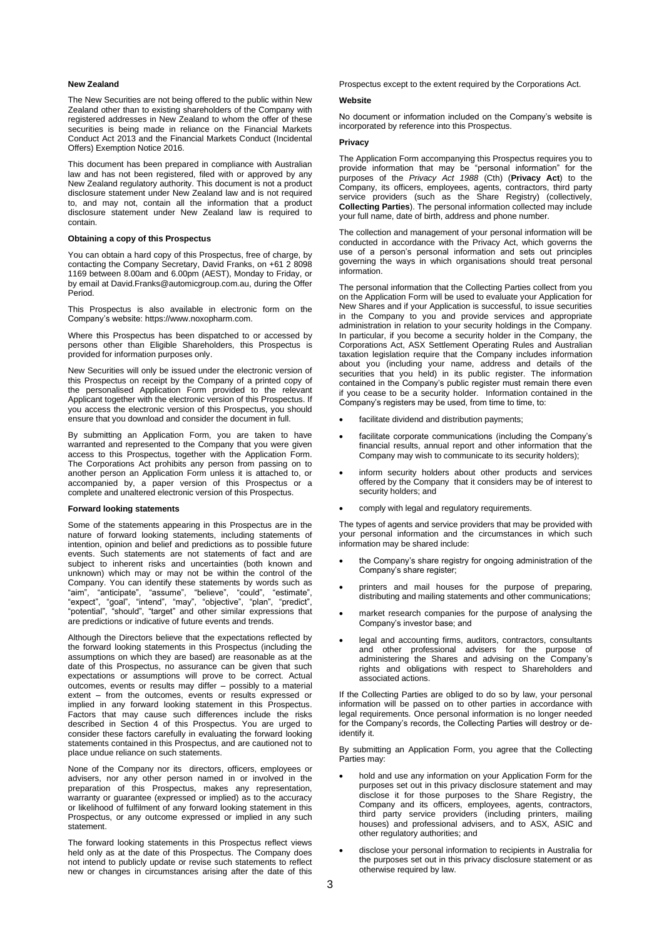#### **New Zealand**

The New Securities are not being offered to the public within New Zealand other than to existing shareholders of the Company with registered addresses in New Zealand to whom the offer of these securities is being made in reliance on the Financial Markets Conduct Act 2013 and the Financial Markets Conduct (Incidental Offers) Exemption Notice 2016.

This document has been prepared in compliance with Australian law and has not been registered, filed with or approved by any New Zealand regulatory authority. This document is not a product disclosure statement under New Zealand law and is not required to, and may not, contain all the information that a product disclosure statement under New Zealand law is required to contain.

#### **Obtaining a copy of this Prospectus**

You can obtain a hard copy of this Prospectus, free of charge, by contacting the Company Secretary, David Franks, on +61 2 8098 1169 between 8.00am and 6.00pm (AEST), Monday to Friday, or by email at David.Franks@automicgroup.com.au, during the Offer Period.

This Prospectus is also available in electronic form on the Company's website: https://www.noxopharm.com.

Where this Prospectus has been dispatched to or accessed by persons other than Eligible Shareholders, this Prospectus is provided for information purposes only.

New Securities will only be issued under the electronic version of this Prospectus on receipt by the Company of a printed copy of the personalised Application Form provided to the relevant Applicant together with the electronic version of this Prospectus. If you access the electronic version of this Prospectus, you should ensure that you download and consider the document in full.

By submitting an Application Form, you are taken to have warranted and represented to the Company that you were given access to this Prospectus, together with the Application Form. The Corporations Act prohibits any person from passing on to another person an Application Form unless it is attached to, or accompanied by, a paper version of this Prospectus or a complete and unaltered electronic version of this Prospectus.

#### **Forward looking statements**

Some of the statements appearing in this Prospectus are in the nature of forward looking statements, including statements of intention, opinion and belief and predictions as to possible future events. Such statements are not statements of fact and are subject to inherent risks and uncertainties (both known and unknown) which may or may not be within the control of the Company. You can identify these statements by words such as "aim", "anticipate", "assume", "believe", "could", "estimate", "expect", "goal", "intend", "may", "objective", "plan", "predict", "potential", "should", "target" and other similar expressions that are predictions or indicative of future events and trends.

Although the Directors believe that the expectations reflected by the forward looking statements in this Prospectus (including the assumptions on which they are based) are reasonable as at the date of this Prospectus, no assurance can be given that such expectations or assumptions will prove to be correct. Actual outcomes, events or results may differ – possibly to a material extent – from the outcomes, events or results expressed or implied in any forward looking statement in this Prospectus. Factors that may cause such differences include the risks described in Section [4](#page-27-0) of this Prospectus. You are urged to consider these factors carefully in evaluating the forward looking statements contained in this Prospectus, and are cautioned not to place undue reliance on such statements.

None of the Company nor its directors, officers, employees or advisers, nor any other person named in or involved in the preparation of this Prospectus, makes any representation, warranty or guarantee (expressed or implied) as to the accuracy or likelihood of fulfilment of any forward looking statement in this Prospectus, or any outcome expressed or implied in any such statement.

The forward looking statements in this Prospectus reflect views held only as at the date of this Prospectus. The Company does not intend to publicly update or revise such statements to reflect new or changes in circumstances arising after the date of this

Prospectus except to the extent required by the Corporations Act.

#### **Website**

No document or information included on the Company's website is incorporated by reference into this Prospectus.

#### **Privacy**

The Application Form accompanying this Prospectus requires you to provide information that may be "personal information" for the purposes of the *Privacy Act 1988* (Cth) (**Privacy Act**) to the Company, its officers, employees, agents, contractors, third party service providers (such as the Share Registry) (collectively, **Collecting Parties**). The personal information collected may include your full name, date of birth, address and phone number.

The collection and management of your personal information will be conducted in accordance with the Privacy Act, which governs the use of a person's personal information and sets out principles governing the ways in which organisations should treat personal information.

The personal information that the Collecting Parties collect from you on the Application Form will be used to evaluate your Application for New Shares and if your Application is successful, to issue securities in the Company to you and provide services and appropriate administration in relation to your security holdings in the Company. In particular, if you become a security holder in the Company, the Corporations Act, ASX Settlement Operating Rules and Australian taxation legislation require that the Company includes information about you (including your name, address and details of the securities that you held) in its public register. The information contained in the Company's public register must remain there even if you cease to be a security holder. Information contained in the Company's registers may be used, from time to time, to:

- facilitate dividend and distribution payments;
- facilitate corporate communications (including the Company's financial results, annual report and other information that the Company may wish to communicate to its security holders);
- inform security holders about other products and services offered by the Company that it considers may be of interest to security holders; and
- comply with legal and regulatory requirements.

The types of agents and service providers that may be provided with your personal information and the circumstances in which such information may be shared include:

- the Company's share registry for ongoing administration of the Company's share register;
- printers and mail houses for the purpose of preparing, distributing and mailing statements and other communications;
- market research companies for the purpose of analysing the Company's investor base; and
- legal and accounting firms, auditors, contractors, consultants and other professional advisers for the purpose of administering the Shares and advising on the Company's rights and obligations with respect to Shareholders and associated actions.

If the Collecting Parties are obliged to do so by law, your personal information will be passed on to other parties in accordance with legal requirements. Once personal information is no longer needed for the Company's records, the Collecting Parties will destroy or deidentify it.

By submitting an Application Form, you agree that the Collecting Parties may:

- hold and use any information on your Application Form for the purposes set out in this privacy disclosure statement and may disclose it for those purposes to the Share Registry, the Company and its officers, employees, agents, contractors, third party service providers (including printers, mailing houses) and professional advisers, and to ASX, ASIC and other regulatory authorities; and
- disclose your personal information to recipients in Australia for the purposes set out in this privacy disclosure statement or as otherwise required by law.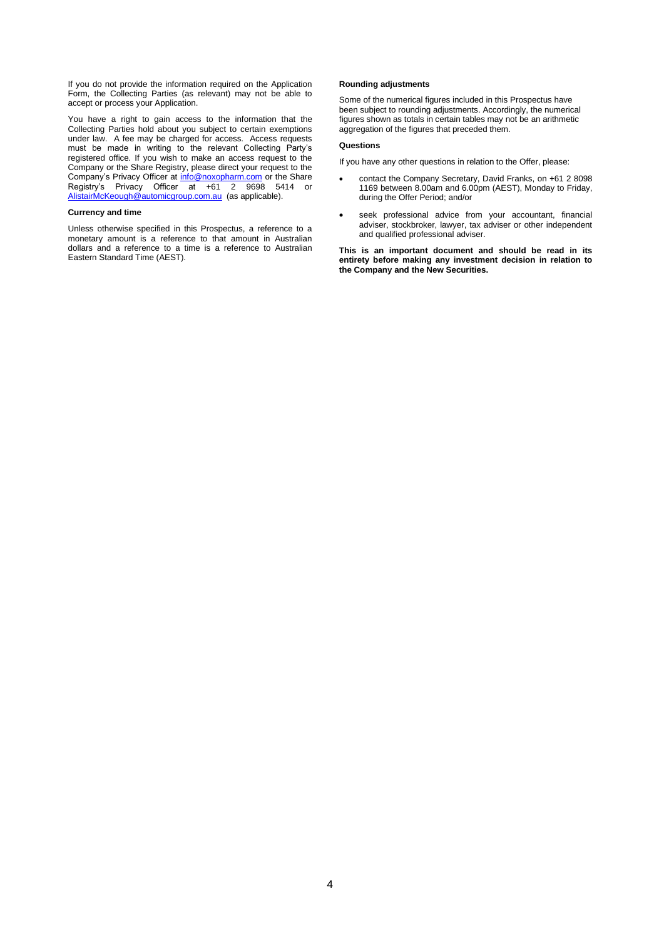If you do not provide the information required on the Application Form, the Collecting Parties (as relevant) may not be able to accept or process your Application.

You have a right to gain access to the information that the Collecting Parties hold about you subject to certain exemptions under law. A fee may be charged for access. Access requests must be made in writing to the relevant Collecting Party's registered office. If you wish to make an access request to the Company or the Share Registry, please direct your request to the Company's Privacy Officer at *[info@noxopharm.com](mailto:info@noxopharm.com)* or the Share Registry's Privacy Officer at +61 2 9698 5414 or [AlistairMcKeough@automicgroup.com.au](mailto:AlistairMcKeough@automicgroup.com.au) (as applicable).

### **Currency and time**

Unless otherwise specified in this Prospectus, a reference to a monetary amount is a reference to that amount in Australian dollars and a reference to a time is a reference to Australian Eastern Standard Time (AEST).

#### **Rounding adjustments**

Some of the numerical figures included in this Prospectus have been subject to rounding adjustments. Accordingly, the numerical figures shown as totals in certain tables may not be an arithmetic aggregation of the figures that preceded them.

### **Questions**

If you have any other questions in relation to the Offer, please:

- contact the Company Secretary, David Franks, on +61 2 8098 1169 between 8.00am and 6.00pm (AEST), Monday to Friday, during the Offer Period; and/or
- seek professional advice from your accountant, financial adviser, stockbroker, lawyer, tax adviser or other independent and qualified professional adviser.

**This is an important document and should be read in its entirety before making any investment decision in relation to the Company and the New Securities.**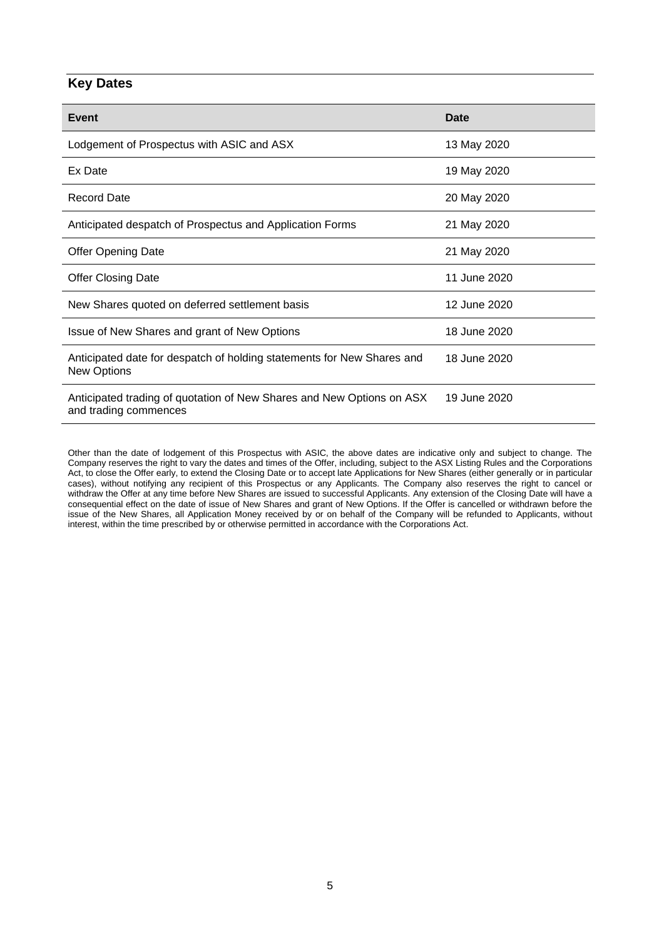# **Key Dates**

| <b>Event</b>                                                                                   | Date         |
|------------------------------------------------------------------------------------------------|--------------|
| Lodgement of Prospectus with ASIC and ASX                                                      | 13 May 2020  |
| Ex Date                                                                                        | 19 May 2020  |
| <b>Record Date</b>                                                                             | 20 May 2020  |
| Anticipated despatch of Prospectus and Application Forms                                       | 21 May 2020  |
| <b>Offer Opening Date</b>                                                                      | 21 May 2020  |
| <b>Offer Closing Date</b>                                                                      | 11 June 2020 |
| New Shares quoted on deferred settlement basis                                                 | 12 June 2020 |
| Issue of New Shares and grant of New Options                                                   | 18 June 2020 |
| Anticipated date for despatch of holding statements for New Shares and<br><b>New Options</b>   | 18 June 2020 |
| Anticipated trading of quotation of New Shares and New Options on ASX<br>and trading commences | 19 June 2020 |

Other than the date of lodgement of this Prospectus with ASIC, the above dates are indicative only and subject to change. The Company reserves the right to vary the dates and times of the Offer, including, subject to the ASX Listing Rules and the Corporations Act, to close the Offer early, to extend the Closing Date or to accept late Applications for New Shares (either generally or in particular cases), without notifying any recipient of this Prospectus or any Applicants. The Company also reserves the right to cancel or withdraw the Offer at any time before New Shares are issued to successful Applicants. Any extension of the Closing Date will have a consequential effect on the date of issue of New Shares and grant of New Options. If the Offer is cancelled or withdrawn before the issue of the New Shares, all Application Money received by or on behalf of the Company will be refunded to Applicants, without interest, within the time prescribed by or otherwise permitted in accordance with the Corporations Act.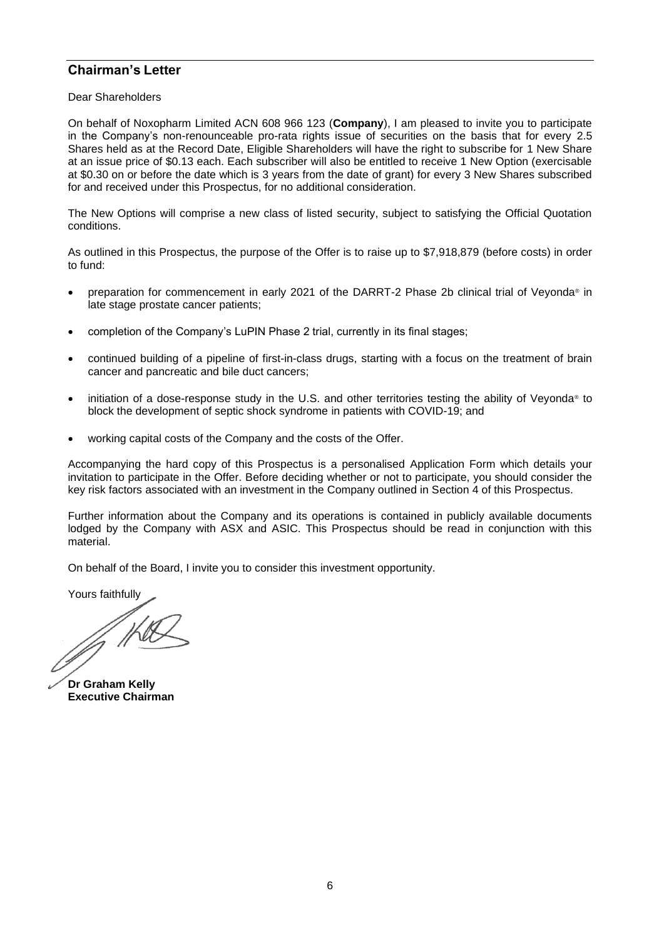# **Chairman's Letter**

Dear Shareholders

On behalf of Noxopharm Limited ACN 608 966 123 (**Company**), I am pleased to invite you to participate in the Company's non-renounceable pro-rata rights issue of securities on the basis that for every 2.5 Shares held as at the Record Date, Eligible Shareholders will have the right to subscribe for 1 New Share at an issue price of \$0.13 each. Each subscriber will also be entitled to receive 1 New Option (exercisable at \$0.30 on or before the date which is 3 years from the date of grant) for every 3 New Shares subscribed for and received under this Prospectus, for no additional consideration.

The New Options will comprise a new class of listed security, subject to satisfying the Official Quotation conditions.

As outlined in this Prospectus, the purpose of the Offer is to raise up to \$7,918,879 (before costs) in order to fund:

- preparation for commencement in early 2021 of the DARRT-2 Phase 2b clinical trial of Veyonda® in late stage prostate cancer patients;
- completion of the Company's LuPIN Phase 2 trial, currently in its final stages;
- continued building of a pipeline of first-in-class drugs, starting with a focus on the treatment of brain cancer and pancreatic and bile duct cancers;
- initiation of a dose-response study in the U.S. and other territories testing the ability of Veyonda<sup>®</sup> to block the development of septic shock syndrome in patients with COVID-19; and
- working capital costs of the Company and the costs of the Offer.

Accompanying the hard copy of this Prospectus is a personalised Application Form which details your invitation to participate in the Offer. Before deciding whether or not to participate, you should consider the key risk factors associated with an investment in the Company outlined in Section [4](#page-27-0) of this Prospectus.

Further information about the Company and its operations is contained in publicly available documents lodged by the Company with ASX and ASIC. This Prospectus should be read in conjunction with this material.

On behalf of the Board, I invite you to consider this investment opportunity.

Yours faithfully

JA HUE

**Dr Graham Kelly Executive Chairman**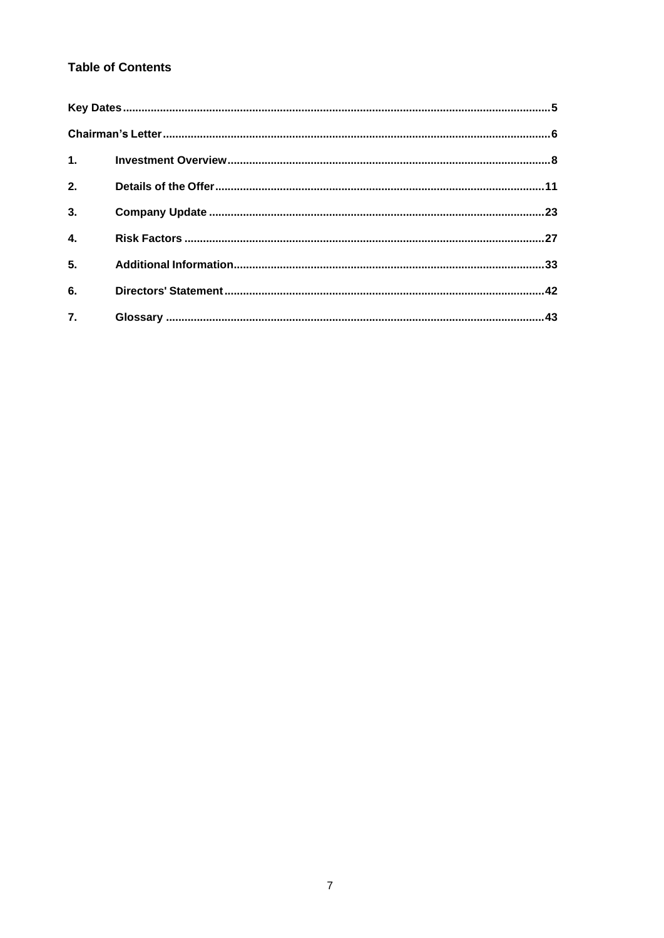# **Table of Contents**

| 2.               |  |
|------------------|--|
| $\overline{3}$ . |  |
| $\overline{4}$ . |  |
| 5.               |  |
| 6.               |  |
| $\overline{7}$ . |  |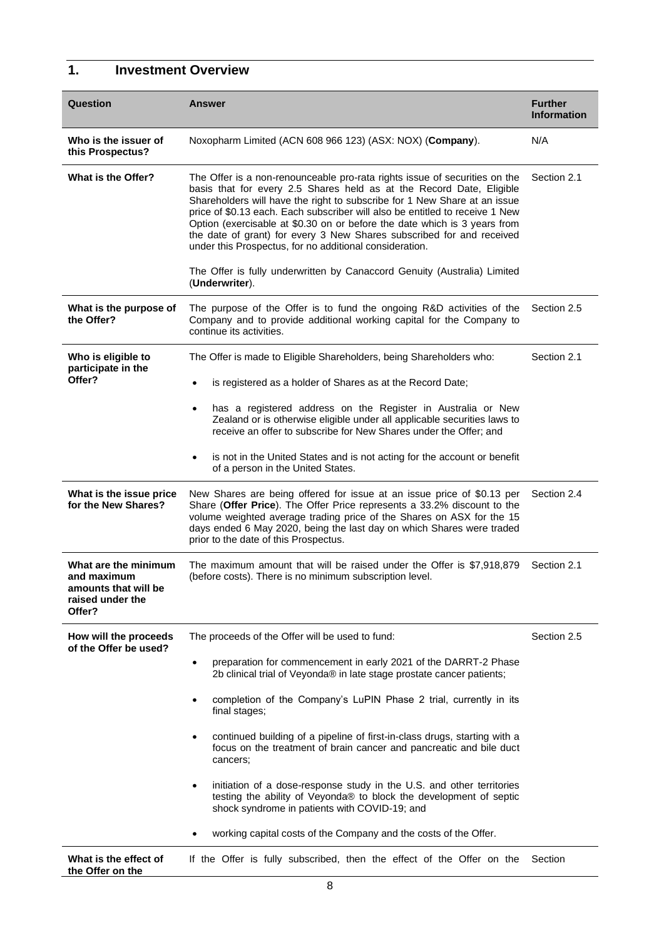# **1. Investment Overview**

| Question                                                                                  | <b>Answer</b>                                                                                                                                                                                                                                                                                                                                                                                                                                                                                                                    | <b>Further</b><br><b>Information</b> |  |
|-------------------------------------------------------------------------------------------|----------------------------------------------------------------------------------------------------------------------------------------------------------------------------------------------------------------------------------------------------------------------------------------------------------------------------------------------------------------------------------------------------------------------------------------------------------------------------------------------------------------------------------|--------------------------------------|--|
| Who is the issuer of<br>this Prospectus?                                                  | Noxopharm Limited (ACN 608 966 123) (ASX: NOX) (Company).                                                                                                                                                                                                                                                                                                                                                                                                                                                                        | N/A                                  |  |
| What is the Offer?                                                                        | The Offer is a non-renounceable pro-rata rights issue of securities on the<br>basis that for every 2.5 Shares held as at the Record Date, Eligible<br>Shareholders will have the right to subscribe for 1 New Share at an issue<br>price of \$0.13 each. Each subscriber will also be entitled to receive 1 New<br>Option (exercisable at \$0.30 on or before the date which is 3 years from<br>the date of grant) for every 3 New Shares subscribed for and received<br>under this Prospectus, for no additional consideration. | Section 2.1                          |  |
|                                                                                           | The Offer is fully underwritten by Canaccord Genuity (Australia) Limited<br>(Underwriter).                                                                                                                                                                                                                                                                                                                                                                                                                                       |                                      |  |
| What is the purpose of<br>the Offer?                                                      | The purpose of the Offer is to fund the ongoing R&D activities of the<br>Company and to provide additional working capital for the Company to<br>continue its activities.                                                                                                                                                                                                                                                                                                                                                        | Section 2.5                          |  |
| Who is eligible to<br>participate in the                                                  | The Offer is made to Eligible Shareholders, being Shareholders who:                                                                                                                                                                                                                                                                                                                                                                                                                                                              | Section 2.1                          |  |
| Offer?                                                                                    | is registered as a holder of Shares as at the Record Date;<br>$\bullet$                                                                                                                                                                                                                                                                                                                                                                                                                                                          |                                      |  |
|                                                                                           | has a registered address on the Register in Australia or New<br>$\bullet$<br>Zealand or is otherwise eligible under all applicable securities laws to<br>receive an offer to subscribe for New Shares under the Offer; and                                                                                                                                                                                                                                                                                                       |                                      |  |
|                                                                                           | is not in the United States and is not acting for the account or benefit<br>$\bullet$<br>of a person in the United States.                                                                                                                                                                                                                                                                                                                                                                                                       |                                      |  |
| What is the issue price<br>for the New Shares?                                            | New Shares are being offered for issue at an issue price of \$0.13 per<br>Share (Offer Price). The Offer Price represents a 33.2% discount to the<br>volume weighted average trading price of the Shares on ASX for the 15<br>days ended 6 May 2020, being the last day on which Shares were traded<br>prior to the date of this Prospectus.                                                                                                                                                                                     |                                      |  |
| What are the minimum<br>and maximum<br>amounts that will be<br>raised under the<br>Offer? | The maximum amount that will be raised under the Offer is \$7,918,879<br>(before costs). There is no minimum subscription level.                                                                                                                                                                                                                                                                                                                                                                                                 |                                      |  |
| How will the proceeds<br>of the Offer be used?                                            | The proceeds of the Offer will be used to fund:                                                                                                                                                                                                                                                                                                                                                                                                                                                                                  | Section 2.5                          |  |
|                                                                                           | preparation for commencement in early 2021 of the DARRT-2 Phase<br>$\bullet$<br>2b clinical trial of Veyonda® in late stage prostate cancer patients;                                                                                                                                                                                                                                                                                                                                                                            |                                      |  |
|                                                                                           | completion of the Company's LuPIN Phase 2 trial, currently in its<br>$\bullet$<br>final stages;                                                                                                                                                                                                                                                                                                                                                                                                                                  |                                      |  |
|                                                                                           | continued building of a pipeline of first-in-class drugs, starting with a<br>$\bullet$<br>focus on the treatment of brain cancer and pancreatic and bile duct<br>cancers;                                                                                                                                                                                                                                                                                                                                                        |                                      |  |
|                                                                                           | initiation of a dose-response study in the U.S. and other territories<br>$\bullet$<br>testing the ability of Veyonda® to block the development of septic<br>shock syndrome in patients with COVID-19; and                                                                                                                                                                                                                                                                                                                        |                                      |  |
|                                                                                           | working capital costs of the Company and the costs of the Offer.<br>$\bullet$                                                                                                                                                                                                                                                                                                                                                                                                                                                    |                                      |  |
| What is the effect of<br>the Offer on the                                                 | If the Offer is fully subscribed, then the effect of the Offer on the                                                                                                                                                                                                                                                                                                                                                                                                                                                            | Section                              |  |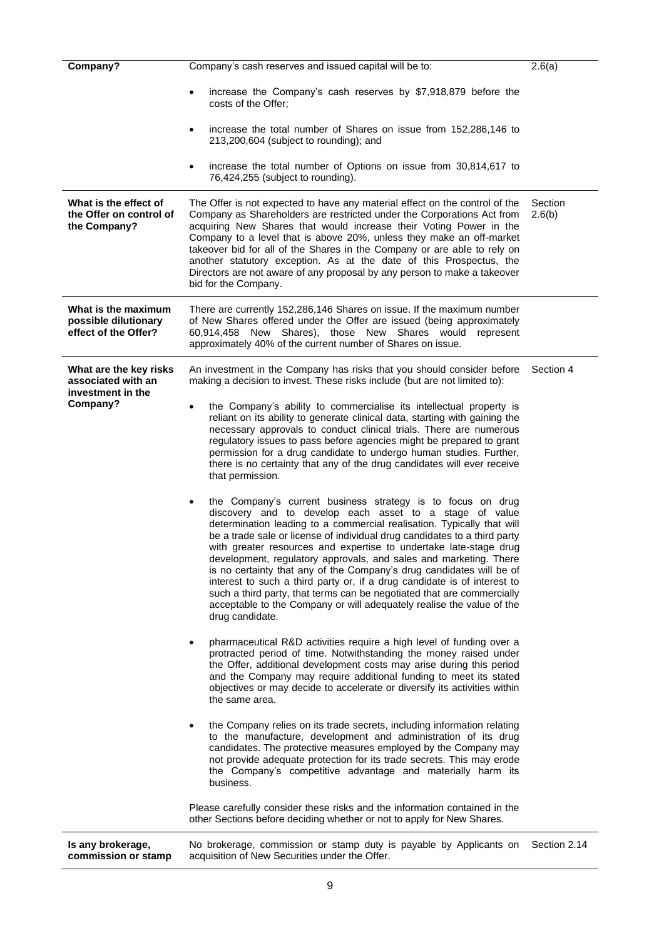| Company?                                                                      | Company's cash reserves and issued capital will be to:<br>2.6(a)                                                                                                                                                                                                                                                                                                                                                                                                                                                                                                                                                                                                                                                                                                                                                                                                                                                                                                                                                                                                                                                                                                                                                                                                                                                                                                                                                                                                                                                                                                                                                                                                                                                                                                                                                                                                                                                                                                                                                                                                                                                                                                                                                                                              |           |  |  |
|-------------------------------------------------------------------------------|---------------------------------------------------------------------------------------------------------------------------------------------------------------------------------------------------------------------------------------------------------------------------------------------------------------------------------------------------------------------------------------------------------------------------------------------------------------------------------------------------------------------------------------------------------------------------------------------------------------------------------------------------------------------------------------------------------------------------------------------------------------------------------------------------------------------------------------------------------------------------------------------------------------------------------------------------------------------------------------------------------------------------------------------------------------------------------------------------------------------------------------------------------------------------------------------------------------------------------------------------------------------------------------------------------------------------------------------------------------------------------------------------------------------------------------------------------------------------------------------------------------------------------------------------------------------------------------------------------------------------------------------------------------------------------------------------------------------------------------------------------------------------------------------------------------------------------------------------------------------------------------------------------------------------------------------------------------------------------------------------------------------------------------------------------------------------------------------------------------------------------------------------------------------------------------------------------------------------------------------------------------|-----------|--|--|
|                                                                               | increase the Company's cash reserves by \$7,918,879 before the<br>costs of the Offer;                                                                                                                                                                                                                                                                                                                                                                                                                                                                                                                                                                                                                                                                                                                                                                                                                                                                                                                                                                                                                                                                                                                                                                                                                                                                                                                                                                                                                                                                                                                                                                                                                                                                                                                                                                                                                                                                                                                                                                                                                                                                                                                                                                         |           |  |  |
|                                                                               | increase the total number of Shares on issue from 152,286,146 to<br>$\bullet$<br>213,200,604 (subject to rounding); and                                                                                                                                                                                                                                                                                                                                                                                                                                                                                                                                                                                                                                                                                                                                                                                                                                                                                                                                                                                                                                                                                                                                                                                                                                                                                                                                                                                                                                                                                                                                                                                                                                                                                                                                                                                                                                                                                                                                                                                                                                                                                                                                       |           |  |  |
|                                                                               | increase the total number of Options on issue from 30,814,617 to<br>٠<br>76,424,255 (subject to rounding).                                                                                                                                                                                                                                                                                                                                                                                                                                                                                                                                                                                                                                                                                                                                                                                                                                                                                                                                                                                                                                                                                                                                                                                                                                                                                                                                                                                                                                                                                                                                                                                                                                                                                                                                                                                                                                                                                                                                                                                                                                                                                                                                                    |           |  |  |
| What is the effect of<br>the Offer on control of<br>the Company?              | The Offer is not expected to have any material effect on the control of the<br>Section<br>Company as Shareholders are restricted under the Corporations Act from<br>2.6(b)<br>acquiring New Shares that would increase their Voting Power in the<br>Company to a level that is above 20%, unless they make an off-market<br>takeover bid for all of the Shares in the Company or are able to rely on<br>another statutory exception. As at the date of this Prospectus, the<br>Directors are not aware of any proposal by any person to make a takeover<br>bid for the Company.                                                                                                                                                                                                                                                                                                                                                                                                                                                                                                                                                                                                                                                                                                                                                                                                                                                                                                                                                                                                                                                                                                                                                                                                                                                                                                                                                                                                                                                                                                                                                                                                                                                                               |           |  |  |
| What is the maximum<br>possible dilutionary<br>effect of the Offer?           | There are currently 152,286,146 Shares on issue. If the maximum number<br>of New Shares offered under the Offer are issued (being approximately<br>60,914,458 New Shares), those New Shares would<br>represent<br>approximately 40% of the current number of Shares on issue.                                                                                                                                                                                                                                                                                                                                                                                                                                                                                                                                                                                                                                                                                                                                                                                                                                                                                                                                                                                                                                                                                                                                                                                                                                                                                                                                                                                                                                                                                                                                                                                                                                                                                                                                                                                                                                                                                                                                                                                 |           |  |  |
| What are the key risks<br>associated with an<br>investment in the<br>Company? | An investment in the Company has risks that you should consider before<br>making a decision to invest. These risks include (but are not limited to):<br>the Company's ability to commercialise its intellectual property is<br>reliant on its ability to generate clinical data, starting with gaining the<br>necessary approvals to conduct clinical trials. There are numerous<br>regulatory issues to pass before agencies might be prepared to grant<br>permission for a drug candidate to undergo human studies. Further,<br>there is no certainty that any of the drug candidates will ever receive<br>that permission.<br>the Company's current business strategy is to focus on drug<br>٠<br>discovery and to develop each asset to a stage of value<br>determination leading to a commercial realisation. Typically that will<br>be a trade sale or license of individual drug candidates to a third party<br>with greater resources and expertise to undertake late-stage drug<br>development, regulatory approvals, and sales and marketing. There<br>is no certainty that any of the Company's drug candidates will be of<br>interest to such a third party or, if a drug candidate is of interest to<br>such a third party, that terms can be negotiated that are commercially<br>acceptable to the Company or will adequately realise the value of the<br>drug candidate.<br>pharmaceutical R&D activities require a high level of funding over a<br>$\bullet$<br>protracted period of time. Notwithstanding the money raised under<br>the Offer, additional development costs may arise during this period<br>and the Company may require additional funding to meet its stated<br>objectives or may decide to accelerate or diversify its activities within<br>the same area.<br>the Company relies on its trade secrets, including information relating<br>$\bullet$<br>to the manufacture, development and administration of its drug<br>candidates. The protective measures employed by the Company may<br>not provide adequate protection for its trade secrets. This may erode<br>the Company's competitive advantage and materially harm its<br>business.<br>Please carefully consider these risks and the information contained in the | Section 4 |  |  |
|                                                                               | other Sections before deciding whether or not to apply for New Shares.                                                                                                                                                                                                                                                                                                                                                                                                                                                                                                                                                                                                                                                                                                                                                                                                                                                                                                                                                                                                                                                                                                                                                                                                                                                                                                                                                                                                                                                                                                                                                                                                                                                                                                                                                                                                                                                                                                                                                                                                                                                                                                                                                                                        |           |  |  |
| Is any brokerage,<br>commission or stamp                                      | No brokerage, commission or stamp duty is payable by Applicants on Section 2.14<br>acquisition of New Securities under the Offer.                                                                                                                                                                                                                                                                                                                                                                                                                                                                                                                                                                                                                                                                                                                                                                                                                                                                                                                                                                                                                                                                                                                                                                                                                                                                                                                                                                                                                                                                                                                                                                                                                                                                                                                                                                                                                                                                                                                                                                                                                                                                                                                             |           |  |  |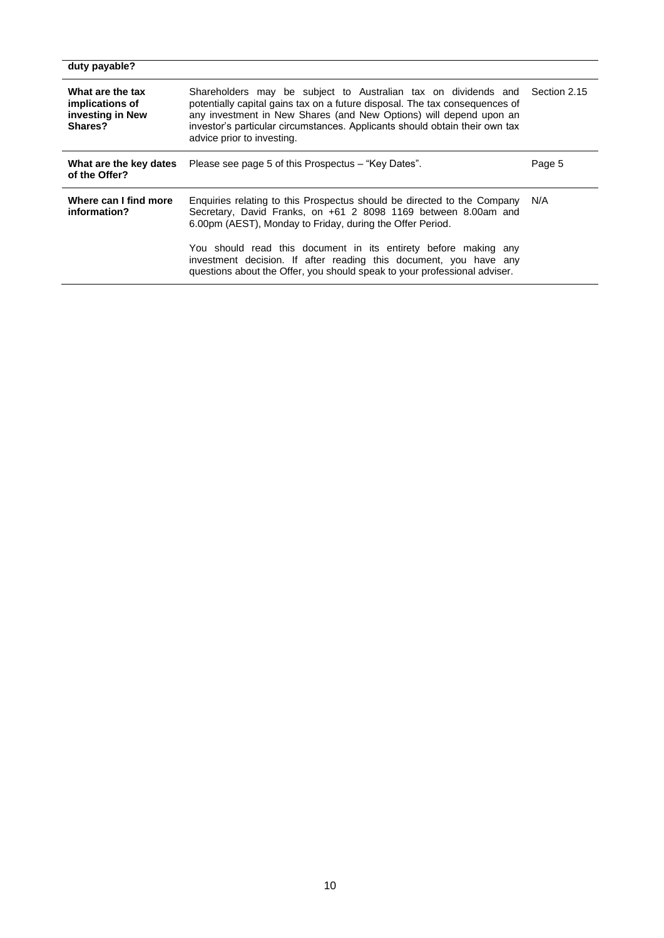| duty payable?                                                      |                                                                                                                                                                                                                                                                                                                                                                                                                             |              |
|--------------------------------------------------------------------|-----------------------------------------------------------------------------------------------------------------------------------------------------------------------------------------------------------------------------------------------------------------------------------------------------------------------------------------------------------------------------------------------------------------------------|--------------|
| What are the tax<br>implications of<br>investing in New<br>Shares? | Shareholders may be subject to Australian tax on dividends and<br>potentially capital gains tax on a future disposal. The tax consequences of<br>any investment in New Shares (and New Options) will depend upon an<br>investor's particular circumstances. Applicants should obtain their own tax<br>advice prior to investing.                                                                                            | Section 2.15 |
| What are the key dates<br>of the Offer?                            | Please see page 5 of this Prospectus – "Key Dates".                                                                                                                                                                                                                                                                                                                                                                         | Page 5       |
| Where can I find more<br>information?                              | Enquiries relating to this Prospectus should be directed to the Company<br>Secretary, David Franks, on +61 2 8098 1169 between 8.00am and<br>6.00pm (AEST), Monday to Friday, during the Offer Period.<br>You should read this document in its entirety before making any<br>investment decision. If after reading this document, you have any<br>questions about the Offer, you should speak to your professional adviser. | N/A          |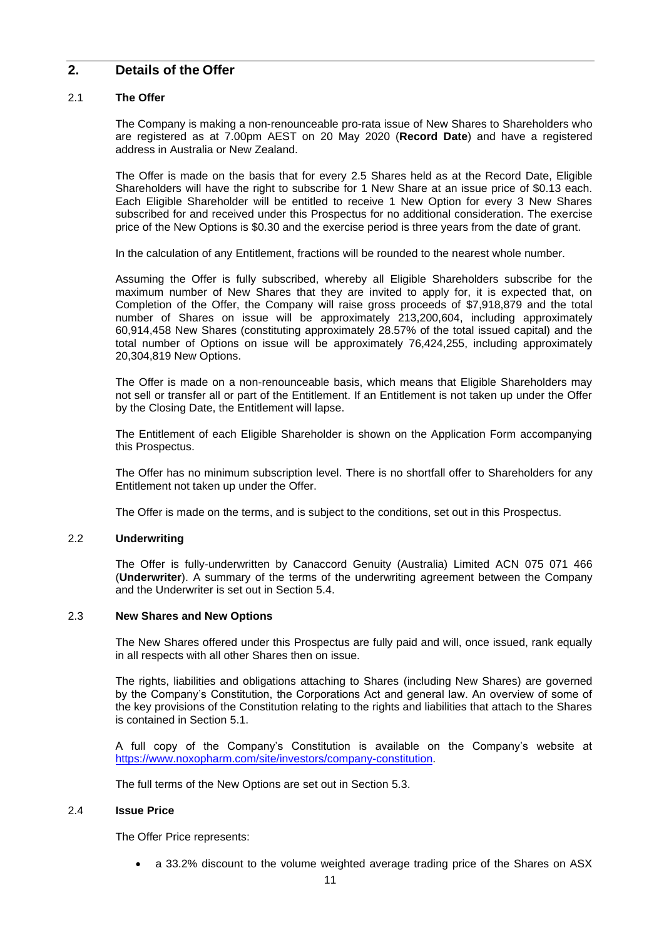# **2. Details of the Offer**

# <span id="page-11-0"></span>2.1 **The Offer**

The Company is making a non-renounceable pro-rata issue of New Shares to Shareholders who are registered as at 7.00pm AEST on 20 May 2020 (**Record Date**) and have a registered address in Australia or New Zealand.

The Offer is made on the basis that for every 2.5 Shares held as at the Record Date, Eligible Shareholders will have the right to subscribe for 1 New Share at an issue price of \$0.13 each. Each Eligible Shareholder will be entitled to receive 1 New Option for every 3 New Shares subscribed for and received under this Prospectus for no additional consideration. The exercise price of the New Options is \$0.30 and the exercise period is three years from the date of grant.

In the calculation of any Entitlement, fractions will be rounded to the nearest whole number.

Assuming the Offer is fully subscribed, whereby all Eligible Shareholders subscribe for the maximum number of New Shares that they are invited to apply for, it is expected that, on Completion of the Offer, the Company will raise gross proceeds of \$7,918,879 and the total number of Shares on issue will be approximately 213,200,604, including approximately 60,914,458 New Shares (constituting approximately 28.57% of the total issued capital) and the total number of Options on issue will be approximately 76,424,255, including approximately 20,304,819 New Options.

The Offer is made on a non-renounceable basis, which means that Eligible Shareholders may not sell or transfer all or part of the Entitlement. If an Entitlement is not taken up under the Offer by the Closing Date, the Entitlement will lapse.

The Entitlement of each Eligible Shareholder is shown on the Application Form accompanying this Prospectus.

The Offer has no minimum subscription level. There is no shortfall offer to Shareholders for any Entitlement not taken up under the Offer.

The Offer is made on the terms, and is subject to the conditions, set out in this Prospectus.

# 2.2 **Underwriting**

The Offer is fully-underwritten by Canaccord Genuity (Australia) Limited ACN 075 071 466 (**Underwriter**). A summary of the terms of the underwriting agreement between the Company and the Underwriter is set out in Section [5.4.](#page-36-0)

# 2.3 **New Shares and New Options**

The New Shares offered under this Prospectus are fully paid and will, once issued, rank equally in all respects with all other Shares then on issue.

The rights, liabilities and obligations attaching to Shares (including New Shares) are governed by the Company's Constitution, the Corporations Act and general law. An overview of some of the key provisions of the Constitution relating to the rights and liabilities that attach to the Shares is contained in Section [5.1.](#page-33-0)

A full copy of the Company's Constitution is available on the Company's website at [https://www.noxopharm.com/site/investors/company-constitution.](https://www.noxopharm.com/site/investors/company-constitution)

The full terms of the New Options are set out in Section [5.3.](#page-35-0)

# <span id="page-11-1"></span>2.4 **Issue Price**

The Offer Price represents:

• a 33.2% discount to the volume weighted average trading price of the Shares on ASX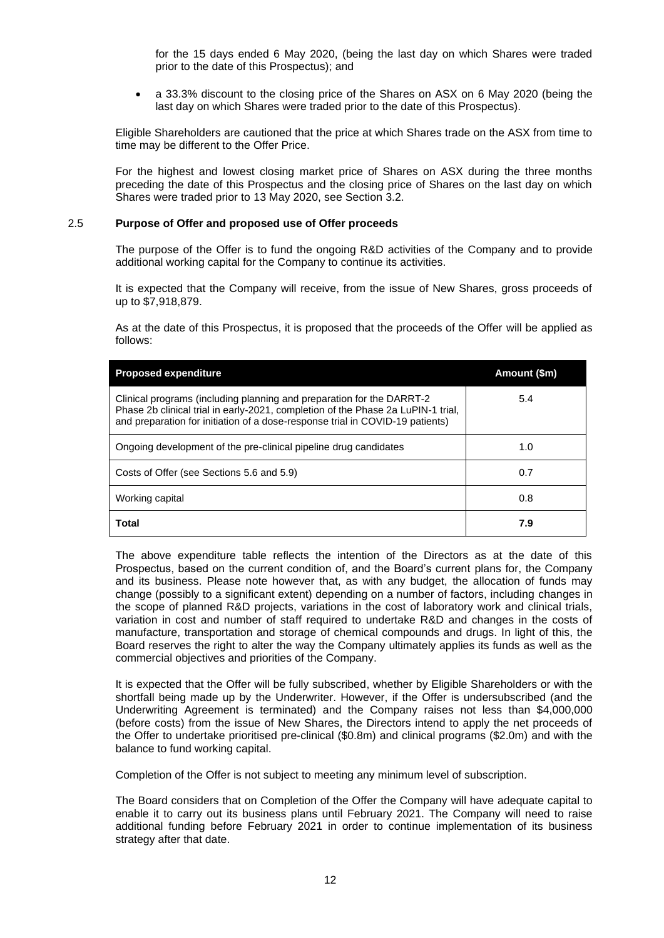for the 15 days ended 6 May 2020, (being the last day on which Shares were traded prior to the date of this Prospectus); and

• a 33.3% discount to the closing price of the Shares on ASX on 6 May 2020 (being the last day on which Shares were traded prior to the date of this Prospectus).

Eligible Shareholders are cautioned that the price at which Shares trade on the ASX from time to time may be different to the Offer Price.

For the highest and lowest closing market price of Shares on ASX during the three months preceding the date of this Prospectus and the closing price of Shares on the last day on which Shares were traded prior to 13 May 2020, see Section [3.2.](#page-26-0)

### <span id="page-12-0"></span>2.5 **Purpose of Offer and proposed use of Offer proceeds**

The purpose of the Offer is to fund the ongoing R&D activities of the Company and to provide additional working capital for the Company to continue its activities.

It is expected that the Company will receive, from the issue of New Shares, gross proceeds of up to \$7,918,879.

As at the date of this Prospectus, it is proposed that the proceeds of the Offer will be applied as follows:

| <b>Proposed expenditure</b>                                                                                                                                                                                                                | Amount (\$m) |
|--------------------------------------------------------------------------------------------------------------------------------------------------------------------------------------------------------------------------------------------|--------------|
| Clinical programs (including planning and preparation for the DARRT-2<br>Phase 2b clinical trial in early-2021, completion of the Phase 2a LuPIN-1 trial,<br>and preparation for initiation of a dose-response trial in COVID-19 patients) | 5.4          |
| Ongoing development of the pre-clinical pipeline drug candidates                                                                                                                                                                           | 1.0          |
| Costs of Offer (see Sections 5.6 and 5.9)                                                                                                                                                                                                  | 0.7          |
| Working capital                                                                                                                                                                                                                            | 0.8          |
| <b>Total</b>                                                                                                                                                                                                                               | 7.9          |

The above expenditure table reflects the intention of the Directors as at the date of this Prospectus, based on the current condition of, and the Board's current plans for, the Company and its business. Please note however that, as with any budget, the allocation of funds may change (possibly to a significant extent) depending on a number of factors, including changes in the scope of planned R&D projects, variations in the cost of laboratory work and clinical trials, variation in cost and number of staff required to undertake R&D and changes in the costs of manufacture, transportation and storage of chemical compounds and drugs. In light of this, the Board reserves the right to alter the way the Company ultimately applies its funds as well as the commercial objectives and priorities of the Company.

It is expected that the Offer will be fully subscribed, whether by Eligible Shareholders or with the shortfall being made up by the Underwriter. However, if the Offer is undersubscribed (and the Underwriting Agreement is terminated) and the Company raises not less than \$4,000,000 (before costs) from the issue of New Shares, the Directors intend to apply the net proceeds of the Offer to undertake prioritised pre-clinical (\$0.8m) and clinical programs (\$2.0m) and with the balance to fund working capital.

Completion of the Offer is not subject to meeting any minimum level of subscription.

The Board considers that on Completion of the Offer the Company will have adequate capital to enable it to carry out its business plans until February 2021. The Company will need to raise additional funding before February 2021 in order to continue implementation of its business strategy after that date.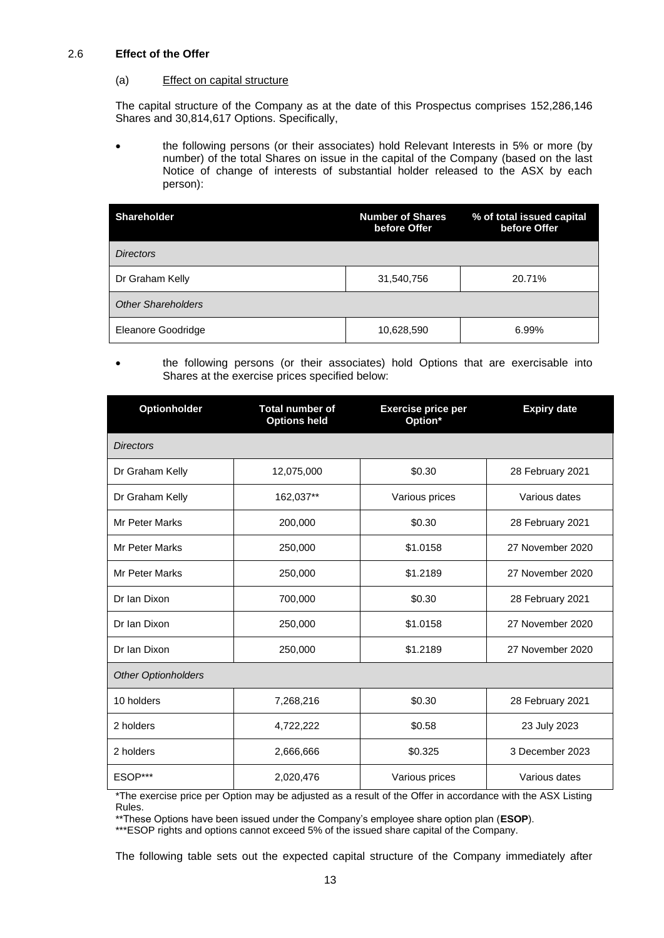# <span id="page-13-0"></span>2.6 **Effect of the Offer**

# (a) Effect on capital structure

The capital structure of the Company as at the date of this Prospectus comprises 152,286,146 Shares and 30,814,617 Options. Specifically,

• the following persons (or their associates) hold Relevant Interests in 5% or more (by number) of the total Shares on issue in the capital of the Company (based on the last Notice of change of interests of substantial holder released to the ASX by each person):

| <b>Shareholder</b>        | <b>Number of Shares</b><br>before Offer | % of total issued capital<br>before Offer |
|---------------------------|-----------------------------------------|-------------------------------------------|
| <b>Directors</b>          |                                         |                                           |
| Dr Graham Kelly           | 31,540,756                              | 20.71%                                    |
| <b>Other Shareholders</b> |                                         |                                           |
| Eleanore Goodridge        | 10,628,590                              | 6.99%                                     |

# • the following persons (or their associates) hold Options that are exercisable into Shares at the exercise prices specified below:

| <b>Optionholder</b>        | <b>Total number of</b><br><b>Options held</b> | <b>Exercise price per</b><br>Option* | <b>Expiry date</b> |
|----------------------------|-----------------------------------------------|--------------------------------------|--------------------|
| <b>Directors</b>           |                                               |                                      |                    |
| Dr Graham Kelly            | 12,075,000                                    | \$0.30                               | 28 February 2021   |
| Dr Graham Kelly            | 162,037**                                     | Various prices                       | Various dates      |
| <b>Mr Peter Marks</b>      | 200,000                                       | \$0.30                               | 28 February 2021   |
| <b>Mr Peter Marks</b>      | 250,000                                       | \$1.0158                             | 27 November 2020   |
| <b>Mr Peter Marks</b>      | 250,000                                       | \$1.2189                             | 27 November 2020   |
| Dr Ian Dixon               | 700,000                                       | \$0.30                               | 28 February 2021   |
| Dr Ian Dixon               | 250,000                                       | \$1.0158                             | 27 November 2020   |
| Dr Ian Dixon               | 250,000                                       | \$1.2189                             | 27 November 2020   |
| <b>Other Optionholders</b> |                                               |                                      |                    |
| 10 holders                 | 7,268,216                                     | \$0.30                               | 28 February 2021   |
| 2 holders                  | 4,722,222                                     | \$0.58                               | 23 July 2023       |
| 2 holders                  | 2,666,666                                     | \$0.325                              | 3 December 2023    |
| ESOP***                    | 2,020,476                                     | Various prices                       | Various dates      |

\*The exercise price per Option may be adjusted as a result of the Offer in accordance with the ASX Listing Rules.

\*\*These Options have been issued under the Company's employee share option plan (**ESOP**).

\*\*\*ESOP rights and options cannot exceed 5% of the issued share capital of the Company.

The following table sets out the expected capital structure of the Company immediately after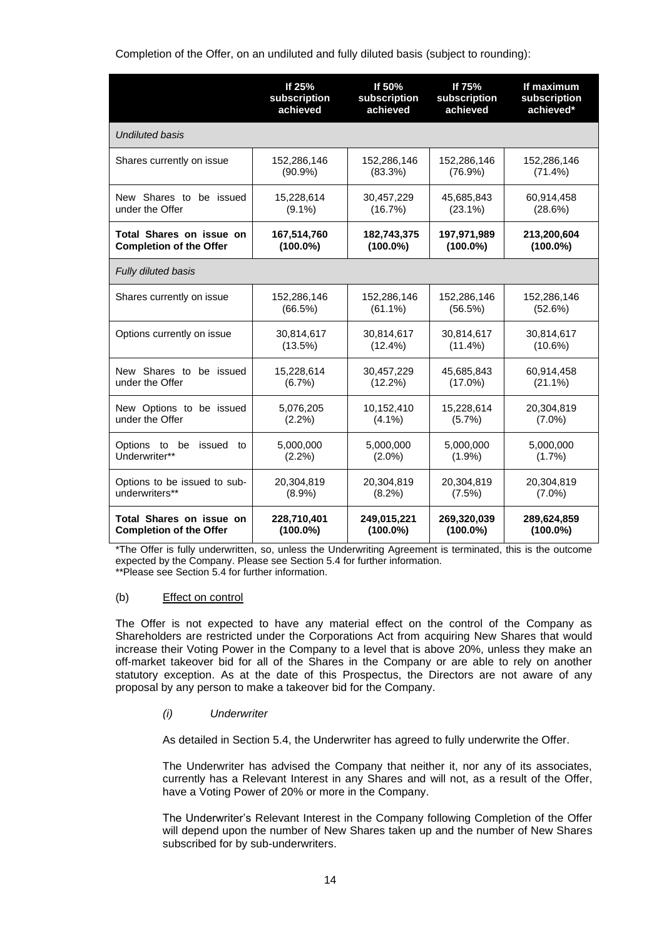Completion of the Offer, on an undiluted and fully diluted basis (subject to rounding):

|                                                | If 25%                 | If 50%                 | If 75%                 | If maximum             |
|------------------------------------------------|------------------------|------------------------|------------------------|------------------------|
|                                                | subscription           | subscription           | subscription           | subscription           |
|                                                | achieved               | achieved               | achieved               | achieved*              |
| <b>Undiluted basis</b>                         |                        |                        |                        |                        |
| Shares currently on issue                      | 152,286,146            | 152,286,146            | 152,286,146            | 152,286,146            |
|                                                | $(90.9\%)$             | (83.3%)                | (76.9%)                | $(71.4\%)$             |
| New Shares to be issued                        | 15,228,614             | 30,457,229             | 45,685,843             | 60,914,458             |
| under the Offer                                | $(9.1\%)$              | (16.7%)                | $(23.1\%)$             | (28.6%)                |
| Total Shares on issue on                       | 167,514,760            | 182,743,375            | 197,971,989            | 213,200,604            |
| <b>Completion of the Offer</b>                 | $(100.0\%)$            | $(100.0\%)$            | $(100.0\%)$            | $(100.0\%)$            |
| Fully diluted basis                            |                        |                        |                        |                        |
| Shares currently on issue                      | 152,286,146            | 152,286,146            | 152,286,146            | 152,286,146            |
|                                                | (66.5%)                | $(61.1\%)$             | (56.5%)                | (52.6%)                |
| Options currently on issue                     | 30,814,617             | 30,814,617             | 30,814,617             | 30,814,617             |
|                                                | (13.5%)                | $(12.4\%)$             | $(11.4\%)$             | $(10.6\%)$             |
| New Shares to be issued                        | 15,228,614             | 30,457,229             | 45,685,843             | 60,914,458             |
| under the Offer                                | $(6.7\%)$              | $(12.2\%)$             | $(17.0\%)$             | $(21.1\%)$             |
| New Options to be issued                       | 5,076,205              | 10,152,410             | 15,228,614             | 20,304,819             |
| under the Offer                                | $(2.2\%)$              | $(4.1\%)$              | $(5.7\%)$              | $(7.0\%)$              |
| Options to be<br>issued<br>to<br>Underwriter** | 5,000,000<br>$(2.2\%)$ | 5,000,000<br>$(2.0\%)$ | 5,000,000<br>$(1.9\%)$ | 5,000,000<br>$(1.7\%)$ |
| Options to be issued to sub-                   | 20,304,819             | 20,304,819             | 20,304,819             | 20,304,819             |
| underwriters**                                 | $(8.9\%)$              | $(8.2\%)$              | $(7.5\%)$              | $(7.0\%)$              |
| Total Shares on issue on                       | 228,710,401            | 249,015,221            | 269,320,039            | 289,624,859            |
| <b>Completion of the Offer</b>                 | $(100.0\%)$            | $(100.0\%)$            | $(100.0\%)$            | $(100.0\%)$            |

\*The Offer is fully underwritten, so, unless the Underwriting Agreement is terminated, this is the outcome expected by the Company. Please see Sectio[n 5.4](#page-36-0) for further information. \*\*Please see Section [5.4](#page-36-0) for further information.

# <span id="page-14-0"></span>(b) Effect on control

The Offer is not expected to have any material effect on the control of the Company as Shareholders are restricted under the Corporations Act from acquiring New Shares that would increase their Voting Power in the Company to a level that is above 20%, unless they make an off-market takeover bid for all of the Shares in the Company or are able to rely on another statutory exception. As at the date of this Prospectus, the Directors are not aware of any proposal by any person to make a takeover bid for the Company.

# *(i) Underwriter*

As detailed in Section [5.4,](#page-36-0) the Underwriter has agreed to fully underwrite the Offer.

The Underwriter has advised the Company that neither it, nor any of its associates, currently has a Relevant Interest in any Shares and will not, as a result of the Offer, have a Voting Power of 20% or more in the Company.

The Underwriter's Relevant Interest in the Company following Completion of the Offer will depend upon the number of New Shares taken up and the number of New Shares subscribed for by sub-underwriters.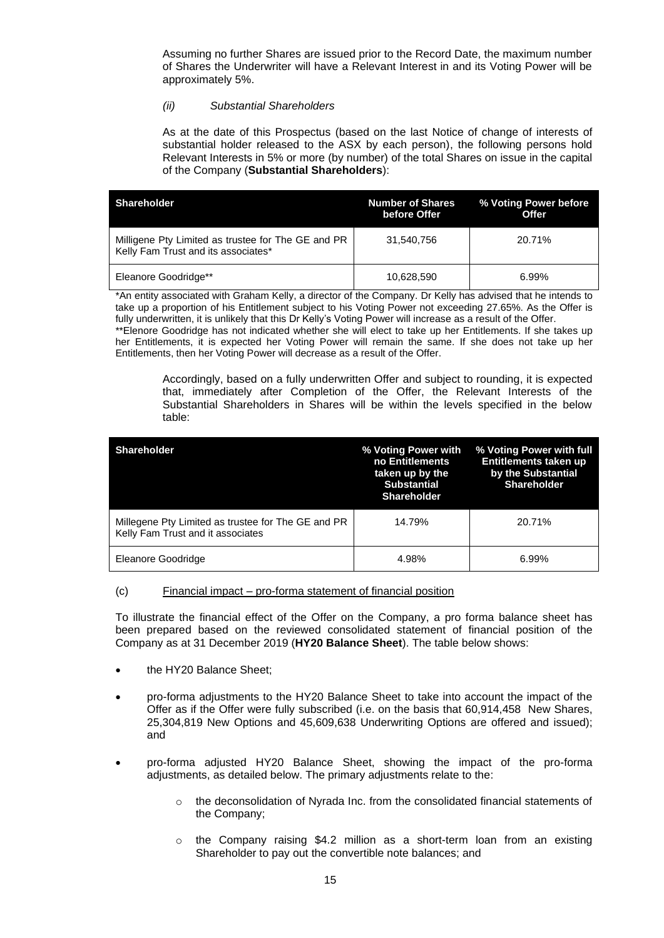Assuming no further Shares are issued prior to the Record Date, the maximum number of Shares the Underwriter will have a Relevant Interest in and its Voting Power will be approximately 5%.

# *(ii) Substantial Shareholders*

As at the date of this Prospectus (based on the last Notice of change of interests of substantial holder released to the ASX by each person), the following persons hold Relevant Interests in 5% or more (by number) of the total Shares on issue in the capital of the Company (**Substantial Shareholders**):

| <b>Shareholder</b>                                                                        | <b>Number of Shares</b><br>before Offer | % Voting Power before<br>Offer |
|-------------------------------------------------------------------------------------------|-----------------------------------------|--------------------------------|
| Milligene Pty Limited as trustee for The GE and PR<br>Kelly Fam Trust and its associates* | 31.540.756                              | 20.71%                         |
| Eleanore Goodridge**                                                                      | 10,628,590                              | 6.99%                          |

\*An entity associated with Graham Kelly, a director of the Company. Dr Kelly has advised that he intends to take up a proportion of his Entitlement subject to his Voting Power not exceeding 27.65%. As the Offer is fully underwritten, it is unlikely that this Dr Kelly's Voting Power will increase as a result of the Offer. \*\*Elenore Goodridge has not indicated whether she will elect to take up her Entitlements. If she takes up her Entitlements, it is expected her Voting Power will remain the same. If she does not take up her Entitlements, then her Voting Power will decrease as a result of the Offer.

Accordingly, based on a fully underwritten Offer and subject to rounding, it is expected that, immediately after Completion of the Offer, the Relevant Interests of the Substantial Shareholders in Shares will be within the levels specified in the below table:

| <b>Shareholder</b>                                                                      | % Voting Power with<br>no Entitlements<br>taken up by the<br><b>Substantial</b><br><b>Shareholder</b> | % Voting Power with full<br>Entitlements taken up<br>by the Substantial<br><b>Shareholder</b> |
|-----------------------------------------------------------------------------------------|-------------------------------------------------------------------------------------------------------|-----------------------------------------------------------------------------------------------|
| Millegene Pty Limited as trustee for The GE and PR<br>Kelly Fam Trust and it associates | 14.79%                                                                                                | 20.71%                                                                                        |
| Eleanore Goodridge                                                                      | 4.98%                                                                                                 | 6.99%                                                                                         |

# (c) Financial impact – pro-forma statement of financial position

To illustrate the financial effect of the Offer on the Company, a pro forma balance sheet has been prepared based on the reviewed consolidated statement of financial position of the Company as at 31 December 2019 (**HY20 Balance Sheet**). The table below shows:

- the HY20 Balance Sheet;
- pro-forma adjustments to the HY20 Balance Sheet to take into account the impact of the Offer as if the Offer were fully subscribed (i.e. on the basis that 60,914,458 New Shares, 25,304,819 New Options and 45,609,638 Underwriting Options are offered and issued); and
- pro-forma adjusted HY20 Balance Sheet, showing the impact of the pro-forma adjustments, as detailed below. The primary adjustments relate to the:
	- $\circ$  the deconsolidation of Nyrada Inc. from the consolidated financial statements of the Company;
	- $\circ$  the Company raising \$4.2 million as a short-term loan from an existing Shareholder to pay out the convertible note balances; and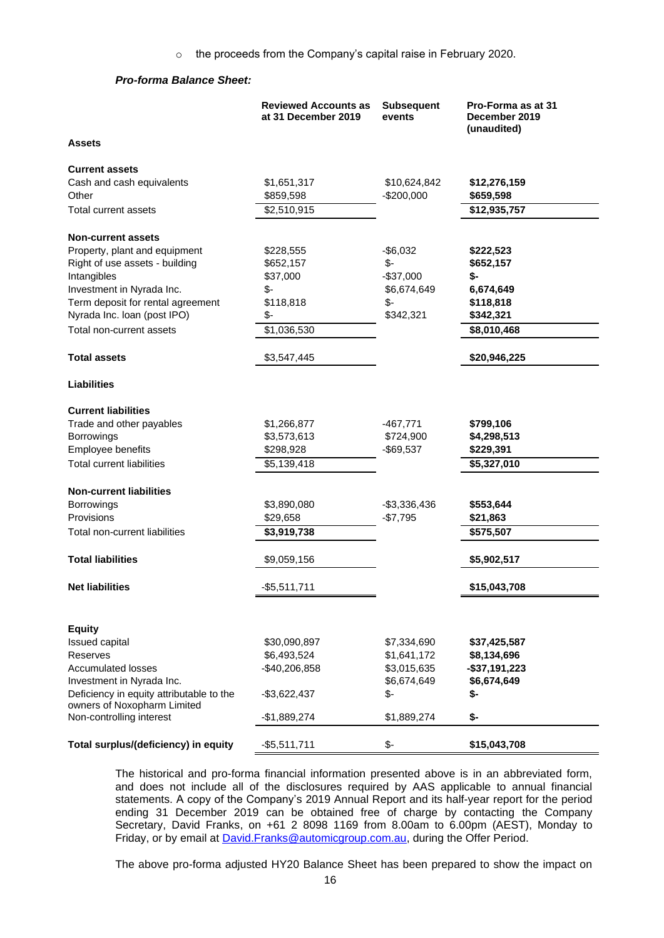# *Pro-forma Balance Sheet:*

|                                                                         | <b>Reviewed Accounts as</b><br>at 31 December 2019 | <b>Subsequent</b><br>events | Pro-Forma as at 31<br>December 2019<br>(unaudited) |
|-------------------------------------------------------------------------|----------------------------------------------------|-----------------------------|----------------------------------------------------|
| Assets                                                                  |                                                    |                             |                                                    |
| <b>Current assets</b>                                                   |                                                    |                             |                                                    |
| Cash and cash equivalents                                               | \$1,651,317                                        | \$10,624,842                | \$12,276,159                                       |
| Other                                                                   | \$859,598                                          | $-$200,000$                 | \$659,598                                          |
| Total current assets                                                    | \$2,510,915                                        |                             | \$12,935,757                                       |
| <b>Non-current assets</b>                                               |                                                    |                             |                                                    |
| Property, plant and equipment                                           | \$228,555                                          | $-$ \$6,032                 | \$222,523                                          |
| Right of use assets - building                                          | \$652,157                                          | \$-                         | \$652,157                                          |
| Intangibles                                                             | \$37,000                                           | $-$37,000$                  | \$-                                                |
| Investment in Nyrada Inc.                                               | $$-$                                               | \$6,674,649                 | 6,674,649                                          |
| Term deposit for rental agreement                                       | \$118,818                                          | \$-                         | \$118,818                                          |
| Nyrada Inc. Ioan (post IPO)                                             | \$-                                                | \$342,321                   | \$342,321                                          |
| Total non-current assets                                                | \$1,036,530                                        |                             | \$8,010,468                                        |
| <b>Total assets</b>                                                     | \$3,547,445                                        |                             | \$20,946,225                                       |
| <b>Liabilities</b>                                                      |                                                    |                             |                                                    |
| <b>Current liabilities</b>                                              |                                                    |                             |                                                    |
| Trade and other payables                                                | \$1,266,877                                        | -467,771                    | \$799,106                                          |
| Borrowings                                                              | \$3,573,613                                        | \$724,900                   | \$4,298,513                                        |
| Employee benefits                                                       | \$298,928                                          | $-$69,537$                  | \$229,391                                          |
| <b>Total current liabilities</b>                                        | \$5,139,418                                        |                             | \$5,327,010                                        |
| <b>Non-current liabilities</b>                                          |                                                    |                             |                                                    |
| <b>Borrowings</b>                                                       | \$3,890,080                                        | -\$3,336,436                | \$553,644                                          |
| Provisions                                                              | \$29,658                                           | $-$7,795$                   | \$21,863                                           |
| Total non-current liabilities                                           | \$3,919,738                                        |                             | \$575,507                                          |
| <b>Total liabilities</b>                                                | \$9,059,156                                        |                             | \$5,902,517                                        |
| <b>Net liabilities</b>                                                  | $-$ \$5,511,711                                    |                             | \$15,043,708                                       |
|                                                                         |                                                    |                             |                                                    |
| <b>Equity</b>                                                           |                                                    |                             |                                                    |
| <b>Issued capital</b>                                                   | \$30,090,897                                       | \$7,334,690                 | \$37,425,587                                       |
| Reserves                                                                | \$6,493,524                                        | \$1,641,172                 | \$8,134,696                                        |
| <b>Accumulated losses</b>                                               | $-$40,206,858$                                     | \$3,015,635                 | $-$ \$37,191,223                                   |
| Investment in Nyrada Inc.                                               |                                                    | \$6,674,649                 | \$6,674,649                                        |
| Deficiency in equity attributable to the<br>owners of Noxopharm Limited | $-$3,622,437$                                      | \$-                         | \$-                                                |
| Non-controlling interest                                                | -\$1,889,274                                       | \$1,889,274                 | \$-                                                |
| Total surplus/(deficiency) in equity                                    | $-$ \$5,511,711                                    | \$-                         | \$15,043,708                                       |

The historical and pro-forma financial information presented above is in an abbreviated form, and does not include all of the disclosures required by AAS applicable to annual financial statements. A copy of the Company's 2019 Annual Report and its half-year report for the period ending 31 December 2019 can be obtained free of charge by contacting the Company Secretary, David Franks, on +61 2 8098 1169 from 8.00am to 6.00pm (AEST), Monday to Friday, or by email at **David.Franks@automicgroup.com.au**, during the Offer Period.

The above pro-forma adjusted HY20 Balance Sheet has been prepared to show the impact on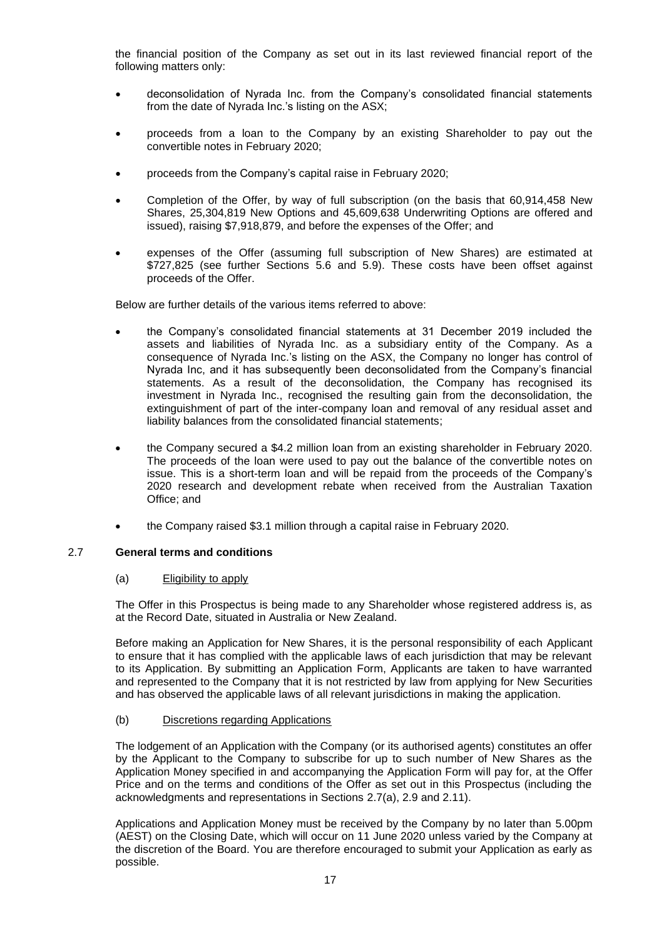the financial position of the Company as set out in its last reviewed financial report of the following matters only:

- deconsolidation of Nyrada Inc. from the Company's consolidated financial statements from the date of Nyrada Inc.'s listing on the ASX;
- proceeds from a loan to the Company by an existing Shareholder to pay out the convertible notes in February 2020;
- proceeds from the Company's capital raise in February 2020;
- Completion of the Offer, by way of full subscription (on the basis that 60,914,458 New Shares, 25,304,819 New Options and 45,609,638 Underwriting Options are offered and issued), raising \$7,918,879, and before the expenses of the Offer; and
- expenses of the Offer (assuming full subscription of New Shares) are estimated at \$727,825 (see further Sections [5.6](#page-40-0) and [5.9\)](#page-41-0). These costs have been offset against proceeds of the Offer.

Below are further details of the various items referred to above:

- the Company's consolidated financial statements at 31 December 2019 included the assets and liabilities of Nyrada Inc. as a subsidiary entity of the Company. As a consequence of Nyrada Inc.'s listing on the ASX, the Company no longer has control of Nyrada Inc, and it has subsequently been deconsolidated from the Company's financial statements. As a result of the deconsolidation, the Company has recognised its investment in Nyrada Inc., recognised the resulting gain from the deconsolidation, the extinguishment of part of the inter-company loan and removal of any residual asset and liability balances from the consolidated financial statements;
- the Company secured a \$4.2 million loan from an existing shareholder in February 2020. The proceeds of the loan were used to pay out the balance of the convertible notes on issue. This is a short-term loan and will be repaid from the proceeds of the Company's 2020 research and development rebate when received from the Australian Taxation Office; and
- the Company raised \$3.1 million through a capital raise in February 2020.

# <span id="page-17-1"></span><span id="page-17-0"></span>2.7 **General terms and conditions**

# (a) Eligibility to apply

The Offer in this Prospectus is being made to any Shareholder whose registered address is, as at the Record Date, situated in Australia or New Zealand.

Before making an Application for New Shares, it is the personal responsibility of each Applicant to ensure that it has complied with the applicable laws of each jurisdiction that may be relevant to its Application. By submitting an Application Form, Applicants are taken to have warranted and represented to the Company that it is not restricted by law from applying for New Securities and has observed the applicable laws of all relevant jurisdictions in making the application.

# (b) Discretions regarding Applications

The lodgement of an Application with the Company (or its authorised agents) constitutes an offer by the Applicant to the Company to subscribe for up to such number of New Shares as the Application Money specified in and accompanying the Application Form will pay for, at the Offer Price and on the terms and conditions of the Offer as set out in this Prospectus (including the acknowledgments and representations in Sections [2.7](#page-17-1)[\(a\),](#page-17-0) [2.9](#page-18-0) and [2.11\)](#page-20-0).

Applications and Application Money must be received by the Company by no later than 5.00pm (AEST) on the Closing Date, which will occur on 11 June 2020 unless varied by the Company at the discretion of the Board. You are therefore encouraged to submit your Application as early as possible.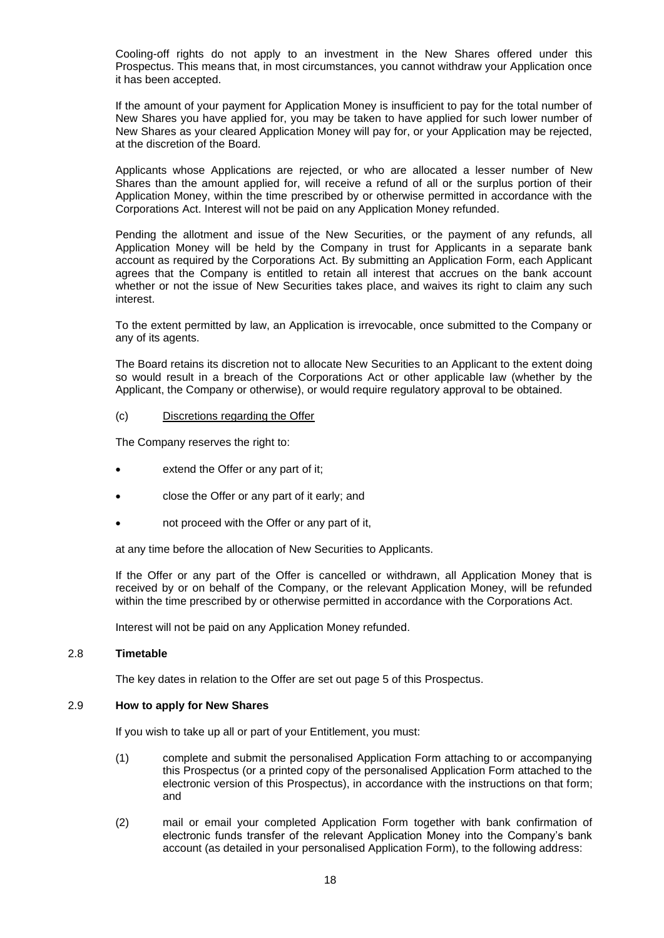Cooling-off rights do not apply to an investment in the New Shares offered under this Prospectus. This means that, in most circumstances, you cannot withdraw your Application once it has been accepted.

If the amount of your payment for Application Money is insufficient to pay for the total number of New Shares you have applied for, you may be taken to have applied for such lower number of New Shares as your cleared Application Money will pay for, or your Application may be rejected, at the discretion of the Board.

Applicants whose Applications are rejected, or who are allocated a lesser number of New Shares than the amount applied for, will receive a refund of all or the surplus portion of their Application Money, within the time prescribed by or otherwise permitted in accordance with the Corporations Act. Interest will not be paid on any Application Money refunded.

Pending the allotment and issue of the New Securities, or the payment of any refunds, all Application Money will be held by the Company in trust for Applicants in a separate bank account as required by the Corporations Act. By submitting an Application Form, each Applicant agrees that the Company is entitled to retain all interest that accrues on the bank account whether or not the issue of New Securities takes place, and waives its right to claim any such interest.

To the extent permitted by law, an Application is irrevocable, once submitted to the Company or any of its agents.

The Board retains its discretion not to allocate New Securities to an Applicant to the extent doing so would result in a breach of the Corporations Act or other applicable law (whether by the Applicant, the Company or otherwise), or would require regulatory approval to be obtained.

# (c) Discretions regarding the Offer

The Company reserves the right to:

- extend the Offer or any part of it;
- close the Offer or any part of it early; and
- not proceed with the Offer or any part of it,

at any time before the allocation of New Securities to Applicants.

If the Offer or any part of the Offer is cancelled or withdrawn, all Application Money that is received by or on behalf of the Company, or the relevant Application Money, will be refunded within the time prescribed by or otherwise permitted in accordance with the Corporations Act.

Interest will not be paid on any Application Money refunded.

# 2.8 **Timetable**

The key dates in relation to the Offer are set out page 5 of this Prospectus.

# <span id="page-18-0"></span>2.9 **How to apply for New Shares**

If you wish to take up all or part of your Entitlement, you must:

- (1) complete and submit the personalised Application Form attaching to or accompanying this Prospectus (or a printed copy of the personalised Application Form attached to the electronic version of this Prospectus), in accordance with the instructions on that form; and
- (2) mail or email your completed Application Form together with bank confirmation of electronic funds transfer of the relevant Application Money into the Company's bank account (as detailed in your personalised Application Form), to the following address: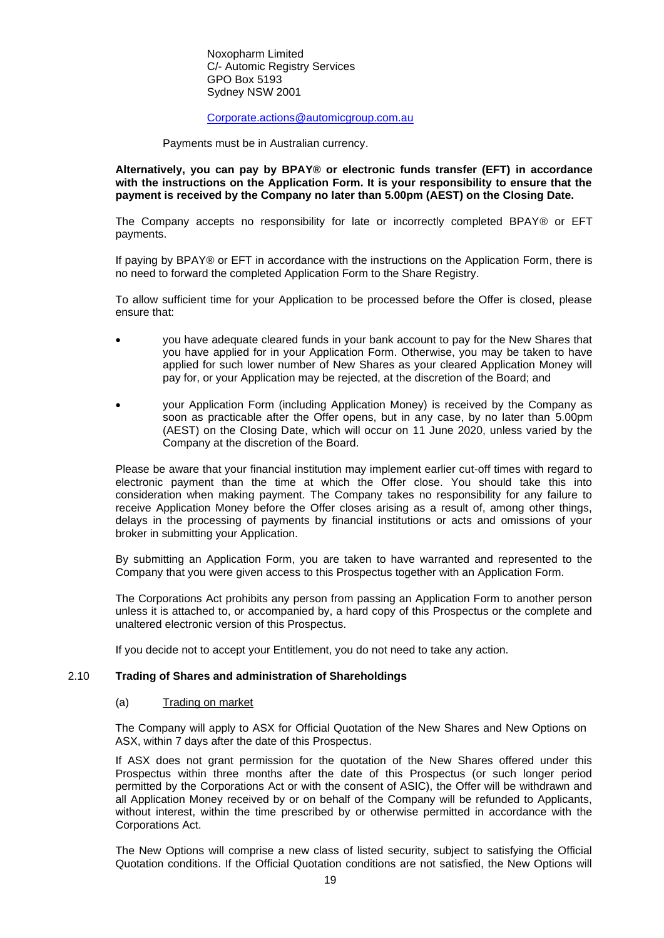Noxopharm Limited C/- Automic Registry Services GPO Box 5193 Sydney NSW 2001

# [Corporate.actions@automicgroup.com.au](mailto:Corporate.actions@automicgroup.com.au)

Payments must be in Australian currency.

**Alternatively, you can pay by BPAY® or electronic funds transfer (EFT) in accordance with the instructions on the Application Form. It is your responsibility to ensure that the payment is received by the Company no later than 5.00pm (AEST) on the Closing Date.** 

The Company accepts no responsibility for late or incorrectly completed BPAY® or EFT payments.

If paying by BPAY® or EFT in accordance with the instructions on the Application Form, there is no need to forward the completed Application Form to the Share Registry.

To allow sufficient time for your Application to be processed before the Offer is closed, please ensure that:

- you have adequate cleared funds in your bank account to pay for the New Shares that you have applied for in your Application Form. Otherwise, you may be taken to have applied for such lower number of New Shares as your cleared Application Money will pay for, or your Application may be rejected, at the discretion of the Board; and
- your Application Form (including Application Money) is received by the Company as soon as practicable after the Offer opens, but in any case, by no later than 5.00pm (AEST) on the Closing Date, which will occur on 11 June 2020, unless varied by the Company at the discretion of the Board.

Please be aware that your financial institution may implement earlier cut-off times with regard to electronic payment than the time at which the Offer close. You should take this into consideration when making payment. The Company takes no responsibility for any failure to receive Application Money before the Offer closes arising as a result of, among other things, delays in the processing of payments by financial institutions or acts and omissions of your broker in submitting your Application.

By submitting an Application Form, you are taken to have warranted and represented to the Company that you were given access to this Prospectus together with an Application Form.

The Corporations Act prohibits any person from passing an Application Form to another person unless it is attached to, or accompanied by, a hard copy of this Prospectus or the complete and unaltered electronic version of this Prospectus.

If you decide not to accept your Entitlement, you do not need to take any action.

# <span id="page-19-0"></span>2.10 **Trading of Shares and administration of Shareholdings**

### (a) Trading on market

The Company will apply to ASX for Official Quotation of the New Shares and New Options on ASX, within 7 days after the date of this Prospectus.

If ASX does not grant permission for the quotation of the New Shares offered under this Prospectus within three months after the date of this Prospectus (or such longer period permitted by the Corporations Act or with the consent of ASIC), the Offer will be withdrawn and all Application Money received by or on behalf of the Company will be refunded to Applicants, without interest, within the time prescribed by or otherwise permitted in accordance with the Corporations Act.

The New Options will comprise a new class of listed security, subject to satisfying the Official Quotation conditions. If the Official Quotation conditions are not satisfied, the New Options will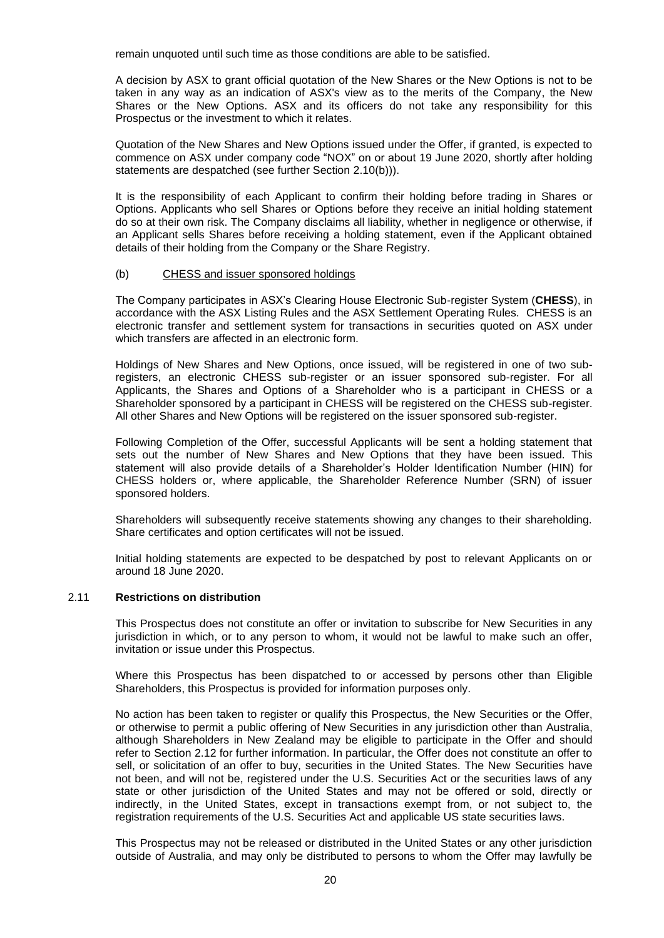remain unquoted until such time as those conditions are able to be satisfied.

A decision by ASX to grant official quotation of the New Shares or the New Options is not to be taken in any way as an indication of ASX's view as to the merits of the Company, the New Shares or the New Options. ASX and its officers do not take any responsibility for this Prospectus or the investment to which it relates.

Quotation of the New Shares and New Options issued under the Offer, if granted, is expected to commence on ASX under company code "NOX" on or about 19 June 2020, shortly after holding statements are despatched (see further Section [2.10](#page-19-0)[\(b\)\)](#page-20-1)).

It is the responsibility of each Applicant to confirm their holding before trading in Shares or Options. Applicants who sell Shares or Options before they receive an initial holding statement do so at their own risk. The Company disclaims all liability, whether in negligence or otherwise, if an Applicant sells Shares before receiving a holding statement, even if the Applicant obtained details of their holding from the Company or the Share Registry.

### <span id="page-20-1"></span>(b) CHESS and issuer sponsored holdings

The Company participates in ASX's Clearing House Electronic Sub-register System (**CHESS**), in accordance with the ASX Listing Rules and the ASX Settlement Operating Rules. CHESS is an electronic transfer and settlement system for transactions in securities quoted on ASX under which transfers are affected in an electronic form.

Holdings of New Shares and New Options, once issued, will be registered in one of two subregisters, an electronic CHESS sub-register or an issuer sponsored sub-register. For all Applicants, the Shares and Options of a Shareholder who is a participant in CHESS or a Shareholder sponsored by a participant in CHESS will be registered on the CHESS sub-register. All other Shares and New Options will be registered on the issuer sponsored sub-register.

Following Completion of the Offer, successful Applicants will be sent a holding statement that sets out the number of New Shares and New Options that they have been issued. This statement will also provide details of a Shareholder's Holder Identification Number (HIN) for CHESS holders or, where applicable, the Shareholder Reference Number (SRN) of issuer sponsored holders.

Shareholders will subsequently receive statements showing any changes to their shareholding. Share certificates and option certificates will not be issued.

Initial holding statements are expected to be despatched by post to relevant Applicants on or around 18 June 2020.

# <span id="page-20-0"></span>2.11 **Restrictions on distribution**

This Prospectus does not constitute an offer or invitation to subscribe for New Securities in any jurisdiction in which, or to any person to whom, it would not be lawful to make such an offer, invitation or issue under this Prospectus.

Where this Prospectus has been dispatched to or accessed by persons other than Eligible Shareholders, this Prospectus is provided for information purposes only.

No action has been taken to register or qualify this Prospectus, the New Securities or the Offer, or otherwise to permit a public offering of New Securities in any jurisdiction other than Australia, although Shareholders in New Zealand may be eligible to participate in the Offer and should refer to Section [2.12](#page-21-0) for further information. In particular, the Offer does not constitute an offer to sell, or solicitation of an offer to buy, securities in the United States. The New Securities have not been, and will not be, registered under the U.S. Securities Act or the securities laws of any state or other jurisdiction of the United States and may not be offered or sold, directly or indirectly, in the United States, except in transactions exempt from, or not subject to, the registration requirements of the U.S. Securities Act and applicable US state securities laws.

This Prospectus may not be released or distributed in the United States or any other jurisdiction outside of Australia, and may only be distributed to persons to whom the Offer may lawfully be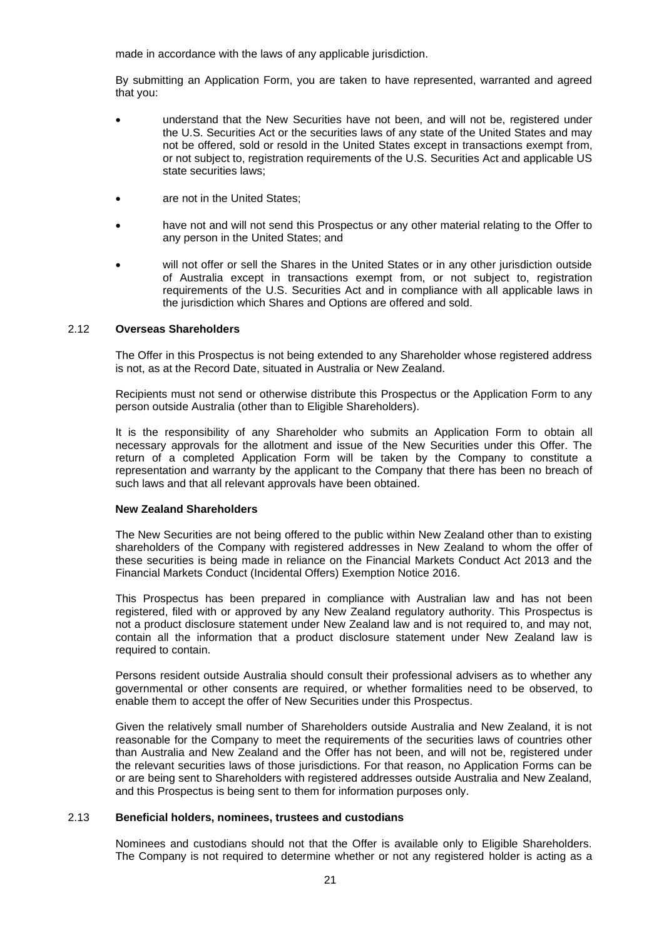made in accordance with the laws of any applicable jurisdiction.

By submitting an Application Form, you are taken to have represented, warranted and agreed that you:

- understand that the New Securities have not been, and will not be, registered under the U.S. Securities Act or the securities laws of any state of the United States and may not be offered, sold or resold in the United States except in transactions exempt from, or not subject to, registration requirements of the U.S. Securities Act and applicable US state securities laws;
- are not in the United States;
- have not and will not send this Prospectus or any other material relating to the Offer to any person in the United States; and
- will not offer or sell the Shares in the United States or in any other jurisdiction outside of Australia except in transactions exempt from, or not subject to, registration requirements of the U.S. Securities Act and in compliance with all applicable laws in the jurisdiction which Shares and Options are offered and sold.

# <span id="page-21-0"></span>2.12 **Overseas Shareholders**

The Offer in this Prospectus is not being extended to any Shareholder whose registered address is not, as at the Record Date, situated in Australia or New Zealand.

Recipients must not send or otherwise distribute this Prospectus or the Application Form to any person outside Australia (other than to Eligible Shareholders).

It is the responsibility of any Shareholder who submits an Application Form to obtain all necessary approvals for the allotment and issue of the New Securities under this Offer. The return of a completed Application Form will be taken by the Company to constitute a representation and warranty by the applicant to the Company that there has been no breach of such laws and that all relevant approvals have been obtained.

# **New Zealand Shareholders**

The New Securities are not being offered to the public within New Zealand other than to existing shareholders of the Company with registered addresses in New Zealand to whom the offer of these securities is being made in reliance on the Financial Markets Conduct Act 2013 and the Financial Markets Conduct (Incidental Offers) Exemption Notice 2016.

This Prospectus has been prepared in compliance with Australian law and has not been registered, filed with or approved by any New Zealand regulatory authority. This Prospectus is not a product disclosure statement under New Zealand law and is not required to, and may not, contain all the information that a product disclosure statement under New Zealand law is required to contain.

Persons resident outside Australia should consult their professional advisers as to whether any governmental or other consents are required, or whether formalities need to be observed, to enable them to accept the offer of New Securities under this Prospectus.

Given the relatively small number of Shareholders outside Australia and New Zealand, it is not reasonable for the Company to meet the requirements of the securities laws of countries other than Australia and New Zealand and the Offer has not been, and will not be, registered under the relevant securities laws of those jurisdictions. For that reason, no Application Forms can be or are being sent to Shareholders with registered addresses outside Australia and New Zealand, and this Prospectus is being sent to them for information purposes only.

# 2.13 **Beneficial holders, nominees, trustees and custodians**

Nominees and custodians should not that the Offer is available only to Eligible Shareholders. The Company is not required to determine whether or not any registered holder is acting as a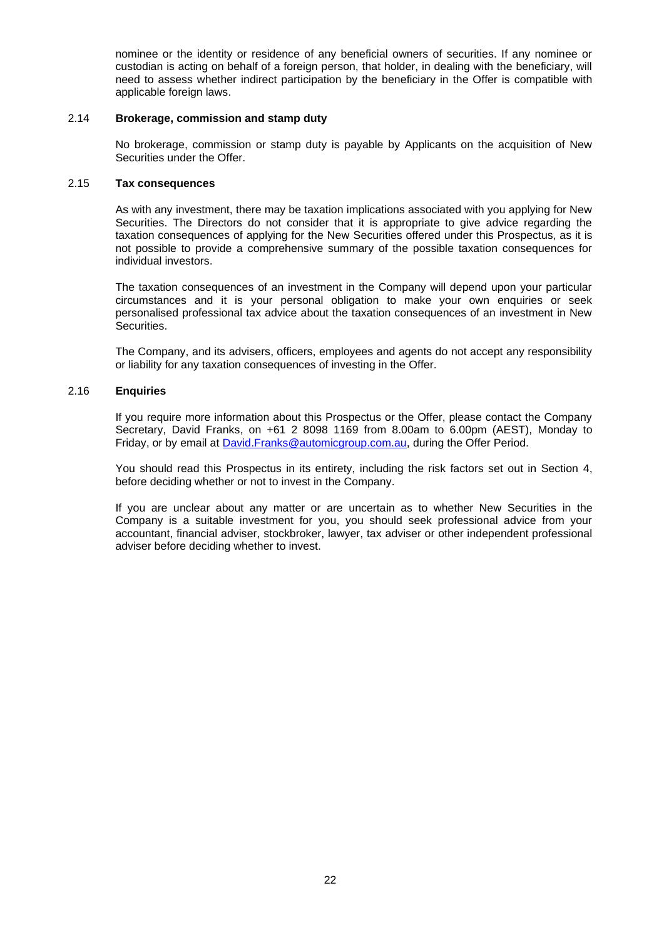nominee or the identity or residence of any beneficial owners of securities. If any nominee or custodian is acting on behalf of a foreign person, that holder, in dealing with the beneficiary, will need to assess whether indirect participation by the beneficiary in the Offer is compatible with applicable foreign laws.

# <span id="page-22-0"></span>2.14 **Brokerage, commission and stamp duty**

No brokerage, commission or stamp duty is payable by Applicants on the acquisition of New Securities under the Offer.

# <span id="page-22-1"></span>2.15 **Tax consequences**

As with any investment, there may be taxation implications associated with you applying for New Securities. The Directors do not consider that it is appropriate to give advice regarding the taxation consequences of applying for the New Securities offered under this Prospectus, as it is not possible to provide a comprehensive summary of the possible taxation consequences for individual investors.

The taxation consequences of an investment in the Company will depend upon your particular circumstances and it is your personal obligation to make your own enquiries or seek personalised professional tax advice about the taxation consequences of an investment in New Securities.

The Company, and its advisers, officers, employees and agents do not accept any responsibility or liability for any taxation consequences of investing in the Offer.

### 2.16 **Enquiries**

If you require more information about this Prospectus or the Offer, please contact the Company Secretary, David Franks, on +61 2 8098 1169 from 8.00am to 6.00pm (AEST), Monday to Friday, or by email at **David.Franks@automicgroup.com.au**, during the Offer Period.

You should read this Prospectus in its entirety, including the risk factors set out in Section [4,](#page-27-0) before deciding whether or not to invest in the Company.

If you are unclear about any matter or are uncertain as to whether New Securities in the Company is a suitable investment for you, you should seek professional advice from your accountant, financial adviser, stockbroker, lawyer, tax adviser or other independent professional adviser before deciding whether to invest.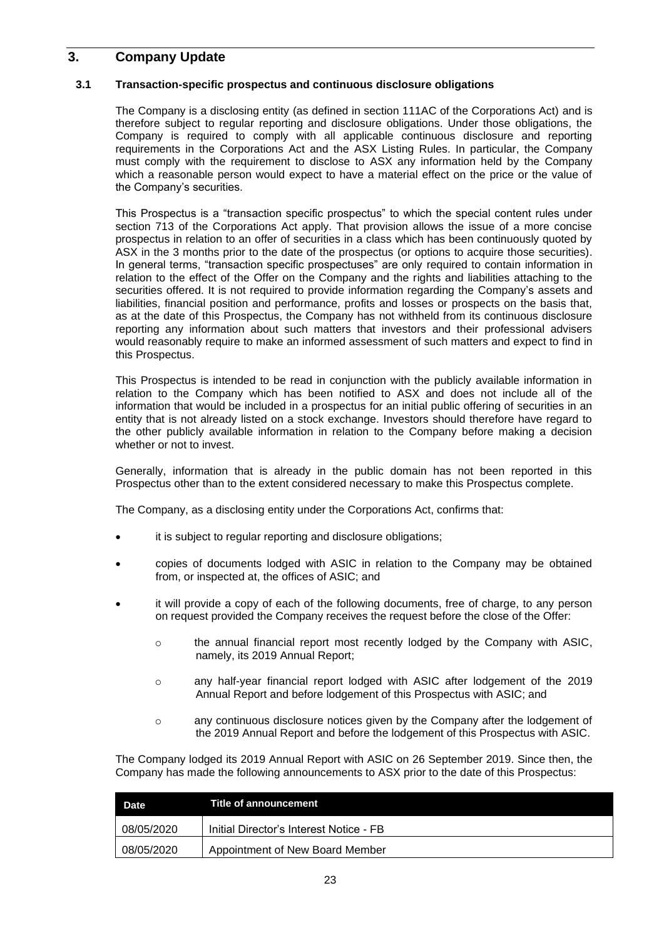# **3. Company Update**

# **3.1 Transaction-specific prospectus and continuous disclosure obligations**

The Company is a disclosing entity (as defined in section 111AC of the Corporations Act) and is therefore subject to regular reporting and disclosure obligations. Under those obligations, the Company is required to comply with all applicable continuous disclosure and reporting requirements in the Corporations Act and the ASX Listing Rules. In particular, the Company must comply with the requirement to disclose to ASX any information held by the Company which a reasonable person would expect to have a material effect on the price or the value of the Company's securities.

This Prospectus is a "transaction specific prospectus" to which the special content rules under section 713 of the Corporations Act apply. That provision allows the issue of a more concise prospectus in relation to an offer of securities in a class which has been continuously quoted by ASX in the 3 months prior to the date of the prospectus (or options to acquire those securities). In general terms, "transaction specific prospectuses" are only required to contain information in relation to the effect of the Offer on the Company and the rights and liabilities attaching to the securities offered. It is not required to provide information regarding the Company's assets and liabilities, financial position and performance, profits and losses or prospects on the basis that, as at the date of this Prospectus, the Company has not withheld from its continuous disclosure reporting any information about such matters that investors and their professional advisers would reasonably require to make an informed assessment of such matters and expect to find in this Prospectus.

This Prospectus is intended to be read in conjunction with the publicly available information in relation to the Company which has been notified to ASX and does not include all of the information that would be included in a prospectus for an initial public offering of securities in an entity that is not already listed on a stock exchange. Investors should therefore have regard to the other publicly available information in relation to the Company before making a decision whether or not to invest.

Generally, information that is already in the public domain has not been reported in this Prospectus other than to the extent considered necessary to make this Prospectus complete.

The Company, as a disclosing entity under the Corporations Act, confirms that:

- it is subject to regular reporting and disclosure obligations;
- copies of documents lodged with ASIC in relation to the Company may be obtained from, or inspected at, the offices of ASIC; and
- it will provide a copy of each of the following documents, free of charge, to any person on request provided the Company receives the request before the close of the Offer:
	- $\circ$  the annual financial report most recently lodged by the Company with ASIC, namely, its 2019 Annual Report;
	- o any half-year financial report lodged with ASIC after lodgement of the 2019 Annual Report and before lodgement of this Prospectus with ASIC; and
	- o any continuous disclosure notices given by the Company after the lodgement of the 2019 Annual Report and before the lodgement of this Prospectus with ASIC.

The Company lodged its 2019 Annual Report with ASIC on 26 September 2019. Since then, the Company has made the following announcements to ASX prior to the date of this Prospectus:

| Date       | Title of announcement                   |
|------------|-----------------------------------------|
| 08/05/2020 | Initial Director's Interest Notice - FB |
| 08/05/2020 | Appointment of New Board Member         |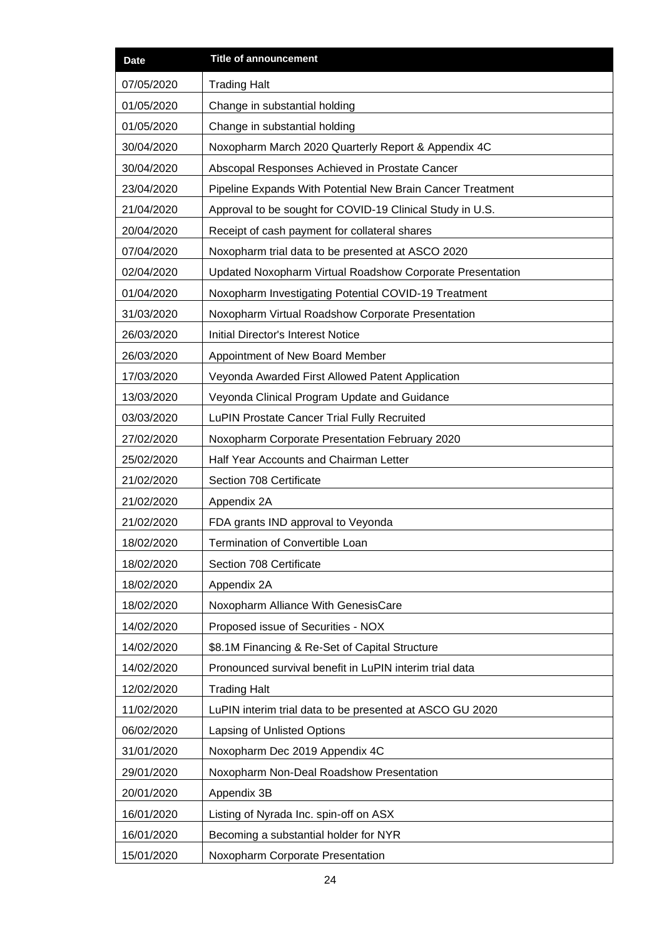| <b>Date</b> | <b>Title of announcement</b>                               |  |
|-------------|------------------------------------------------------------|--|
| 07/05/2020  | <b>Trading Halt</b>                                        |  |
| 01/05/2020  | Change in substantial holding                              |  |
| 01/05/2020  | Change in substantial holding                              |  |
| 30/04/2020  | Noxopharm March 2020 Quarterly Report & Appendix 4C        |  |
| 30/04/2020  | Abscopal Responses Achieved in Prostate Cancer             |  |
| 23/04/2020  | Pipeline Expands With Potential New Brain Cancer Treatment |  |
| 21/04/2020  | Approval to be sought for COVID-19 Clinical Study in U.S.  |  |
| 20/04/2020  | Receipt of cash payment for collateral shares              |  |
| 07/04/2020  | Noxopharm trial data to be presented at ASCO 2020          |  |
| 02/04/2020  | Updated Noxopharm Virtual Roadshow Corporate Presentation  |  |
| 01/04/2020  | Noxopharm Investigating Potential COVID-19 Treatment       |  |
| 31/03/2020  | Noxopharm Virtual Roadshow Corporate Presentation          |  |
| 26/03/2020  | <b>Initial Director's Interest Notice</b>                  |  |
| 26/03/2020  | Appointment of New Board Member                            |  |
| 17/03/2020  | Veyonda Awarded First Allowed Patent Application           |  |
| 13/03/2020  | Veyonda Clinical Program Update and Guidance               |  |
| 03/03/2020  | LuPIN Prostate Cancer Trial Fully Recruited                |  |
| 27/02/2020  | Noxopharm Corporate Presentation February 2020             |  |
| 25/02/2020  | Half Year Accounts and Chairman Letter                     |  |
| 21/02/2020  | Section 708 Certificate                                    |  |
| 21/02/2020  | Appendix 2A                                                |  |
| 21/02/2020  | FDA grants IND approval to Veyonda                         |  |
| 18/02/2020  | <b>Termination of Convertible Loan</b>                     |  |
| 18/02/2020  | Section 708 Certificate                                    |  |
| 18/02/2020  | Appendix 2A                                                |  |
| 18/02/2020  | Noxopharm Alliance With GenesisCare                        |  |
| 14/02/2020  | Proposed issue of Securities - NOX                         |  |
| 14/02/2020  | \$8.1M Financing & Re-Set of Capital Structure             |  |
| 14/02/2020  | Pronounced survival benefit in LuPIN interim trial data    |  |
| 12/02/2020  | <b>Trading Halt</b>                                        |  |
| 11/02/2020  | LuPIN interim trial data to be presented at ASCO GU 2020   |  |
| 06/02/2020  | Lapsing of Unlisted Options                                |  |
| 31/01/2020  | Noxopharm Dec 2019 Appendix 4C                             |  |
| 29/01/2020  | Noxopharm Non-Deal Roadshow Presentation                   |  |
| 20/01/2020  | Appendix 3B                                                |  |
| 16/01/2020  | Listing of Nyrada Inc. spin-off on ASX                     |  |
| 16/01/2020  | Becoming a substantial holder for NYR                      |  |
| 15/01/2020  | Noxopharm Corporate Presentation                           |  |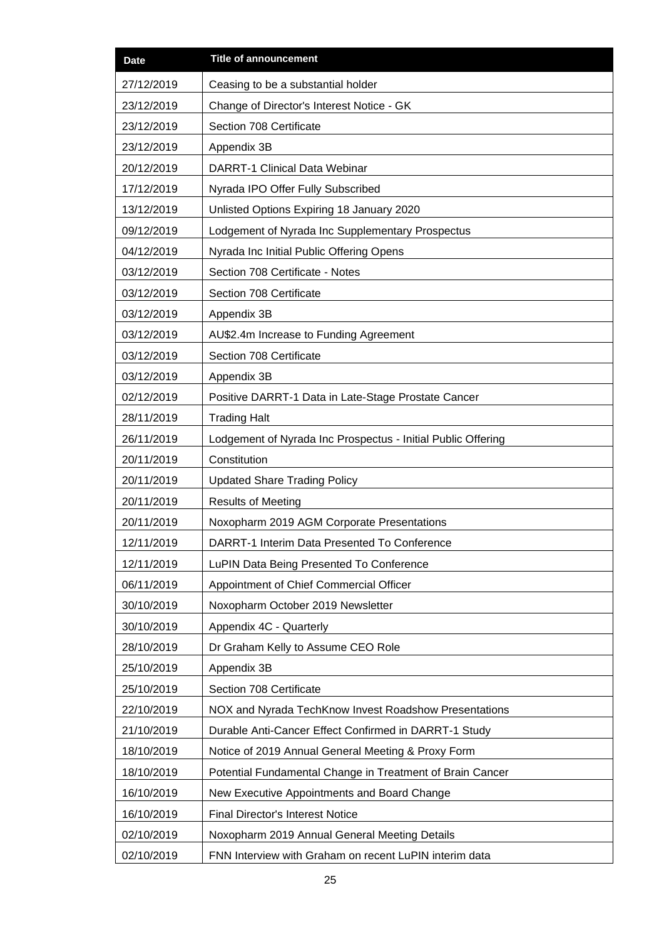| <b>Date</b> | <b>Title of announcement</b>                                 |  |
|-------------|--------------------------------------------------------------|--|
| 27/12/2019  | Ceasing to be a substantial holder                           |  |
| 23/12/2019  | Change of Director's Interest Notice - GK                    |  |
| 23/12/2019  | Section 708 Certificate                                      |  |
| 23/12/2019  | Appendix 3B                                                  |  |
| 20/12/2019  | <b>DARRT-1 Clinical Data Webinar</b>                         |  |
| 17/12/2019  | Nyrada IPO Offer Fully Subscribed                            |  |
| 13/12/2019  | Unlisted Options Expiring 18 January 2020                    |  |
| 09/12/2019  | Lodgement of Nyrada Inc Supplementary Prospectus             |  |
| 04/12/2019  | Nyrada Inc Initial Public Offering Opens                     |  |
| 03/12/2019  | Section 708 Certificate - Notes                              |  |
| 03/12/2019  | Section 708 Certificate                                      |  |
| 03/12/2019  | Appendix 3B                                                  |  |
| 03/12/2019  | AU\$2.4m Increase to Funding Agreement                       |  |
| 03/12/2019  | Section 708 Certificate                                      |  |
| 03/12/2019  | Appendix 3B                                                  |  |
| 02/12/2019  | Positive DARRT-1 Data in Late-Stage Prostate Cancer          |  |
| 28/11/2019  | <b>Trading Halt</b>                                          |  |
| 26/11/2019  | Lodgement of Nyrada Inc Prospectus - Initial Public Offering |  |
| 20/11/2019  | Constitution                                                 |  |
| 20/11/2019  | <b>Updated Share Trading Policy</b>                          |  |
| 20/11/2019  | <b>Results of Meeting</b>                                    |  |
| 20/11/2019  | Noxopharm 2019 AGM Corporate Presentations                   |  |
| 12/11/2019  | DARRT-1 Interim Data Presented To Conference                 |  |
| 12/11/2019  | LuPIN Data Being Presented To Conference                     |  |
| 06/11/2019  | Appointment of Chief Commercial Officer                      |  |
| 30/10/2019  | Noxopharm October 2019 Newsletter                            |  |
| 30/10/2019  | Appendix 4C - Quarterly                                      |  |
| 28/10/2019  | Dr Graham Kelly to Assume CEO Role                           |  |
| 25/10/2019  | Appendix 3B                                                  |  |
| 25/10/2019  | Section 708 Certificate                                      |  |
| 22/10/2019  | NOX and Nyrada TechKnow Invest Roadshow Presentations        |  |
| 21/10/2019  | Durable Anti-Cancer Effect Confirmed in DARRT-1 Study        |  |
| 18/10/2019  | Notice of 2019 Annual General Meeting & Proxy Form           |  |
| 18/10/2019  | Potential Fundamental Change in Treatment of Brain Cancer    |  |
| 16/10/2019  | New Executive Appointments and Board Change                  |  |
| 16/10/2019  | <b>Final Director's Interest Notice</b>                      |  |
| 02/10/2019  | Noxopharm 2019 Annual General Meeting Details                |  |
| 02/10/2019  | FNN Interview with Graham on recent LuPIN interim data       |  |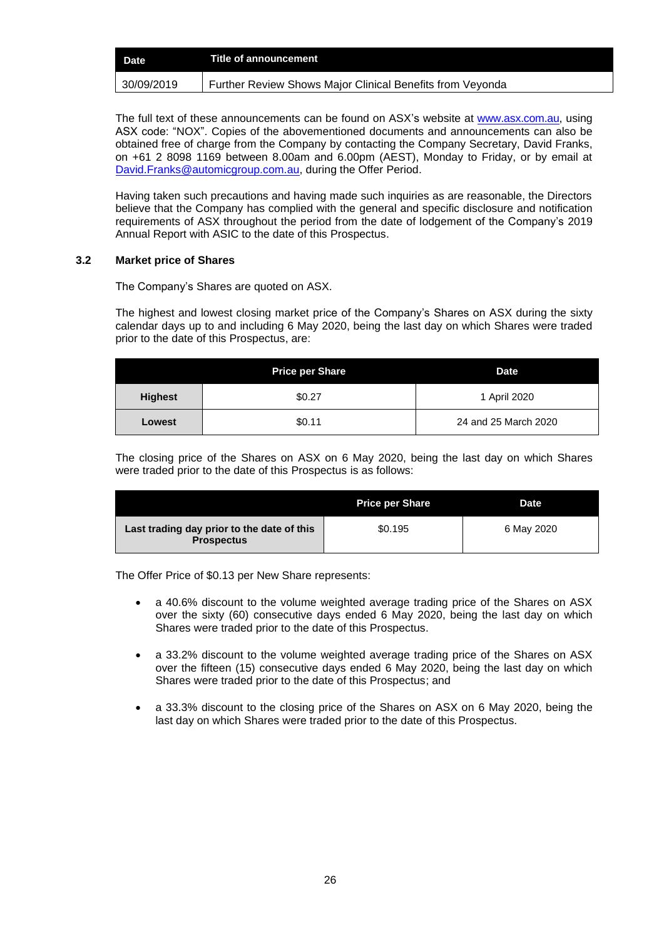| <b>Date</b> | Title of announcement                                     |
|-------------|-----------------------------------------------------------|
| 30/09/2019  | Further Review Shows Major Clinical Benefits from Veyonda |

The full text of these announcements can be found on ASX's website at [www.asx.com.au,](http://www.asx.com.au/) using ASX code: "NOX". Copies of the abovementioned documents and announcements can also be obtained free of charge from the Company by contacting the Company Secretary, David Franks, on +61 2 8098 1169 between 8.00am and 6.00pm (AEST), Monday to Friday, or by email at [David.Franks@automicgroup.com.au,](mailto:David.Franks@automicgroup.com.au) during the Offer Period.

Having taken such precautions and having made such inquiries as are reasonable, the Directors believe that the Company has complied with the general and specific disclosure and notification requirements of ASX throughout the period from the date of lodgement of the Company's 2019 Annual Report with ASIC to the date of this Prospectus.

# <span id="page-26-0"></span>**3.2 Market price of Shares**

The Company's Shares are quoted on ASX.

The highest and lowest closing market price of the Company's Shares on ASX during the sixty calendar days up to and including 6 May 2020, being the last day on which Shares were traded prior to the date of this Prospectus, are:

|                | <b>Price per Share</b> | <b>Date</b>          |
|----------------|------------------------|----------------------|
| <b>Highest</b> | \$0.27                 | 1 April 2020         |
| Lowest         | \$0.11                 | 24 and 25 March 2020 |

The closing price of the Shares on ASX on 6 May 2020, being the last day on which Shares were traded prior to the date of this Prospectus is as follows:

|                                                                 | <b>Price per Share</b> | <b>Date</b> |
|-----------------------------------------------------------------|------------------------|-------------|
| Last trading day prior to the date of this<br><b>Prospectus</b> | \$0.195                | 6 May 2020  |

The Offer Price of \$0.13 per New Share represents:

- a 40.6% discount to the volume weighted average trading price of the Shares on ASX over the sixty (60) consecutive days ended 6 May 2020, being the last day on which Shares were traded prior to the date of this Prospectus.
- a 33.2% discount to the volume weighted average trading price of the Shares on ASX over the fifteen (15) consecutive days ended 6 May 2020, being the last day on which Shares were traded prior to the date of this Prospectus; and
- a 33.3% discount to the closing price of the Shares on ASX on 6 May 2020, being the last day on which Shares were traded prior to the date of this Prospectus.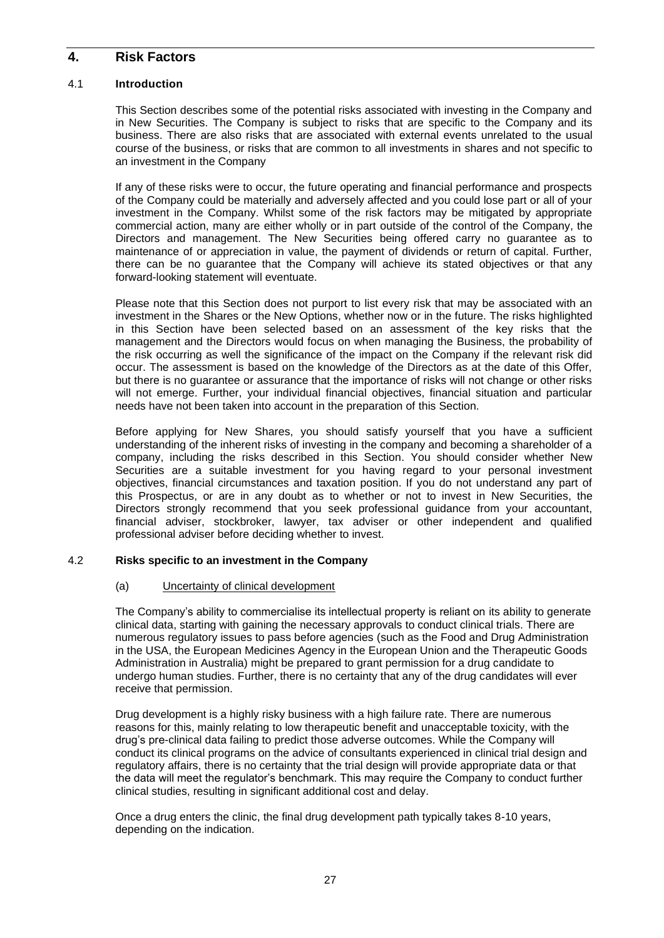# <span id="page-27-0"></span>**4. Risk Factors**

# 4.1 **Introduction**

This Section describes some of the potential risks associated with investing in the Company and in New Securities. The Company is subject to risks that are specific to the Company and its business. There are also risks that are associated with external events unrelated to the usual course of the business, or risks that are common to all investments in shares and not specific to an investment in the Company

If any of these risks were to occur, the future operating and financial performance and prospects of the Company could be materially and adversely affected and you could lose part or all of your investment in the Company. Whilst some of the risk factors may be mitigated by appropriate commercial action, many are either wholly or in part outside of the control of the Company, the Directors and management. The New Securities being offered carry no guarantee as to maintenance of or appreciation in value, the payment of dividends or return of capital. Further, there can be no guarantee that the Company will achieve its stated objectives or that any forward-looking statement will eventuate.

Please note that this Section does not purport to list every risk that may be associated with an investment in the Shares or the New Options, whether now or in the future. The risks highlighted in this Section have been selected based on an assessment of the key risks that the management and the Directors would focus on when managing the Business, the probability of the risk occurring as well the significance of the impact on the Company if the relevant risk did occur. The assessment is based on the knowledge of the Directors as at the date of this Offer, but there is no guarantee or assurance that the importance of risks will not change or other risks will not emerge. Further, your individual financial objectives, financial situation and particular needs have not been taken into account in the preparation of this Section.

Before applying for New Shares, you should satisfy yourself that you have a sufficient understanding of the inherent risks of investing in the company and becoming a shareholder of a company, including the risks described in this Section. You should consider whether New Securities are a suitable investment for you having regard to your personal investment objectives, financial circumstances and taxation position. If you do not understand any part of this Prospectus, or are in any doubt as to whether or not to invest in New Securities, the Directors strongly recommend that you seek professional guidance from your accountant, financial adviser, stockbroker, lawyer, tax adviser or other independent and qualified professional adviser before deciding whether to invest.

# 4.2 **Risks specific to an investment in the Company**

# (a) Uncertainty of clinical development

The Company's ability to commercialise its intellectual property is reliant on its ability to generate clinical data, starting with gaining the necessary approvals to conduct clinical trials. There are numerous regulatory issues to pass before agencies (such as the Food and Drug Administration in the USA, the European Medicines Agency in the European Union and the Therapeutic Goods Administration in Australia) might be prepared to grant permission for a drug candidate to undergo human studies. Further, there is no certainty that any of the drug candidates will ever receive that permission.

Drug development is a highly risky business with a high failure rate. There are numerous reasons for this, mainly relating to low therapeutic benefit and unacceptable toxicity, with the drug's pre-clinical data failing to predict those adverse outcomes. While the Company will conduct its clinical programs on the advice of consultants experienced in clinical trial design and regulatory affairs, there is no certainty that the trial design will provide appropriate data or that the data will meet the regulator's benchmark. This may require the Company to conduct further clinical studies, resulting in significant additional cost and delay.

Once a drug enters the clinic, the final drug development path typically takes 8-10 years, depending on the indication.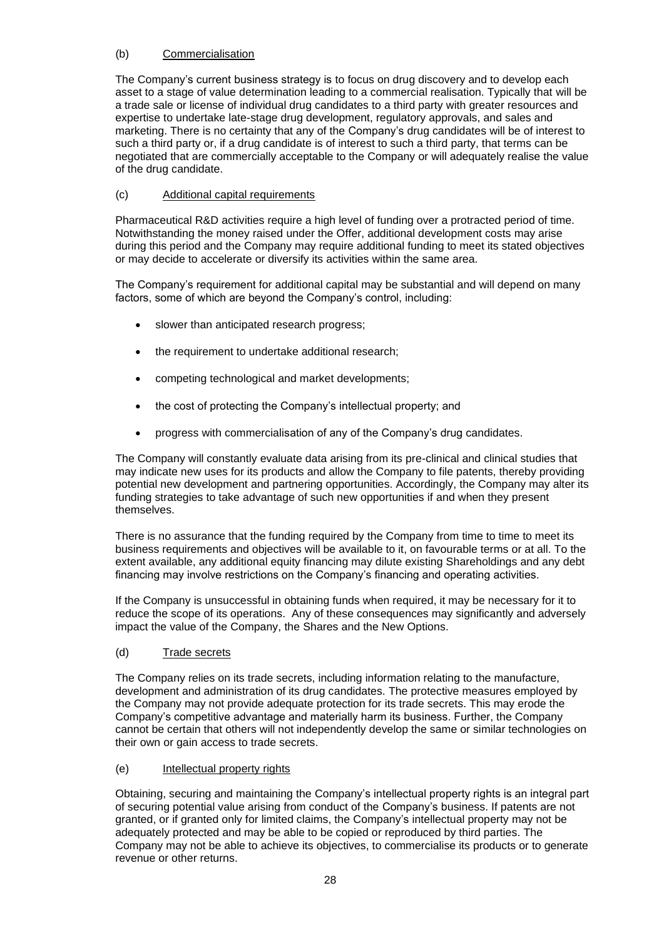# (b) Commercialisation

The Company's current business strategy is to focus on drug discovery and to develop each asset to a stage of value determination leading to a commercial realisation. Typically that will be a trade sale or license of individual drug candidates to a third party with greater resources and expertise to undertake late-stage drug development, regulatory approvals, and sales and marketing. There is no certainty that any of the Company's drug candidates will be of interest to such a third party or, if a drug candidate is of interest to such a third party, that terms can be negotiated that are commercially acceptable to the Company or will adequately realise the value of the drug candidate.

# (c) Additional capital requirements

Pharmaceutical R&D activities require a high level of funding over a protracted period of time. Notwithstanding the money raised under the Offer, additional development costs may arise during this period and the Company may require additional funding to meet its stated objectives or may decide to accelerate or diversify its activities within the same area.

The Company's requirement for additional capital may be substantial and will depend on many factors, some of which are beyond the Company's control, including:

- slower than anticipated research progress;
- the requirement to undertake additional research;
- competing technological and market developments;
- the cost of protecting the Company's intellectual property; and
- progress with commercialisation of any of the Company's drug candidates.

The Company will constantly evaluate data arising from its pre-clinical and clinical studies that may indicate new uses for its products and allow the Company to file patents, thereby providing potential new development and partnering opportunities. Accordingly, the Company may alter its funding strategies to take advantage of such new opportunities if and when they present themselves.

There is no assurance that the funding required by the Company from time to time to meet its business requirements and objectives will be available to it, on favourable terms or at all. To the extent available, any additional equity financing may dilute existing Shareholdings and any debt financing may involve restrictions on the Company's financing and operating activities.

If the Company is unsuccessful in obtaining funds when required, it may be necessary for it to reduce the scope of its operations. Any of these consequences may significantly and adversely impact the value of the Company, the Shares and the New Options.

# (d) Trade secrets

The Company relies on its trade secrets, including information relating to the manufacture, development and administration of its drug candidates. The protective measures employed by the Company may not provide adequate protection for its trade secrets. This may erode the Company's competitive advantage and materially harm its business. Further, the Company cannot be certain that others will not independently develop the same or similar technologies on their own or gain access to trade secrets.

# (e) Intellectual property rights

Obtaining, securing and maintaining the Company's intellectual property rights is an integral part of securing potential value arising from conduct of the Company's business. If patents are not granted, or if granted only for limited claims, the Company's intellectual property may not be adequately protected and may be able to be copied or reproduced by third parties. The Company may not be able to achieve its objectives, to commercialise its products or to generate revenue or other returns.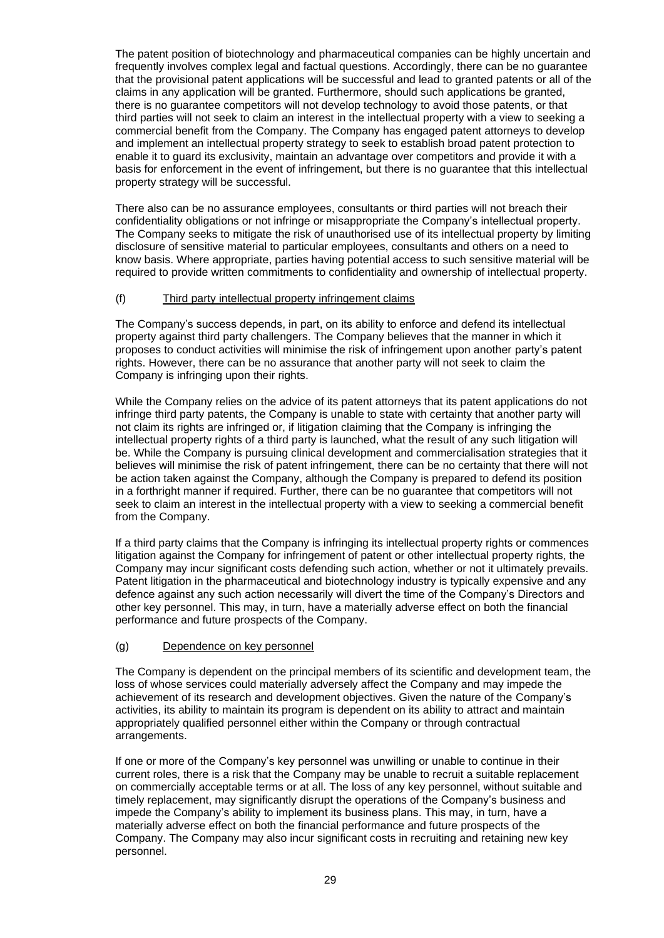The patent position of biotechnology and pharmaceutical companies can be highly uncertain and frequently involves complex legal and factual questions. Accordingly, there can be no guarantee that the provisional patent applications will be successful and lead to granted patents or all of the claims in any application will be granted. Furthermore, should such applications be granted, there is no guarantee competitors will not develop technology to avoid those patents, or that third parties will not seek to claim an interest in the intellectual property with a view to seeking a commercial benefit from the Company. The Company has engaged patent attorneys to develop and implement an intellectual property strategy to seek to establish broad patent protection to enable it to guard its exclusivity, maintain an advantage over competitors and provide it with a basis for enforcement in the event of infringement, but there is no guarantee that this intellectual property strategy will be successful.

There also can be no assurance employees, consultants or third parties will not breach their confidentiality obligations or not infringe or misappropriate the Company's intellectual property. The Company seeks to mitigate the risk of unauthorised use of its intellectual property by limiting disclosure of sensitive material to particular employees, consultants and others on a need to know basis. Where appropriate, parties having potential access to such sensitive material will be required to provide written commitments to confidentiality and ownership of intellectual property.

# (f) Third party intellectual property infringement claims

The Company's success depends, in part, on its ability to enforce and defend its intellectual property against third party challengers. The Company believes that the manner in which it proposes to conduct activities will minimise the risk of infringement upon another party's patent rights. However, there can be no assurance that another party will not seek to claim the Company is infringing upon their rights.

While the Company relies on the advice of its patent attorneys that its patent applications do not infringe third party patents, the Company is unable to state with certainty that another party will not claim its rights are infringed or, if litigation claiming that the Company is infringing the intellectual property rights of a third party is launched, what the result of any such litigation will be. While the Company is pursuing clinical development and commercialisation strategies that it believes will minimise the risk of patent infringement, there can be no certainty that there will not be action taken against the Company, although the Company is prepared to defend its position in a forthright manner if required. Further, there can be no guarantee that competitors will not seek to claim an interest in the intellectual property with a view to seeking a commercial benefit from the Company.

If a third party claims that the Company is infringing its intellectual property rights or commences litigation against the Company for infringement of patent or other intellectual property rights, the Company may incur significant costs defending such action, whether or not it ultimately prevails. Patent litigation in the pharmaceutical and biotechnology industry is typically expensive and any defence against any such action necessarily will divert the time of the Company's Directors and other key personnel. This may, in turn, have a materially adverse effect on both the financial performance and future prospects of the Company.

# (g) Dependence on key personnel

The Company is dependent on the principal members of its scientific and development team, the loss of whose services could materially adversely affect the Company and may impede the achievement of its research and development objectives. Given the nature of the Company's activities, its ability to maintain its program is dependent on its ability to attract and maintain appropriately qualified personnel either within the Company or through contractual arrangements.

If one or more of the Company's key personnel was unwilling or unable to continue in their current roles, there is a risk that the Company may be unable to recruit a suitable replacement on commercially acceptable terms or at all. The loss of any key personnel, without suitable and timely replacement, may significantly disrupt the operations of the Company's business and impede the Company's ability to implement its business plans. This may, in turn, have a materially adverse effect on both the financial performance and future prospects of the Company. The Company may also incur significant costs in recruiting and retaining new key personnel.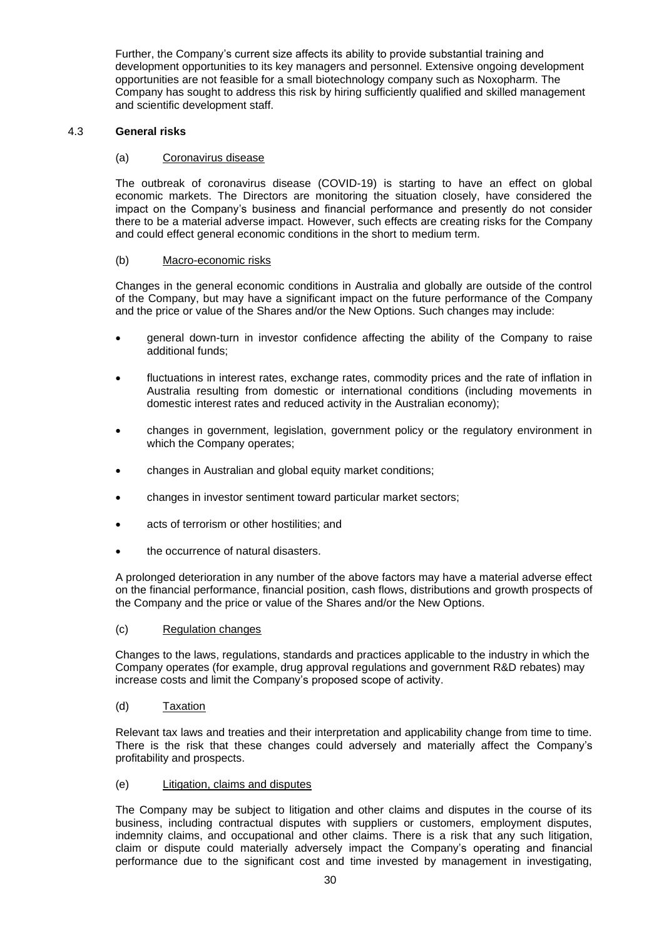Further, the Company's current size affects its ability to provide substantial training and development opportunities to its key managers and personnel. Extensive ongoing development opportunities are not feasible for a small biotechnology company such as Noxopharm. The Company has sought to address this risk by hiring sufficiently qualified and skilled management and scientific development staff.

# 4.3 **General risks**

# (a) Coronavirus disease

The outbreak of coronavirus disease (COVID-19) is starting to have an effect on global economic markets. The Directors are monitoring the situation closely, have considered the impact on the Company's business and financial performance and presently do not consider there to be a material adverse impact. However, such effects are creating risks for the Company and could effect general economic conditions in the short to medium term.

# (b) Macro-economic risks

Changes in the general economic conditions in Australia and globally are outside of the control of the Company, but may have a significant impact on the future performance of the Company and the price or value of the Shares and/or the New Options. Such changes may include:

- general down-turn in investor confidence affecting the ability of the Company to raise additional funds;
- fluctuations in interest rates, exchange rates, commodity prices and the rate of inflation in Australia resulting from domestic or international conditions (including movements in domestic interest rates and reduced activity in the Australian economy);
- changes in government, legislation, government policy or the regulatory environment in which the Company operates;
- changes in Australian and global equity market conditions;
- changes in investor sentiment toward particular market sectors;
- acts of terrorism or other hostilities; and
- the occurrence of natural disasters.

A prolonged deterioration in any number of the above factors may have a material adverse effect on the financial performance, financial position, cash flows, distributions and growth prospects of the Company and the price or value of the Shares and/or the New Options.

# (c) Regulation changes

Changes to the laws, regulations, standards and practices applicable to the industry in which the Company operates (for example, drug approval regulations and government R&D rebates) may increase costs and limit the Company's proposed scope of activity.

# (d) Taxation

Relevant tax laws and treaties and their interpretation and applicability change from time to time. There is the risk that these changes could adversely and materially affect the Company's profitability and prospects.

# (e) Litigation, claims and disputes

The Company may be subject to litigation and other claims and disputes in the course of its business, including contractual disputes with suppliers or customers, employment disputes, indemnity claims, and occupational and other claims. There is a risk that any such litigation, claim or dispute could materially adversely impact the Company's operating and financial performance due to the significant cost and time invested by management in investigating,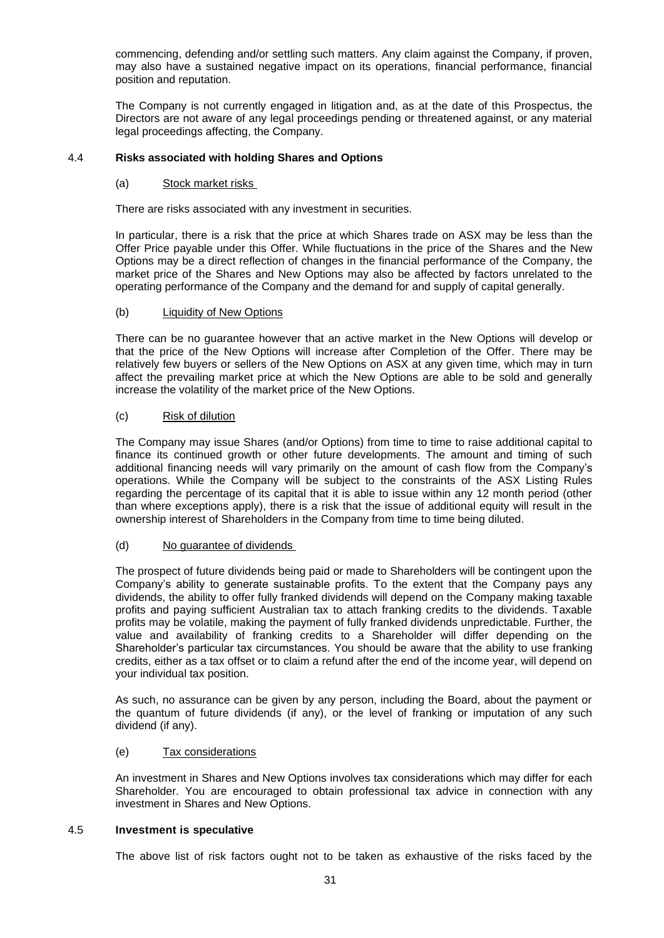commencing, defending and/or settling such matters. Any claim against the Company, if proven, may also have a sustained negative impact on its operations, financial performance, financial position and reputation.

The Company is not currently engaged in litigation and, as at the date of this Prospectus, the Directors are not aware of any legal proceedings pending or threatened against, or any material legal proceedings affecting, the Company.

# 4.4 **Risks associated with holding Shares and Options**

# (a) Stock market risks

There are risks associated with any investment in securities.

In particular, there is a risk that the price at which Shares trade on ASX may be less than the Offer Price payable under this Offer. While fluctuations in the price of the Shares and the New Options may be a direct reflection of changes in the financial performance of the Company, the market price of the Shares and New Options may also be affected by factors unrelated to the operating performance of the Company and the demand for and supply of capital generally.

# (b) Liquidity of New Options

There can be no guarantee however that an active market in the New Options will develop or that the price of the New Options will increase after Completion of the Offer. There may be relatively few buyers or sellers of the New Options on ASX at any given time, which may in turn affect the prevailing market price at which the New Options are able to be sold and generally increase the volatility of the market price of the New Options.

# (c) Risk of dilution

The Company may issue Shares (and/or Options) from time to time to raise additional capital to finance its continued growth or other future developments. The amount and timing of such additional financing needs will vary primarily on the amount of cash flow from the Company's operations. While the Company will be subject to the constraints of the ASX Listing Rules regarding the percentage of its capital that it is able to issue within any 12 month period (other than where exceptions apply), there is a risk that the issue of additional equity will result in the ownership interest of Shareholders in the Company from time to time being diluted.

# (d) No guarantee of dividends

The prospect of future dividends being paid or made to Shareholders will be contingent upon the Company's ability to generate sustainable profits. To the extent that the Company pays any dividends, the ability to offer fully franked dividends will depend on the Company making taxable profits and paying sufficient Australian tax to attach franking credits to the dividends. Taxable profits may be volatile, making the payment of fully franked dividends unpredictable. Further, the value and availability of franking credits to a Shareholder will differ depending on the Shareholder's particular tax circumstances. You should be aware that the ability to use franking credits, either as a tax offset or to claim a refund after the end of the income year, will depend on your individual tax position.

As such, no assurance can be given by any person, including the Board, about the payment or the quantum of future dividends (if any), or the level of franking or imputation of any such dividend (if any).

# (e) Tax considerations

An investment in Shares and New Options involves tax considerations which may differ for each Shareholder. You are encouraged to obtain professional tax advice in connection with any investment in Shares and New Options.

# 4.5 **Investment is speculative**

The above list of risk factors ought not to be taken as exhaustive of the risks faced by the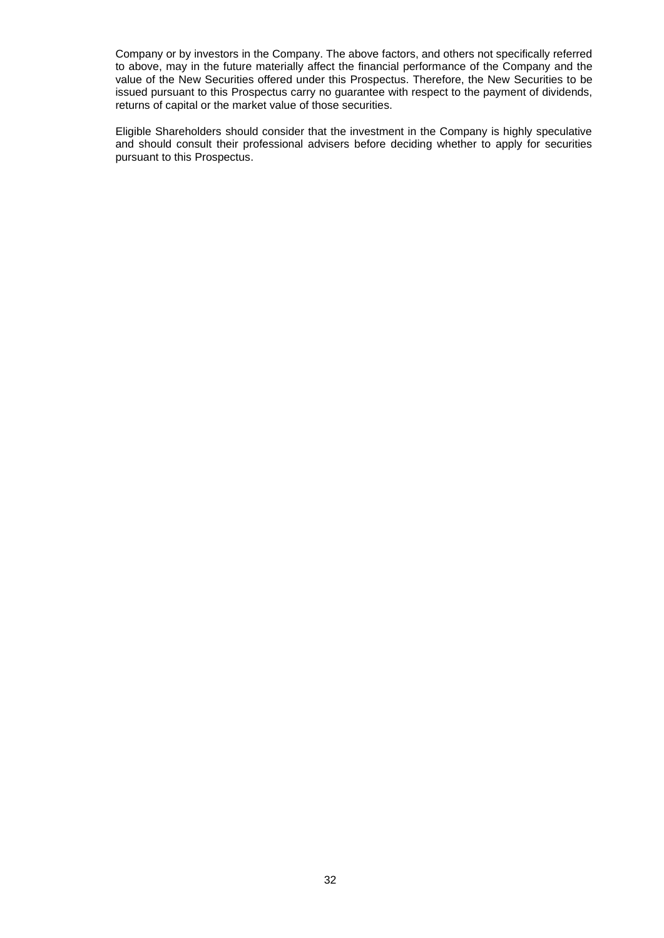Company or by investors in the Company. The above factors, and others not specifically referred to above, may in the future materially affect the financial performance of the Company and the value of the New Securities offered under this Prospectus. Therefore, the New Securities to be issued pursuant to this Prospectus carry no guarantee with respect to the payment of dividends, returns of capital or the market value of those securities.

Eligible Shareholders should consider that the investment in the Company is highly speculative and should consult their professional advisers before deciding whether to apply for securities pursuant to this Prospectus.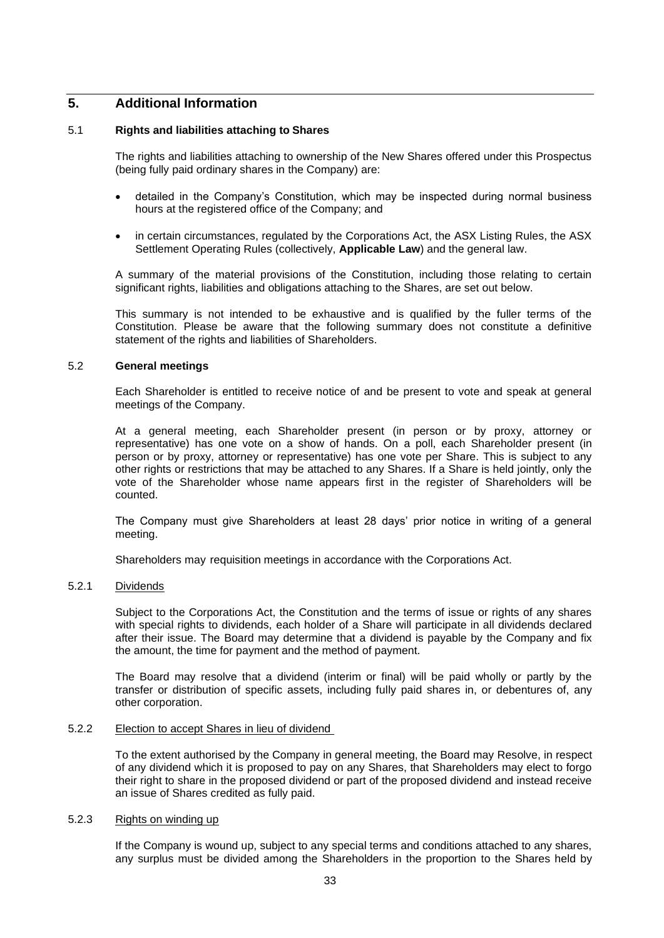# **5. Additional Information**

# <span id="page-33-0"></span>5.1 **Rights and liabilities attaching to Shares**

The rights and liabilities attaching to ownership of the New Shares offered under this Prospectus (being fully paid ordinary shares in the Company) are:

- detailed in the Company's Constitution, which may be inspected during normal business hours at the registered office of the Company; and
- in certain circumstances, regulated by the Corporations Act, the ASX Listing Rules, the ASX Settlement Operating Rules (collectively, **Applicable Law**) and the general law.

A summary of the material provisions of the Constitution, including those relating to certain significant rights, liabilities and obligations attaching to the Shares, are set out below.

This summary is not intended to be exhaustive and is qualified by the fuller terms of the Constitution. Please be aware that the following summary does not constitute a definitive statement of the rights and liabilities of Shareholders.

# 5.2 **General meetings**

Each Shareholder is entitled to receive notice of and be present to vote and speak at general meetings of the Company.

At a general meeting, each Shareholder present (in person or by proxy, attorney or representative) has one vote on a show of hands. On a poll, each Shareholder present (in person or by proxy, attorney or representative) has one vote per Share. This is subject to any other rights or restrictions that may be attached to any Shares. If a Share is held jointly, only the vote of the Shareholder whose name appears first in the register of Shareholders will be counted.

The Company must give Shareholders at least 28 days' prior notice in writing of a general meeting.

Shareholders may requisition meetings in accordance with the Corporations Act.

# 5.2.1 Dividends

Subject to the Corporations Act, the Constitution and the terms of issue or rights of any shares with special rights to dividends, each holder of a Share will participate in all dividends declared after their issue. The Board may determine that a dividend is payable by the Company and fix the amount, the time for payment and the method of payment.

The Board may resolve that a dividend (interim or final) will be paid wholly or partly by the transfer or distribution of specific assets, including fully paid shares in, or debentures of, any other corporation.

# 5.2.2 Election to accept Shares in lieu of dividend

To the extent authorised by the Company in general meeting, the Board may Resolve, in respect of any dividend which it is proposed to pay on any Shares, that Shareholders may elect to forgo their right to share in the proposed dividend or part of the proposed dividend and instead receive an issue of Shares credited as fully paid.

### 5.2.3 Rights on winding up

If the Company is wound up, subject to any special terms and conditions attached to any shares, any surplus must be divided among the Shareholders in the proportion to the Shares held by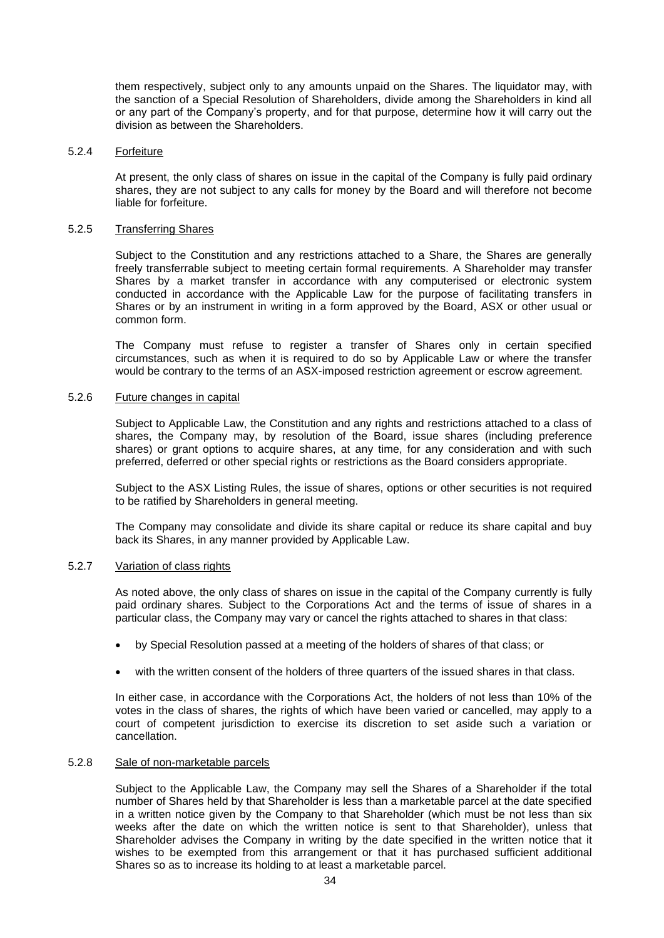them respectively, subject only to any amounts unpaid on the Shares. The liquidator may, with the sanction of a Special Resolution of Shareholders, divide among the Shareholders in kind all or any part of the Company's property, and for that purpose, determine how it will carry out the division as between the Shareholders.

### 5.2.4 Forfeiture

At present, the only class of shares on issue in the capital of the Company is fully paid ordinary shares, they are not subject to any calls for money by the Board and will therefore not become liable for forfeiture.

### 5.2.5 Transferring Shares

Subject to the Constitution and any restrictions attached to a Share, the Shares are generally freely transferrable subject to meeting certain formal requirements. A Shareholder may transfer Shares by a market transfer in accordance with any computerised or electronic system conducted in accordance with the Applicable Law for the purpose of facilitating transfers in Shares or by an instrument in writing in a form approved by the Board, ASX or other usual or common form.

The Company must refuse to register a transfer of Shares only in certain specified circumstances, such as when it is required to do so by Applicable Law or where the transfer would be contrary to the terms of an ASX-imposed restriction agreement or escrow agreement.

# 5.2.6 Future changes in capital

Subject to Applicable Law, the Constitution and any rights and restrictions attached to a class of shares, the Company may, by resolution of the Board, issue shares (including preference shares) or grant options to acquire shares, at any time, for any consideration and with such preferred, deferred or other special rights or restrictions as the Board considers appropriate.

Subject to the ASX Listing Rules, the issue of shares, options or other securities is not required to be ratified by Shareholders in general meeting.

The Company may consolidate and divide its share capital or reduce its share capital and buy back its Shares, in any manner provided by Applicable Law.

### 5.2.7 Variation of class rights

As noted above, the only class of shares on issue in the capital of the Company currently is fully paid ordinary shares. Subject to the Corporations Act and the terms of issue of shares in a particular class, the Company may vary or cancel the rights attached to shares in that class:

- by Special Resolution passed at a meeting of the holders of shares of that class; or
- with the written consent of the holders of three quarters of the issued shares in that class.

In either case, in accordance with the Corporations Act, the holders of not less than 10% of the votes in the class of shares, the rights of which have been varied or cancelled, may apply to a court of competent jurisdiction to exercise its discretion to set aside such a variation or cancellation.

### 5.2.8 Sale of non-marketable parcels

Subject to the Applicable Law, the Company may sell the Shares of a Shareholder if the total number of Shares held by that Shareholder is less than a marketable parcel at the date specified in a written notice given by the Company to that Shareholder (which must be not less than six weeks after the date on which the written notice is sent to that Shareholder), unless that Shareholder advises the Company in writing by the date specified in the written notice that it wishes to be exempted from this arrangement or that it has purchased sufficient additional Shares so as to increase its holding to at least a marketable parcel.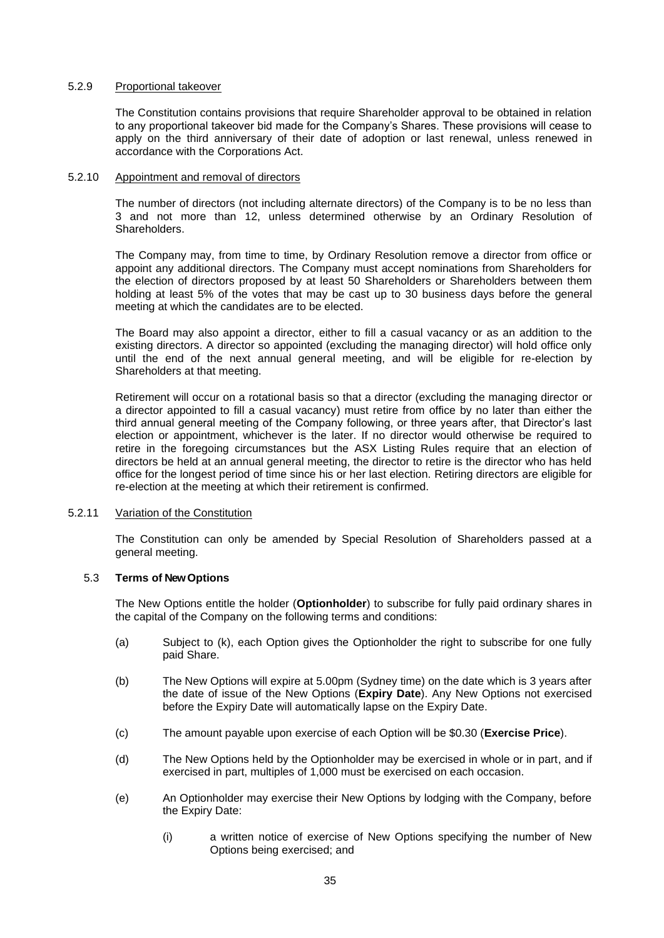# 5.2.9 Proportional takeover

The Constitution contains provisions that require Shareholder approval to be obtained in relation to any proportional takeover bid made for the Company's Shares. These provisions will cease to apply on the third anniversary of their date of adoption or last renewal, unless renewed in accordance with the Corporations Act.

# 5.2.10 Appointment and removal of directors

The number of directors (not including alternate directors) of the Company is to be no less than 3 and not more than 12, unless determined otherwise by an Ordinary Resolution of Shareholders.

The Company may, from time to time, by Ordinary Resolution remove a director from office or appoint any additional directors. The Company must accept nominations from Shareholders for the election of directors proposed by at least 50 Shareholders or Shareholders between them holding at least 5% of the votes that may be cast up to 30 business days before the general meeting at which the candidates are to be elected.

The Board may also appoint a director, either to fill a casual vacancy or as an addition to the existing directors. A director so appointed (excluding the managing director) will hold office only until the end of the next annual general meeting, and will be eligible for re-election by Shareholders at that meeting.

Retirement will occur on a rotational basis so that a director (excluding the managing director or a director appointed to fill a casual vacancy) must retire from office by no later than either the third annual general meeting of the Company following, or three years after, that Director's last election or appointment, whichever is the later. If no director would otherwise be required to retire in the foregoing circumstances but the ASX Listing Rules require that an election of directors be held at an annual general meeting, the director to retire is the director who has held office for the longest period of time since his or her last election. Retiring directors are eligible for re-election at the meeting at which their retirement is confirmed.

# 5.2.11 Variation of the Constitution

The Constitution can only be amended by Special Resolution of Shareholders passed at a general meeting.

# <span id="page-35-0"></span>5.3 **Terms of New Options**

The New Options entitle the holder (**Optionholder**) to subscribe for fully paid ordinary shares in the capital of the Company on the following terms and conditions:

- (a) Subject to [\(k\),](#page-36-1) each Option gives the Optionholder the right to subscribe for one fully paid Share.
- (b) The New Options will expire at 5.00pm (Sydney time) on the date which is 3 years after the date of issue of the New Options (**Expiry Date**). Any New Options not exercised before the Expiry Date will automatically lapse on the Expiry Date.
- (c) The amount payable upon exercise of each Option will be \$0.30 (**Exercise Price**).
- (d) The New Options held by the Optionholder may be exercised in whole or in part, and if exercised in part, multiples of 1,000 must be exercised on each occasion.
- (e) An Optionholder may exercise their New Options by lodging with the Company, before the Expiry Date:
	- (i) a written notice of exercise of New Options specifying the number of New Options being exercised; and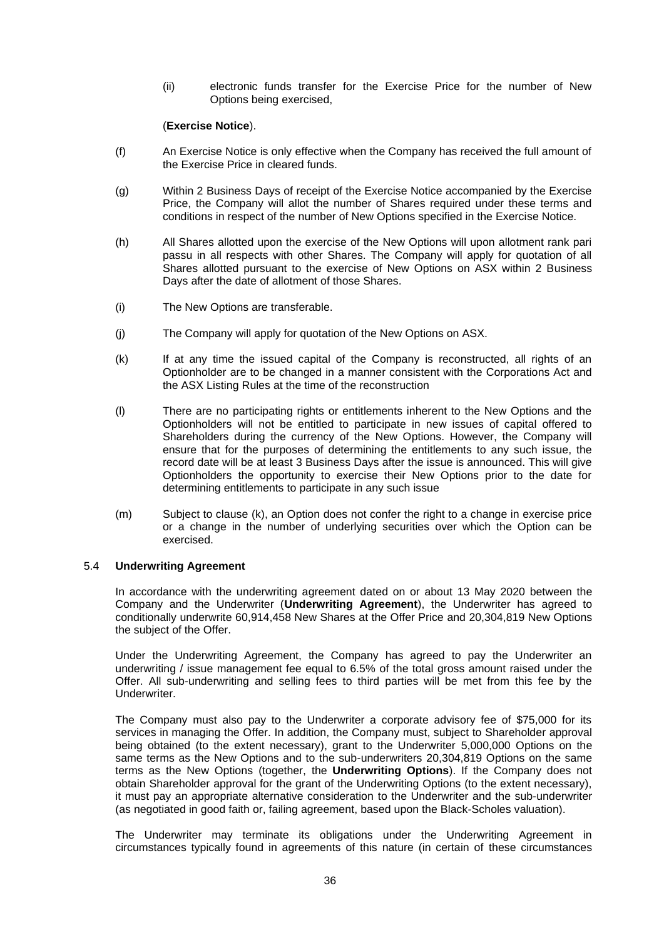(ii) electronic funds transfer for the Exercise Price for the number of New Options being exercised,

# (**Exercise Notice**).

- (f) An Exercise Notice is only effective when the Company has received the full amount of the Exercise Price in cleared funds.
- (g) Within 2 Business Days of receipt of the Exercise Notice accompanied by the Exercise Price, the Company will allot the number of Shares required under these terms and conditions in respect of the number of New Options specified in the Exercise Notice.
- (h) All Shares allotted upon the exercise of the New Options will upon allotment rank pari passu in all respects with other Shares. The Company will apply for quotation of all Shares allotted pursuant to the exercise of New Options on ASX within 2 Business Days after the date of allotment of those Shares.
- (i) The New Options are transferable.
- (j) The Company will apply for quotation of the New Options on ASX.
- <span id="page-36-1"></span>(k) If at any time the issued capital of the Company is reconstructed, all rights of an Optionholder are to be changed in a manner consistent with the Corporations Act and the ASX Listing Rules at the time of the reconstruction
- (l) There are no participating rights or entitlements inherent to the New Options and the Optionholders will not be entitled to participate in new issues of capital offered to Shareholders during the currency of the New Options. However, the Company will ensure that for the purposes of determining the entitlements to any such issue, the record date will be at least 3 Business Days after the issue is announced. This will give Optionholders the opportunity to exercise their New Options prior to the date for determining entitlements to participate in any such issue
- (m) Subject to clause [\(k\),](#page-36-1) an Option does not confer the right to a change in exercise price or a change in the number of underlying securities over which the Option can be exercised.

# <span id="page-36-0"></span>5.4 **Underwriting Agreement**

In accordance with the underwriting agreement dated on or about 13 May 2020 between the Company and the Underwriter (**Underwriting Agreement**), the Underwriter has agreed to conditionally underwrite 60,914,458 New Shares at the Offer Price and 20,304,819 New Options the subject of the Offer.

Under the Underwriting Agreement, the Company has agreed to pay the Underwriter an underwriting / issue management fee equal to 6.5% of the total gross amount raised under the Offer. All sub-underwriting and selling fees to third parties will be met from this fee by the Underwriter.

The Company must also pay to the Underwriter a corporate advisory fee of \$75,000 for its services in managing the Offer. In addition, the Company must, subject to Shareholder approval being obtained (to the extent necessary), grant to the Underwriter 5,000,000 Options on the same terms as the New Options and to the sub-underwriters 20,304,819 Options on the same terms as the New Options (together, the **Underwriting Options**). If the Company does not obtain Shareholder approval for the grant of the Underwriting Options (to the extent necessary), it must pay an appropriate alternative consideration to the Underwriter and the sub-underwriter (as negotiated in good faith or, failing agreement, based upon the Black-Scholes valuation).

The Underwriter may terminate its obligations under the Underwriting Agreement in circumstances typically found in agreements of this nature (in certain of these circumstances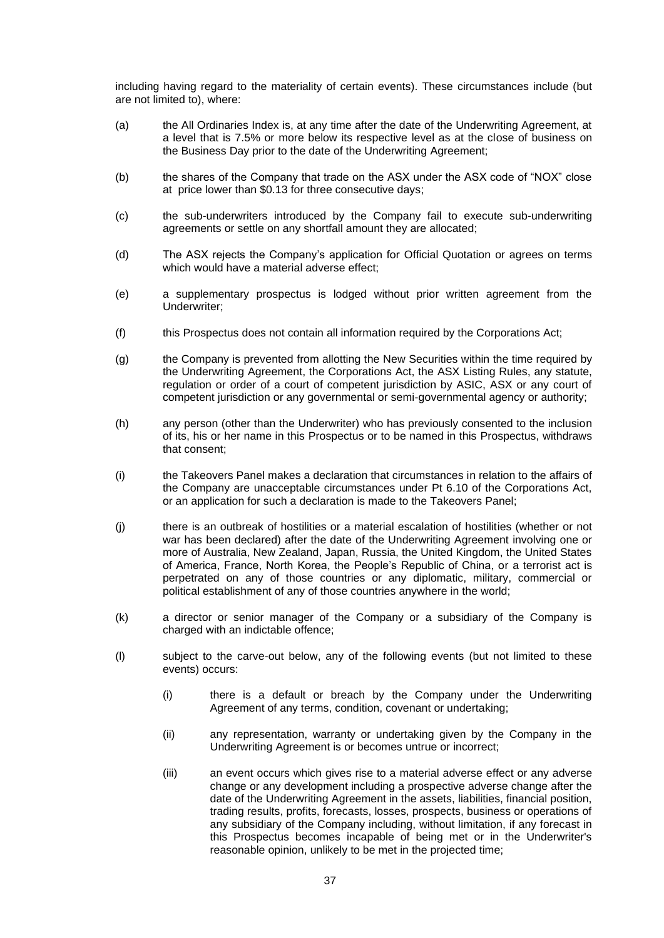including having regard to the materiality of certain events). These circumstances include (but are not limited to), where:

- (a) the All Ordinaries Index is, at any time after the date of the Underwriting Agreement, at a level that is 7.5% or more below its respective level as at the close of business on the Business Day prior to the date of the Underwriting Agreement;
- (b) the shares of the Company that trade on the ASX under the ASX code of "NOX" close at price lower than \$0.13 for three consecutive days;
- (c) the sub-underwriters introduced by the Company fail to execute sub-underwriting agreements or settle on any shortfall amount they are allocated;
- (d) The ASX rejects the Company's application for Official Quotation or agrees on terms which would have a material adverse effect:
- (e) a supplementary prospectus is lodged without prior written agreement from the Underwriter;
- (f) this Prospectus does not contain all information required by the Corporations Act;
- (g) the Company is prevented from allotting the New Securities within the time required by the Underwriting Agreement, the Corporations Act, the ASX Listing Rules, any statute, regulation or order of a court of competent jurisdiction by ASIC, ASX or any court of competent jurisdiction or any governmental or semi-governmental agency or authority;
- (h) any person (other than the Underwriter) who has previously consented to the inclusion of its, his or her name in this Prospectus or to be named in this Prospectus, withdraws that consent;
- (i) the Takeovers Panel makes a declaration that circumstances in relation to the affairs of the Company are unacceptable circumstances under Pt 6.10 of the Corporations Act, or an application for such a declaration is made to the Takeovers Panel;
- (j) there is an outbreak of hostilities or a material escalation of hostilities (whether or not war has been declared) after the date of the Underwriting Agreement involving one or more of Australia, New Zealand, Japan, Russia, the United Kingdom, the United States of America, France, North Korea, the People's Republic of China, or a terrorist act is perpetrated on any of those countries or any diplomatic, military, commercial or political establishment of any of those countries anywhere in the world;
- (k) a director or senior manager of the Company or a subsidiary of the Company is charged with an indictable offence;
- <span id="page-37-0"></span>(l) subject to the carve-out below, any of the following events (but not limited to these events) occurs:
	- (i) there is a default or breach by the Company under the Underwriting Agreement of any terms, condition, covenant or undertaking;
	- (ii) any representation, warranty or undertaking given by the Company in the Underwriting Agreement is or becomes untrue or incorrect;
	- (iii) an event occurs which gives rise to a material adverse effect or any adverse change or any development including a prospective adverse change after the date of the Underwriting Agreement in the assets, liabilities, financial position, trading results, profits, forecasts, losses, prospects, business or operations of any subsidiary of the Company including, without limitation, if any forecast in this Prospectus becomes incapable of being met or in the Underwriter's reasonable opinion, unlikely to be met in the projected time;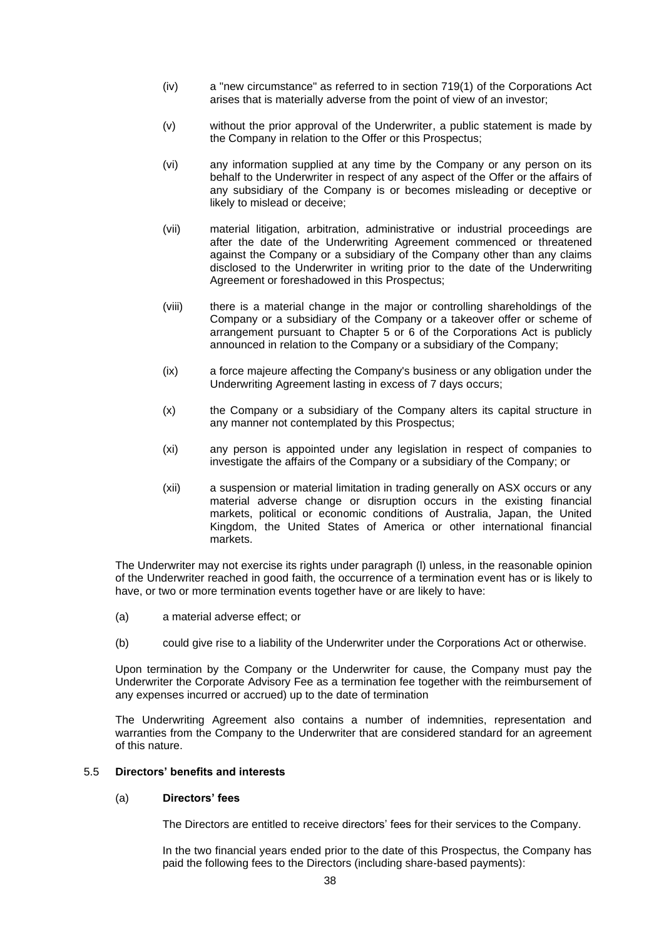- (iv) a "new circumstance" as referred to in section 719(1) of the Corporations Act arises that is materially adverse from the point of view of an investor;
- (v) without the prior approval of the Underwriter, a public statement is made by the Company in relation to the Offer or this Prospectus;
- (vi) any information supplied at any time by the Company or any person on its behalf to the Underwriter in respect of any aspect of the Offer or the affairs of any subsidiary of the Company is or becomes misleading or deceptive or likely to mislead or deceive;
- (vii) material litigation, arbitration, administrative or industrial proceedings are after the date of the Underwriting Agreement commenced or threatened against the Company or a subsidiary of the Company other than any claims disclosed to the Underwriter in writing prior to the date of the Underwriting Agreement or foreshadowed in this Prospectus;
- (viii) there is a material change in the major or controlling shareholdings of the Company or a subsidiary of the Company or a takeover offer or scheme of arrangement pursuant to Chapter 5 or 6 of the Corporations Act is publicly announced in relation to the Company or a subsidiary of the Company;
- (ix) a force majeure affecting the Company's business or any obligation under the Underwriting Agreement lasting in excess of 7 days occurs;
- (x) the Company or a subsidiary of the Company alters its capital structure in any manner not contemplated by this Prospectus;
- (xi) any person is appointed under any legislation in respect of companies to investigate the affairs of the Company or a subsidiary of the Company; or
- (xii) a suspension or material limitation in trading generally on ASX occurs or any material adverse change or disruption occurs in the existing financial markets, political or economic conditions of Australia, Japan, the United Kingdom, the United States of America or other international financial markets.

The Underwriter may not exercise its rights under paragraph [\(l\)](#page-37-0) unless, in the reasonable opinion of the Underwriter reached in good faith, the occurrence of a termination event has or is likely to have, or two or more termination events together have or are likely to have:

- (a) a material adverse effect; or
- (b) could give rise to a liability of the Underwriter under the Corporations Act or otherwise.

Upon termination by the Company or the Underwriter for cause, the Company must pay the Underwriter the Corporate Advisory Fee as a termination fee together with the reimbursement of any expenses incurred or accrued) up to the date of termination

The Underwriting Agreement also contains a number of indemnities, representation and warranties from the Company to the Underwriter that are considered standard for an agreement of this nature.

# <span id="page-38-0"></span>5.5 **Directors' benefits and interests**

# (a) **Directors' fees**

The Directors are entitled to receive directors' fees for their services to the Company.

In the two financial years ended prior to the date of this Prospectus, the Company has paid the following fees to the Directors (including share-based payments):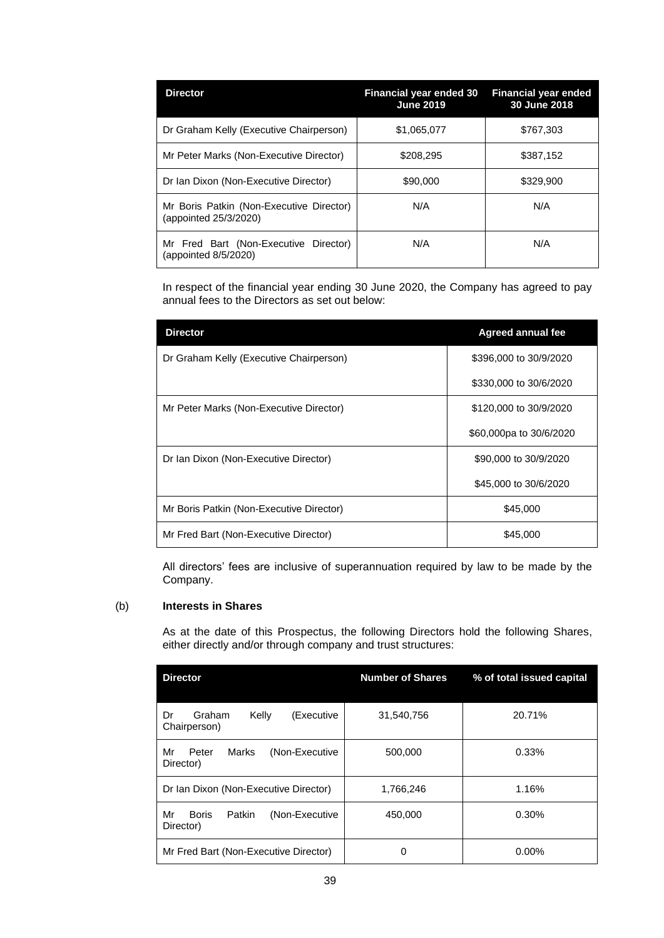| <b>Director</b>                                                   | <b>Financial year ended 30</b><br><b>June 2019</b> | <b>Financial year ended</b><br>30 June 2018 |
|-------------------------------------------------------------------|----------------------------------------------------|---------------------------------------------|
| Dr Graham Kelly (Executive Chairperson)                           | \$1,065,077                                        | \$767.303                                   |
| Mr Peter Marks (Non-Executive Director)                           | \$208,295                                          | \$387,152                                   |
| Dr Ian Dixon (Non-Executive Director)                             | \$90,000                                           | \$329,900                                   |
| Mr Boris Patkin (Non-Executive Director)<br>(appointed 25/3/2020) | N/A                                                | N/A                                         |
| Mr Fred Bart (Non-Executive Director)<br>(appointed 8/5/2020)     | N/A                                                | N/A                                         |

In respect of the financial year ending 30 June 2020, the Company has agreed to pay annual fees to the Directors as set out below:

| <b>Director</b>                          | <b>Agreed annual fee</b> |
|------------------------------------------|--------------------------|
| Dr Graham Kelly (Executive Chairperson)  | \$396,000 to 30/9/2020   |
|                                          | \$330,000 to 30/6/2020   |
| Mr Peter Marks (Non-Executive Director)  | \$120,000 to 30/9/2020   |
|                                          | \$60,000pa to 30/6/2020  |
| Dr Ian Dixon (Non-Executive Director)    | \$90,000 to 30/9/2020    |
|                                          | \$45,000 to 30/6/2020    |
| Mr Boris Patkin (Non-Executive Director) | \$45,000                 |
| Mr Fred Bart (Non-Executive Director)    | \$45,000                 |

All directors' fees are inclusive of superannuation required by law to be made by the Company.

# (b) **Interests in Shares**

As at the date of this Prospectus, the following Directors hold the following Shares, either directly and/or through company and trust structures:

| <b>Director</b>                                              | <b>Number of Shares</b> | % of total issued capital |
|--------------------------------------------------------------|-------------------------|---------------------------|
| (Executive<br>Graham<br>Kelly<br>Dr<br>Chairperson)          | 31,540,756              | 20.71%                    |
| Mr<br>(Non-Executive<br>Peter<br>Marks<br>Director)          | 500,000                 | 0.33%                     |
| Dr Ian Dixon (Non-Executive Director)                        | 1,766,246               | 1.16%                     |
| Mr<br><b>Boris</b><br>(Non-Executive)<br>Patkin<br>Director) | 450,000                 | 0.30%                     |
| Mr Fred Bart (Non-Executive Director)                        | 0                       | $0.00\%$                  |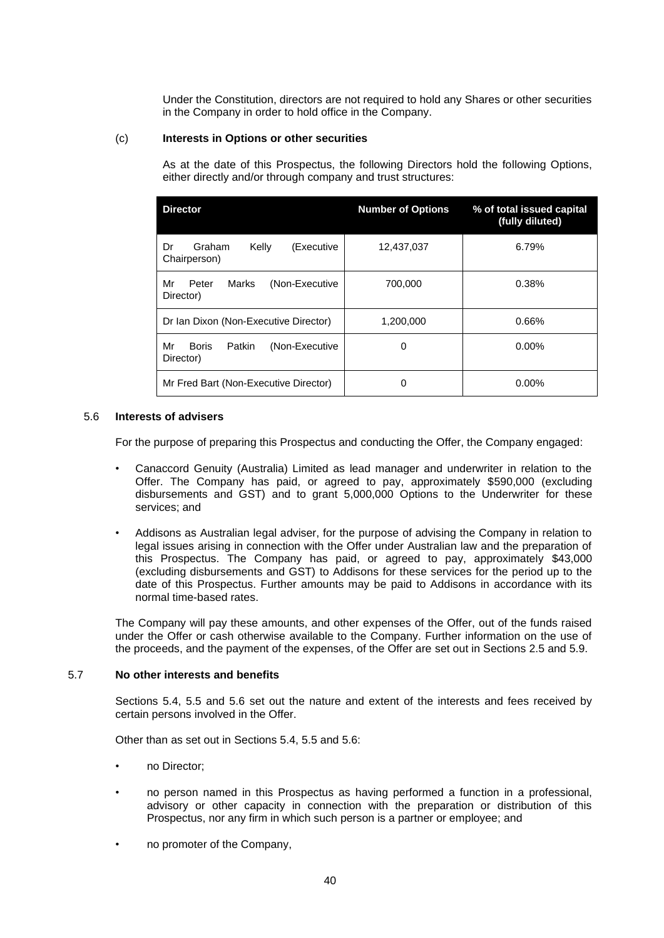Under the Constitution, directors are not required to hold any Shares or other securities in the Company in order to hold office in the Company.

# (c) **Interests in Options or other securities**

As at the date of this Prospectus, the following Directors hold the following Options, either directly and/or through company and trust structures:

| <b>Director</b>                                             | <b>Number of Options</b> | % of total issued capital<br>(fully diluted) |
|-------------------------------------------------------------|--------------------------|----------------------------------------------|
| (Executive<br>Graham<br>Kelly<br>Dr<br>Chairperson)         | 12,437,037               | 6.79%                                        |
| Mr<br>Peter<br>Marks<br>(Non-Executive<br>Director)         | 700,000                  | 0.38%                                        |
| Dr Ian Dixon (Non-Executive Director)                       | 1,200,000                | 0.66%                                        |
| Mr<br><b>Boris</b><br>Patkin<br>(Non-Executive<br>Director) | 0                        | $0.00\%$                                     |
| Mr Fred Bart (Non-Executive Director)                       | 0                        | $0.00\%$                                     |

# <span id="page-40-0"></span>5.6 **Interests of advisers**

For the purpose of preparing this Prospectus and conducting the Offer, the Company engaged:

- Canaccord Genuity (Australia) Limited as lead manager and underwriter in relation to the Offer. The Company has paid, or agreed to pay, approximately \$590,000 (excluding disbursements and GST) and to grant 5,000,000 Options to the Underwriter for these services; and
- Addisons as Australian legal adviser, for the purpose of advising the Company in relation to legal issues arising in connection with the Offer under Australian law and the preparation of this Prospectus. The Company has paid, or agreed to pay, approximately \$43,000 (excluding disbursements and GST) to Addisons for these services for the period up to the date of this Prospectus. Further amounts may be paid to Addisons in accordance with its normal time-based rates.

The Company will pay these amounts, and other expenses of the Offer, out of the funds raised under the Offer or cash otherwise available to the Company. Further information on the use of the proceeds, and the payment of the expenses, of the Offer are set out in Sections [2.5](#page-12-0) and [5.9.](#page-41-0)

# 5.7 **No other interests and benefits**

Sections [5.4,](#page-36-0) [5.5](#page-38-0) and [5.6](#page-40-0) set out the nature and extent of the interests and fees received by certain persons involved in the Offer.

Other than as set out in Sections [5.4,](#page-36-0) [5.5](#page-38-0) and [5.6:](#page-40-0)

- no Director;
- no person named in this Prospectus as having performed a function in a professional, advisory or other capacity in connection with the preparation or distribution of this Prospectus, nor any firm in which such person is a partner or employee; and
- no promoter of the Company,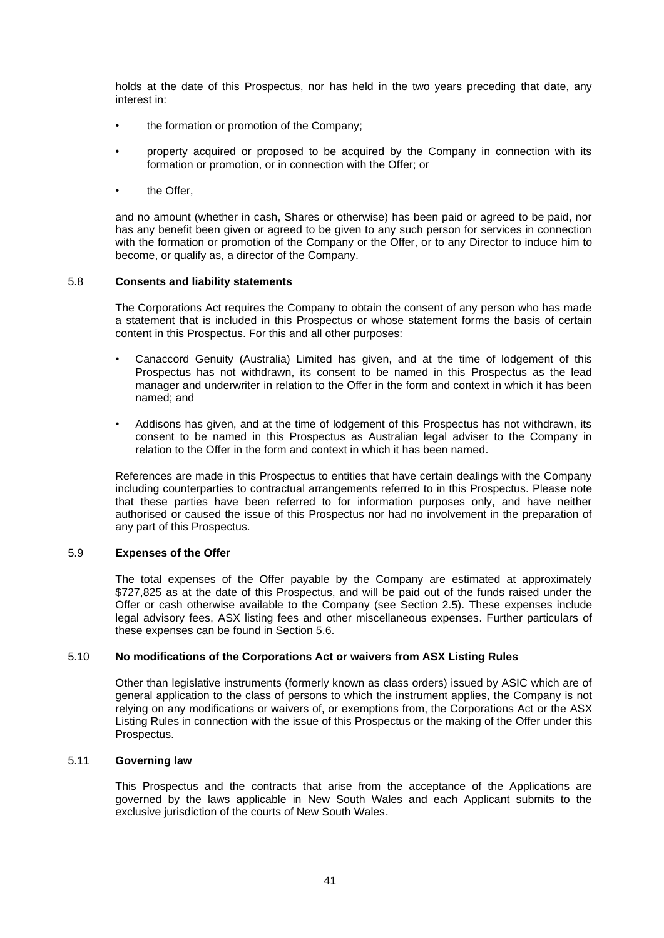holds at the date of this Prospectus, nor has held in the two years preceding that date, any interest in:

- the formation or promotion of the Company;
- property acquired or proposed to be acquired by the Company in connection with its formation or promotion, or in connection with the Offer; or
- the Offer,

and no amount (whether in cash, Shares or otherwise) has been paid or agreed to be paid, nor has any benefit been given or agreed to be given to any such person for services in connection with the formation or promotion of the Company or the Offer, or to any Director to induce him to become, or qualify as, a director of the Company.

# 5.8 **Consents and liability statements**

The Corporations Act requires the Company to obtain the consent of any person who has made a statement that is included in this Prospectus or whose statement forms the basis of certain content in this Prospectus. For this and all other purposes:

- Canaccord Genuity (Australia) Limited has given, and at the time of lodgement of this Prospectus has not withdrawn, its consent to be named in this Prospectus as the lead manager and underwriter in relation to the Offer in the form and context in which it has been named; and
- Addisons has given, and at the time of lodgement of this Prospectus has not withdrawn, its consent to be named in this Prospectus as Australian legal adviser to the Company in relation to the Offer in the form and context in which it has been named.

References are made in this Prospectus to entities that have certain dealings with the Company including counterparties to contractual arrangements referred to in this Prospectus. Please note that these parties have been referred to for information purposes only, and have neither authorised or caused the issue of this Prospectus nor had no involvement in the preparation of any part of this Prospectus.

# <span id="page-41-0"></span>5.9 **Expenses of the Offer**

The total expenses of the Offer payable by the Company are estimated at approximately \$727,825 as at the date of this Prospectus, and will be paid out of the funds raised under the Offer or cash otherwise available to the Company (see Section [2.5\)](#page-12-0). These expenses include legal advisory fees, ASX listing fees and other miscellaneous expenses. Further particulars of these expenses can be found in Section [5.6.](#page-40-0)

# 5.10 **No modifications of the Corporations Act or waivers from ASX Listing Rules**

Other than legislative instruments (formerly known as class orders) issued by ASIC which are of general application to the class of persons to which the instrument applies, the Company is not relying on any modifications or waivers of, or exemptions from, the Corporations Act or the ASX Listing Rules in connection with the issue of this Prospectus or the making of the Offer under this Prospectus.

# 5.11 **Governing law**

This Prospectus and the contracts that arise from the acceptance of the Applications are governed by the laws applicable in New South Wales and each Applicant submits to the exclusive jurisdiction of the courts of New South Wales.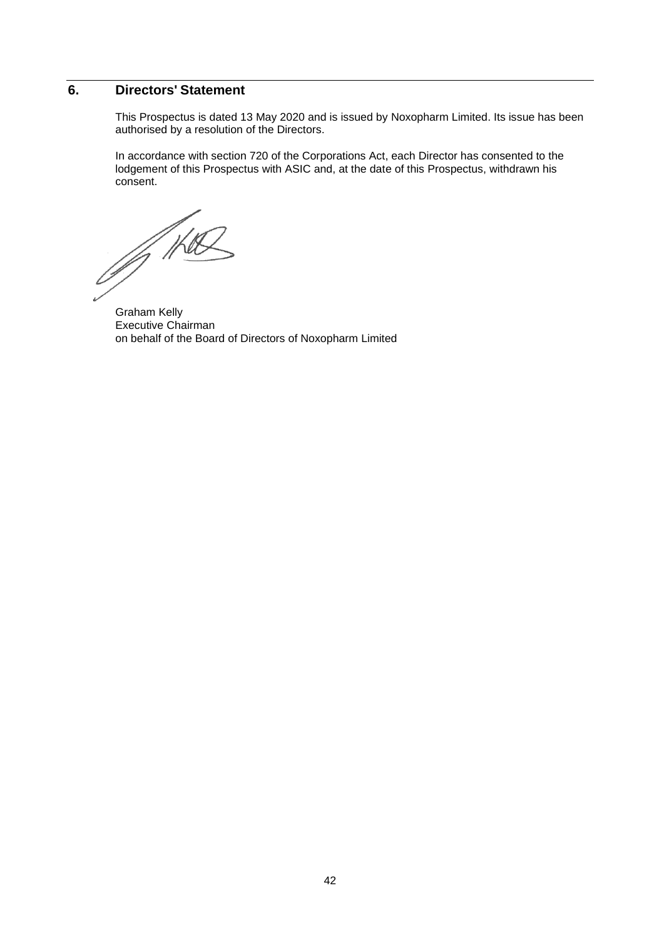# **6. Directors' Statement**

This Prospectus is dated 13 May 2020 and is issued by Noxopharm Limited. Its issue has been authorised by a resolution of the Directors.

In accordance with section 720 of the Corporations Act, each Director has consented to the lodgement of this Prospectus with ASIC and, at the date of this Prospectus, withdrawn his consent.

Of the

Graham Kelly Executive Chairman on behalf of the Board of Directors of Noxopharm Limited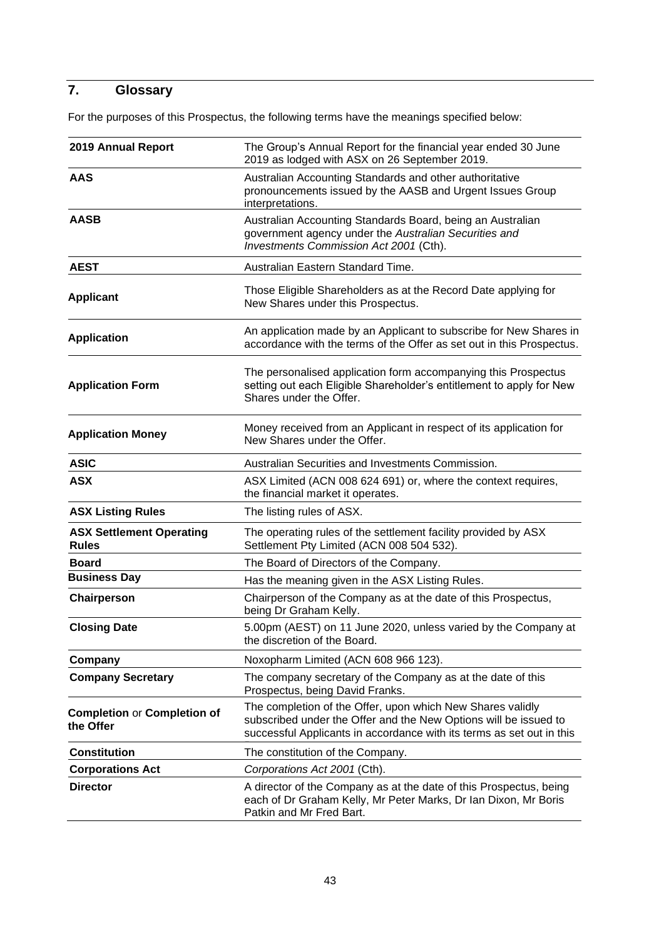# <span id="page-43-0"></span>**7. Glossary**

For the purposes of this Prospectus, the following terms have the meanings specified below:

| 2019 Annual Report<br>The Group's Annual Report for the financial year ended 30 June<br>2019 as lodged with ASX on 26 September 2019.                                        |                                                                                                                                                                                                         |  |
|------------------------------------------------------------------------------------------------------------------------------------------------------------------------------|---------------------------------------------------------------------------------------------------------------------------------------------------------------------------------------------------------|--|
| <b>AAS</b>                                                                                                                                                                   | Australian Accounting Standards and other authoritative<br>pronouncements issued by the AASB and Urgent Issues Group<br>interpretations.                                                                |  |
| <b>AASB</b><br>Australian Accounting Standards Board, being an Australian<br>government agency under the Australian Securities and<br>Investments Commission Act 2001 (Cth). |                                                                                                                                                                                                         |  |
| <b>AEST</b>                                                                                                                                                                  | Australian Eastern Standard Time.                                                                                                                                                                       |  |
| Those Eligible Shareholders as at the Record Date applying for<br><b>Applicant</b><br>New Shares under this Prospectus.                                                      |                                                                                                                                                                                                         |  |
| <b>Application</b>                                                                                                                                                           | An application made by an Applicant to subscribe for New Shares in<br>accordance with the terms of the Offer as set out in this Prospectus.                                                             |  |
| <b>Application Form</b>                                                                                                                                                      | The personalised application form accompanying this Prospectus<br>setting out each Eligible Shareholder's entitlement to apply for New<br>Shares under the Offer.                                       |  |
| <b>Application Money</b>                                                                                                                                                     | Money received from an Applicant in respect of its application for<br>New Shares under the Offer.                                                                                                       |  |
| <b>ASIC</b>                                                                                                                                                                  | Australian Securities and Investments Commission.                                                                                                                                                       |  |
| <b>ASX</b>                                                                                                                                                                   | ASX Limited (ACN 008 624 691) or, where the context requires,<br>the financial market it operates.                                                                                                      |  |
| <b>ASX Listing Rules</b>                                                                                                                                                     | The listing rules of ASX.                                                                                                                                                                               |  |
| <b>ASX Settlement Operating</b><br><b>Rules</b>                                                                                                                              | The operating rules of the settlement facility provided by ASX<br>Settlement Pty Limited (ACN 008 504 532).                                                                                             |  |
| <b>Board</b>                                                                                                                                                                 | The Board of Directors of the Company.                                                                                                                                                                  |  |
| <b>Business Day</b>                                                                                                                                                          | Has the meaning given in the ASX Listing Rules.                                                                                                                                                         |  |
| Chairperson                                                                                                                                                                  | Chairperson of the Company as at the date of this Prospectus,<br>being Dr Graham Kelly.                                                                                                                 |  |
| <b>Closing Date</b>                                                                                                                                                          | 5.00pm (AEST) on 11 June 2020, unless varied by the Company at<br>the discretion of the Board.                                                                                                          |  |
| Company                                                                                                                                                                      | Noxopharm Limited (ACN 608 966 123).                                                                                                                                                                    |  |
| <b>Company Secretary</b>                                                                                                                                                     | The company secretary of the Company as at the date of this<br>Prospectus, being David Franks.                                                                                                          |  |
| <b>Completion or Completion of</b><br>the Offer                                                                                                                              | The completion of the Offer, upon which New Shares validly<br>subscribed under the Offer and the New Options will be issued to<br>successful Applicants in accordance with its terms as set out in this |  |
| <b>Constitution</b>                                                                                                                                                          | The constitution of the Company.                                                                                                                                                                        |  |
| <b>Corporations Act</b>                                                                                                                                                      | Corporations Act 2001 (Cth).                                                                                                                                                                            |  |
| <b>Director</b>                                                                                                                                                              | A director of the Company as at the date of this Prospectus, being<br>each of Dr Graham Kelly, Mr Peter Marks, Dr Ian Dixon, Mr Boris<br>Patkin and Mr Fred Bart.                                       |  |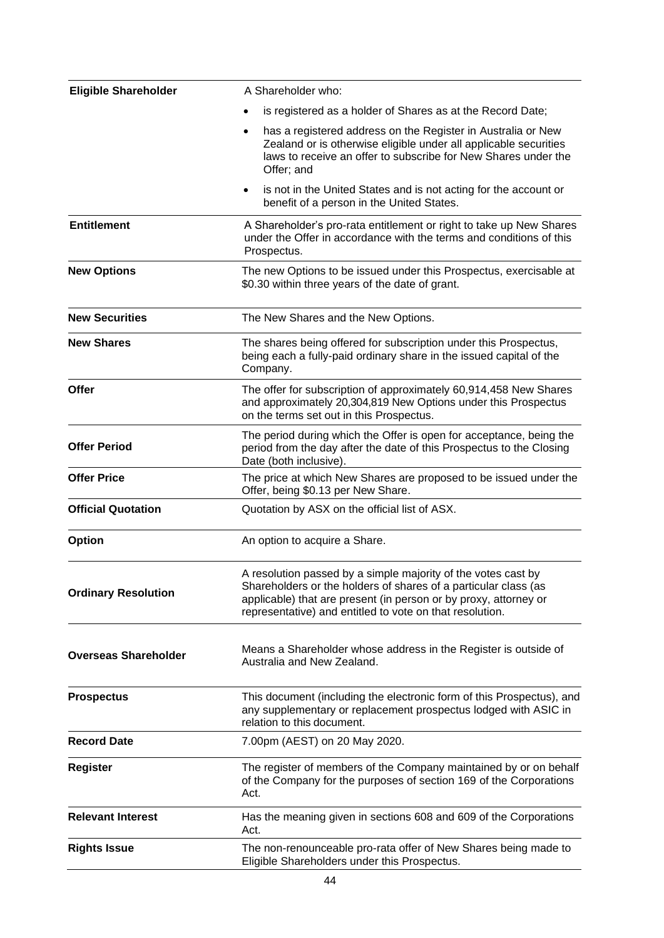| <b>Eligible Shareholder</b> | A Shareholder who:                                                                                                                                                                                                                                               |
|-----------------------------|------------------------------------------------------------------------------------------------------------------------------------------------------------------------------------------------------------------------------------------------------------------|
|                             | is registered as a holder of Shares as at the Record Date;                                                                                                                                                                                                       |
|                             | has a registered address on the Register in Australia or New<br>٠<br>Zealand or is otherwise eligible under all applicable securities<br>laws to receive an offer to subscribe for New Shares under the<br>Offer; and                                            |
|                             | is not in the United States and is not acting for the account or<br>٠<br>benefit of a person in the United States.                                                                                                                                               |
| <b>Entitlement</b>          | A Shareholder's pro-rata entitlement or right to take up New Shares<br>under the Offer in accordance with the terms and conditions of this<br>Prospectus.                                                                                                        |
| <b>New Options</b>          | The new Options to be issued under this Prospectus, exercisable at<br>\$0.30 within three years of the date of grant.                                                                                                                                            |
| <b>New Securities</b>       | The New Shares and the New Options.                                                                                                                                                                                                                              |
| <b>New Shares</b>           | The shares being offered for subscription under this Prospectus,<br>being each a fully-paid ordinary share in the issued capital of the<br>Company.                                                                                                              |
| Offer                       | The offer for subscription of approximately 60,914,458 New Shares<br>and approximately 20,304,819 New Options under this Prospectus<br>on the terms set out in this Prospectus.                                                                                  |
| <b>Offer Period</b>         | The period during which the Offer is open for acceptance, being the<br>period from the day after the date of this Prospectus to the Closing<br>Date (both inclusive).                                                                                            |
| <b>Offer Price</b>          | The price at which New Shares are proposed to be issued under the<br>Offer, being \$0.13 per New Share.                                                                                                                                                          |
| <b>Official Quotation</b>   | Quotation by ASX on the official list of ASX.                                                                                                                                                                                                                    |
| <b>Option</b>               | An option to acquire a Share.                                                                                                                                                                                                                                    |
| <b>Ordinary Resolution</b>  | A resolution passed by a simple majority of the votes cast by<br>Shareholders or the holders of shares of a particular class (as<br>applicable) that are present (in person or by proxy, attorney or<br>representative) and entitled to vote on that resolution. |
| <b>Overseas Shareholder</b> | Means a Shareholder whose address in the Register is outside of<br>Australia and New Zealand.                                                                                                                                                                    |
| <b>Prospectus</b>           | This document (including the electronic form of this Prospectus), and<br>any supplementary or replacement prospectus lodged with ASIC in<br>relation to this document.                                                                                           |
| <b>Record Date</b>          | 7.00pm (AEST) on 20 May 2020.                                                                                                                                                                                                                                    |
| <b>Register</b>             | The register of members of the Company maintained by or on behalf<br>of the Company for the purposes of section 169 of the Corporations<br>Act.                                                                                                                  |
| <b>Relevant Interest</b>    | Has the meaning given in sections 608 and 609 of the Corporations<br>Act.                                                                                                                                                                                        |
| <b>Rights Issue</b>         | The non-renounceable pro-rata offer of New Shares being made to<br>Eligible Shareholders under this Prospectus.                                                                                                                                                  |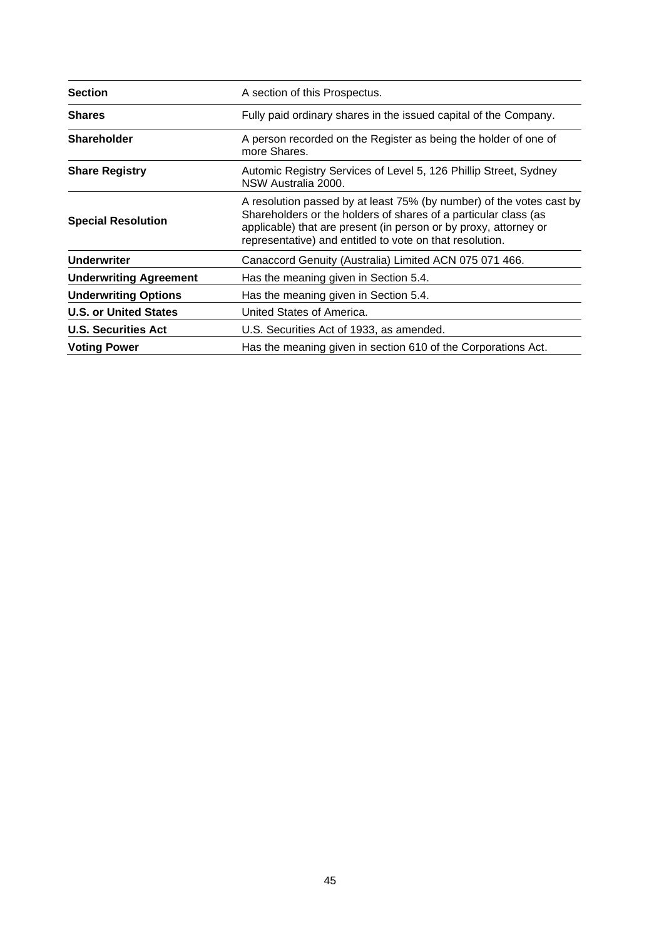| <b>Section</b>                | A section of this Prospectus.                                                                                                                                                                                                                                           |
|-------------------------------|-------------------------------------------------------------------------------------------------------------------------------------------------------------------------------------------------------------------------------------------------------------------------|
| <b>Shares</b>                 | Fully paid ordinary shares in the issued capital of the Company.                                                                                                                                                                                                        |
| <b>Shareholder</b>            | A person recorded on the Register as being the holder of one of<br>more Shares.                                                                                                                                                                                         |
| <b>Share Registry</b>         | Automic Registry Services of Level 5, 126 Phillip Street, Sydney<br>NSW Australia 2000.                                                                                                                                                                                 |
| <b>Special Resolution</b>     | A resolution passed by at least 75% (by number) of the votes cast by<br>Shareholders or the holders of shares of a particular class (as<br>applicable) that are present (in person or by proxy, attorney or<br>representative) and entitled to vote on that resolution. |
| <b>Underwriter</b>            | Canaccord Genuity (Australia) Limited ACN 075 071 466.                                                                                                                                                                                                                  |
| <b>Underwriting Agreement</b> | Has the meaning given in Section 5.4.                                                                                                                                                                                                                                   |
| <b>Underwriting Options</b>   | Has the meaning given in Section 5.4.                                                                                                                                                                                                                                   |
| <b>U.S. or United States</b>  | United States of America.                                                                                                                                                                                                                                               |
| <b>U.S. Securities Act</b>    | U.S. Securities Act of 1933, as amended.                                                                                                                                                                                                                                |
| <b>Voting Power</b>           | Has the meaning given in section 610 of the Corporations Act.                                                                                                                                                                                                           |